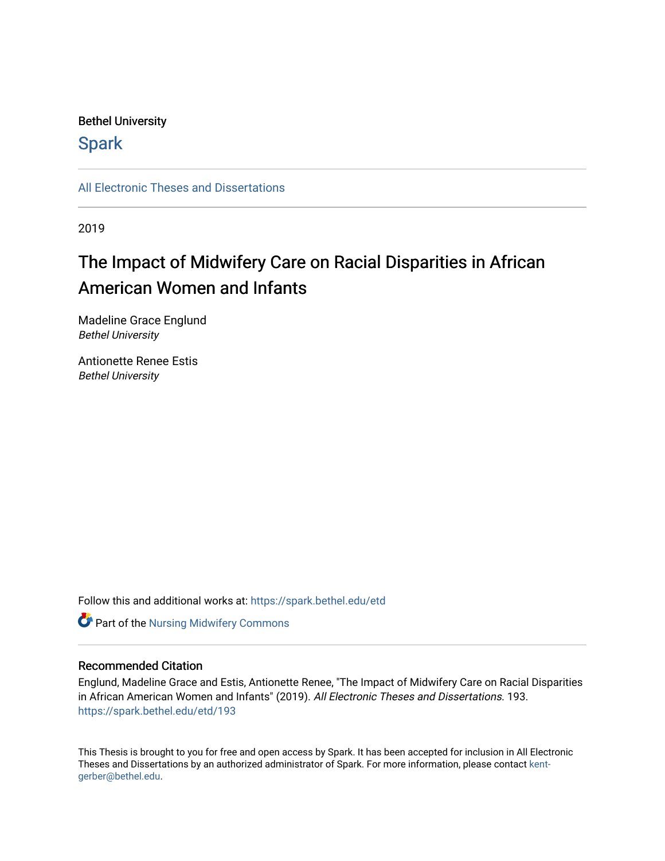#### Bethel University

## **Spark**

[All Electronic Theses and Dissertations](https://spark.bethel.edu/etd) 

2019

## The Impact of Midwifery Care on Racial Disparities in African American Women and Infants

Madeline Grace Englund Bethel University

Antionette Renee Estis Bethel University

Follow this and additional works at: [https://spark.bethel.edu/etd](https://spark.bethel.edu/etd?utm_source=spark.bethel.edu%2Fetd%2F193&utm_medium=PDF&utm_campaign=PDFCoverPages)



#### Recommended Citation

Englund, Madeline Grace and Estis, Antionette Renee, "The Impact of Midwifery Care on Racial Disparities in African American Women and Infants" (2019). All Electronic Theses and Dissertations. 193. [https://spark.bethel.edu/etd/193](https://spark.bethel.edu/etd/193?utm_source=spark.bethel.edu%2Fetd%2F193&utm_medium=PDF&utm_campaign=PDFCoverPages)

This Thesis is brought to you for free and open access by Spark. It has been accepted for inclusion in All Electronic Theses and Dissertations by an authorized administrator of Spark. For more information, please contact [kent](mailto:kent-gerber@bethel.edu)[gerber@bethel.edu.](mailto:kent-gerber@bethel.edu)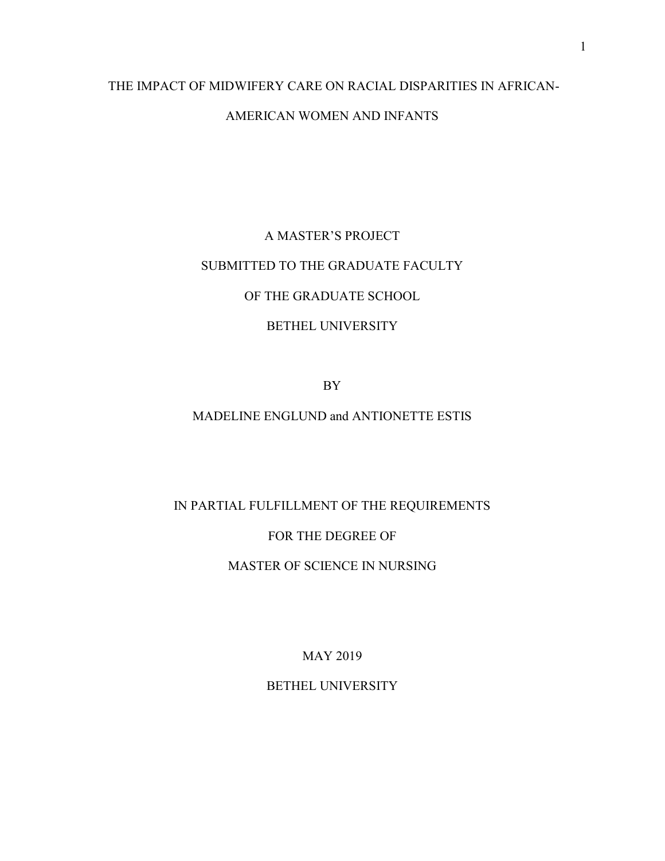# THE IMPACT OF MIDWIFERY CARE ON RACIAL DISPARITIES IN AFRICAN-

## AMERICAN WOMEN AND INFANTS

# A MASTER'S PROJECT SUBMITTED TO THE GRADUATE FACULTY OF THE GRADUATE SCHOOL

### BETHEL UNIVERSITY

BY

### MADELINE ENGLUND and ANTIONETTE ESTIS

## IN PARTIAL FULFILLMENT OF THE REQUIREMENTS FOR THE DEGREE OF MASTER OF SCIENCE IN NURSING

MAY 2019

BETHEL UNIVERSITY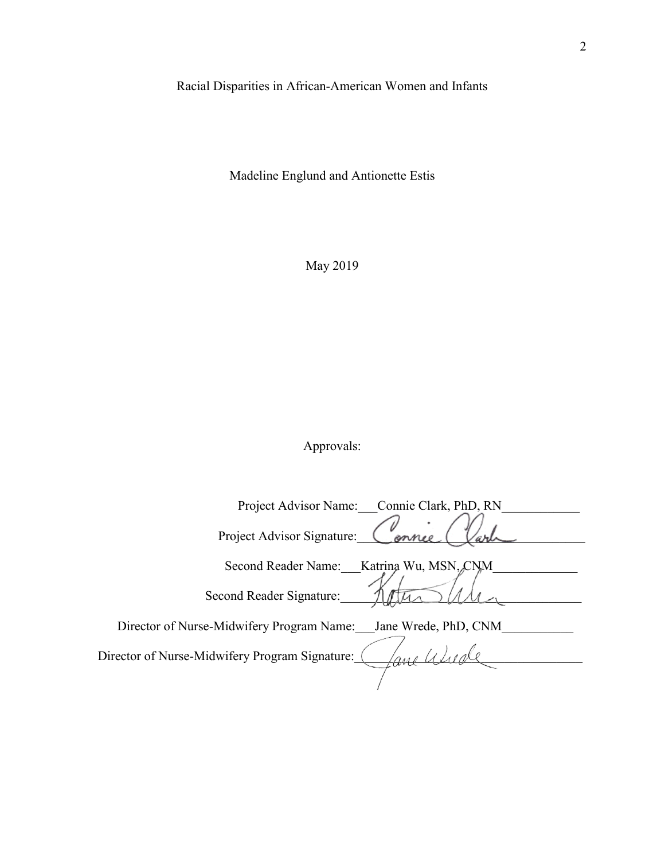Racial Disparities in African-American Women and Infants

Madeline Englund and Antionette Estis

May 2019

Approvals:

| Project Advisor Name: Connie Clark, PhD, RN                       |
|-------------------------------------------------------------------|
| Project Advisor Signature:                                        |
| Second Reader Name:<br>Katrina Wu, MSN, CNM                       |
| Second Reader Signature:                                          |
| Director of Nurse-Midwifery Program Name:<br>Jane Wrede, PhD, CNM |
| Director of Nurse-Midwifery Program Signature:                    |
|                                                                   |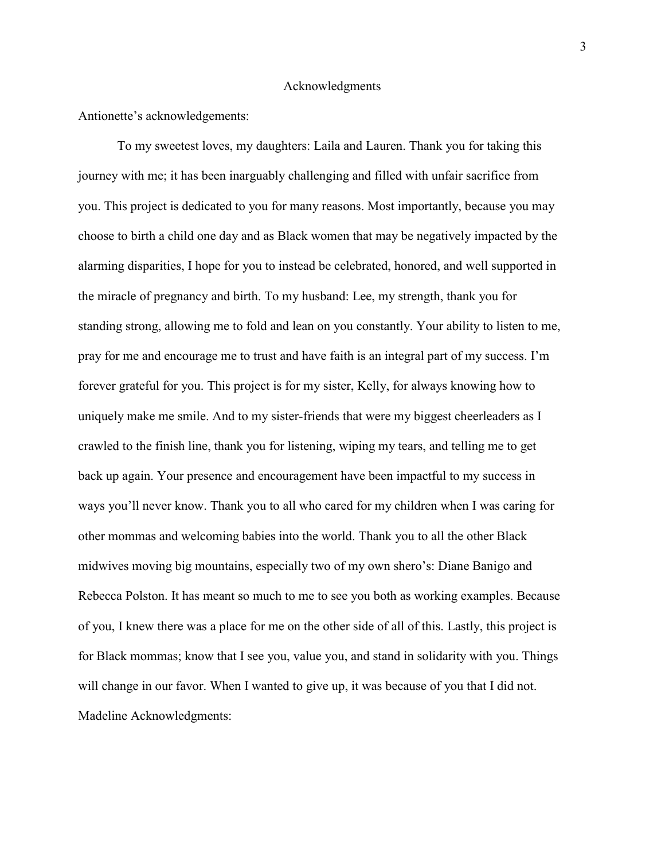#### Acknowledgments

Antionette's acknowledgements:

To my sweetest loves, my daughters: Laila and Lauren. Thank you for taking this journey with me; it has been inarguably challenging and filled with unfair sacrifice from you. This project is dedicated to you for many reasons. Most importantly, because you may choose to birth a child one day and as Black women that may be negatively impacted by the alarming disparities, I hope for you to instead be celebrated, honored, and well supported in the miracle of pregnancy and birth. To my husband: Lee, my strength, thank you for standing strong, allowing me to fold and lean on you constantly. Your ability to listen to me, pray for me and encourage me to trust and have faith is an integral part of my success. I'm forever grateful for you. This project is for my sister, Kelly, for always knowing how to uniquely make me smile. And to my sister-friends that were my biggest cheerleaders as I crawled to the finish line, thank you for listening, wiping my tears, and telling me to get back up again. Your presence and encouragement have been impactful to my success in ways you'll never know. Thank you to all who cared for my children when I was caring for other mommas and welcoming babies into the world. Thank you to all the other Black midwives moving big mountains, especially two of my own shero's: Diane Banigo and Rebecca Polston. It has meant so much to me to see you both as working examples. Because of you, I knew there was a place for me on the other side of all of this. Lastly, this project is for Black mommas; know that I see you, value you, and stand in solidarity with you. Things will change in our favor. When I wanted to give up, it was because of you that I did not. Madeline Acknowledgments:

3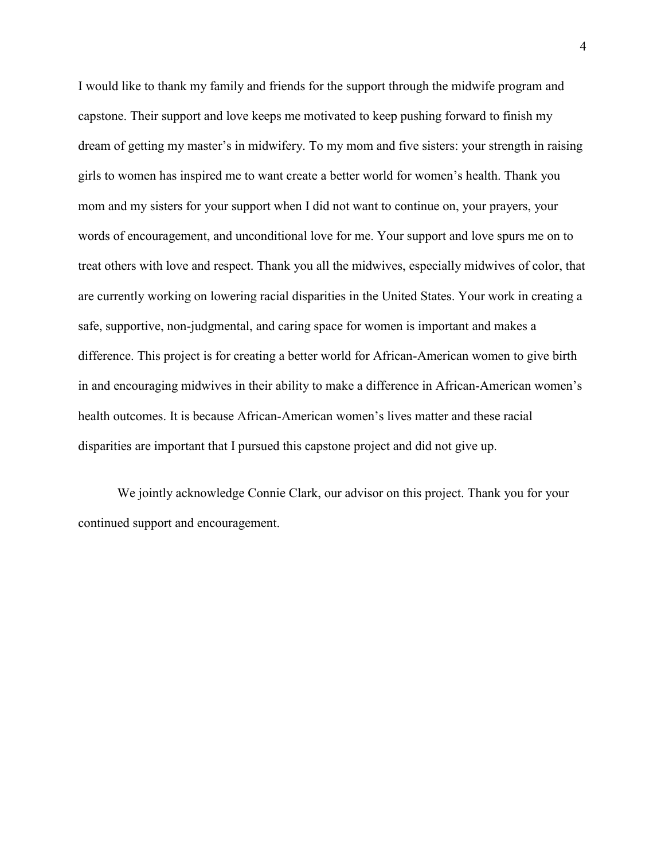I would like to thank my family and friends for the support through the midwife program and capstone. Their support and love keeps me motivated to keep pushing forward to finish my dream of getting my master's in midwifery. To my mom and five sisters: your strength in raising girls to women has inspired me to want create a better world for women's health. Thank you mom and my sisters for your support when I did not want to continue on, your prayers, your words of encouragement, and unconditional love for me. Your support and love spurs me on to treat others with love and respect. Thank you all the midwives, especially midwives of color, that are currently working on lowering racial disparities in the United States. Your work in creating a safe, supportive, non-judgmental, and caring space for women is important and makes a difference. This project is for creating a better world for African-American women to give birth in and encouraging midwives in their ability to make a difference in African-American women's health outcomes. It is because African-American women's lives matter and these racial disparities are important that I pursued this capstone project and did not give up.

We jointly acknowledge Connie Clark, our advisor on this project. Thank you for your continued support and encouragement.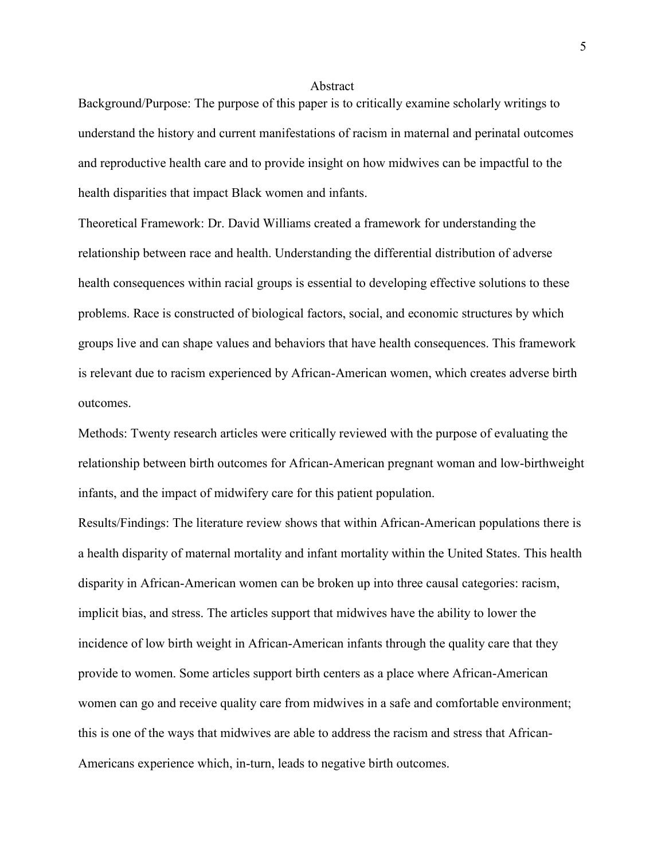#### Abstract

Background/Purpose: The purpose of this paper is to critically examine scholarly writings to understand the history and current manifestations of racism in maternal and perinatal outcomes and reproductive health care and to provide insight on how midwives can be impactful to the health disparities that impact Black women and infants.

Theoretical Framework: Dr. David Williams created a framework for understanding the relationship between race and health. Understanding the differential distribution of adverse health consequences within racial groups is essential to developing effective solutions to these problems. Race is constructed of biological factors, social, and economic structures by which groups live and can shape values and behaviors that have health consequences. This framework is relevant due to racism experienced by African-American women, which creates adverse birth outcomes.

Methods: Twenty research articles were critically reviewed with the purpose of evaluating the relationship between birth outcomes for African-American pregnant woman and low-birthweight infants, and the impact of midwifery care for this patient population.

Results/Findings: The literature review shows that within African-American populations there is a health disparity of maternal mortality and infant mortality within the United States. This health disparity in African-American women can be broken up into three causal categories: racism, implicit bias, and stress. The articles support that midwives have the ability to lower the incidence of low birth weight in African-American infants through the quality care that they provide to women. Some articles support birth centers as a place where African-American women can go and receive quality care from midwives in a safe and comfortable environment; this is one of the ways that midwives are able to address the racism and stress that African-Americans experience which, in-turn, leads to negative birth outcomes.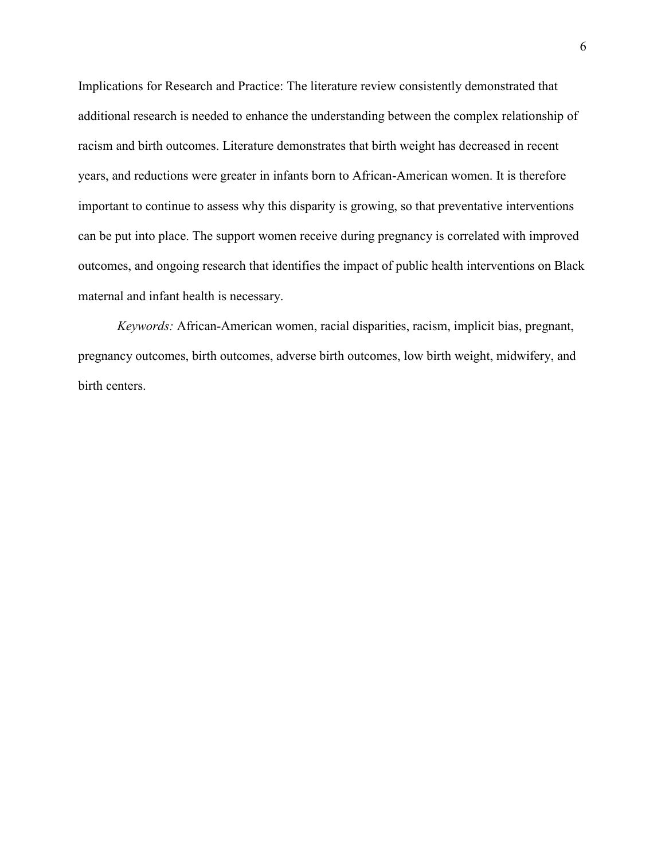Implications for Research and Practice: The literature review consistently demonstrated that additional research is needed to enhance the understanding between the complex relationship of racism and birth outcomes. Literature demonstrates that birth weight has decreased in recent years, and reductions were greater in infants born to African-American women. It is therefore important to continue to assess why this disparity is growing, so that preventative interventions can be put into place. The support women receive during pregnancy is correlated with improved outcomes, and ongoing research that identifies the impact of public health interventions on Black maternal and infant health is necessary.

*Keywords:* African-American women, racial disparities, racism, implicit bias, pregnant, pregnancy outcomes, birth outcomes, adverse birth outcomes, low birth weight, midwifery, and birth centers.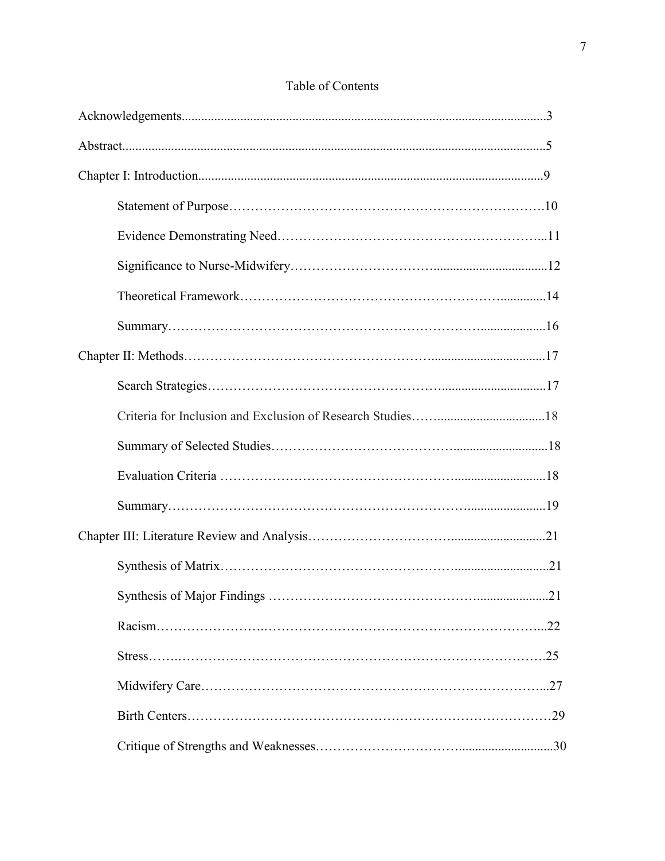## Table of Contents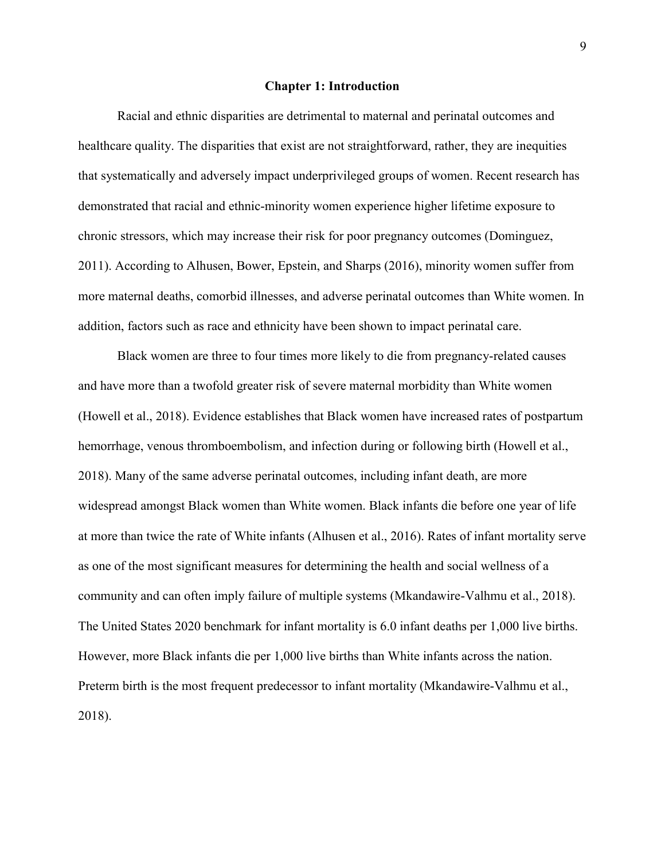#### **Chapter 1: Introduction**

Racial and ethnic disparities are detrimental to maternal and perinatal outcomes and healthcare quality. The disparities that exist are not straightforward, rather, they are inequities that systematically and adversely impact underprivileged groups of women. Recent research has demonstrated that racial and ethnic-minority women experience higher lifetime exposure to chronic stressors, which may increase their risk for poor pregnancy outcomes (Dominguez, 2011). According to Alhusen, Bower, Epstein, and Sharps (2016), minority women suffer from more maternal deaths, comorbid illnesses, and adverse perinatal outcomes than White women. In addition, factors such as race and ethnicity have been shown to impact perinatal care.

Black women are three to four times more likely to die from pregnancy-related causes and have more than a twofold greater risk of severe maternal morbidity than White women (Howell et al., 2018). Evidence establishes that Black women have increased rates of postpartum hemorrhage, venous thromboembolism, and infection during or following birth (Howell et al., 2018). Many of the same adverse perinatal outcomes, including infant death, are more widespread amongst Black women than White women. Black infants die before one year of life at more than twice the rate of White infants (Alhusen et al., 2016). Rates of infant mortality serve as one of the most significant measures for determining the health and social wellness of a community and can often imply failure of multiple systems (Mkandawire-Valhmu et al., 2018). The United States 2020 benchmark for infant mortality is 6.0 infant deaths per 1,000 live births. However, more Black infants die per 1,000 live births than White infants across the nation. Preterm birth is the most frequent predecessor to infant mortality (Mkandawire-Valhmu et al., 2018).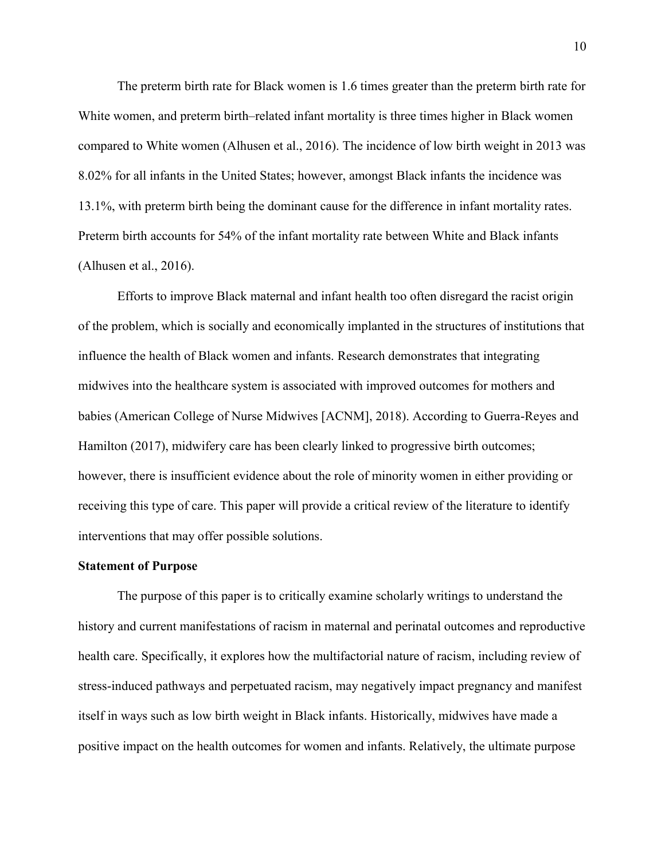The preterm birth rate for Black women is 1.6 times greater than the preterm birth rate for White women, and preterm birth–related infant mortality is three times higher in Black women compared to White women (Alhusen et al., 2016). The incidence of low birth weight in 2013 was 8.02% for all infants in the United States; however, amongst Black infants the incidence was 13.1%, with preterm birth being the dominant cause for the difference in infant mortality rates. Preterm birth accounts for 54% of the infant mortality rate between White and Black infants (Alhusen et al., 2016).

Efforts to improve Black maternal and infant health too often disregard the racist origin of the problem, which is socially and economically implanted in the structures of institutions that influence the health of Black women and infants. Research demonstrates that integrating midwives into the healthcare system is associated with improved outcomes for mothers and babies (American College of Nurse Midwives [ACNM], 2018). According to Guerra-Reyes and Hamilton (2017), midwifery care has been clearly linked to progressive birth outcomes; however, there is insufficient evidence about the role of minority women in either providing or receiving this type of care. This paper will provide a critical review of the literature to identify interventions that may offer possible solutions.

#### **Statement of Purpose**

The purpose of this paper is to critically examine scholarly writings to understand the history and current manifestations of racism in maternal and perinatal outcomes and reproductive health care. Specifically, it explores how the multifactorial nature of racism, including review of stress-induced pathways and perpetuated racism, may negatively impact pregnancy and manifest itself in ways such as low birth weight in Black infants. Historically, midwives have made a positive impact on the health outcomes for women and infants. Relatively, the ultimate purpose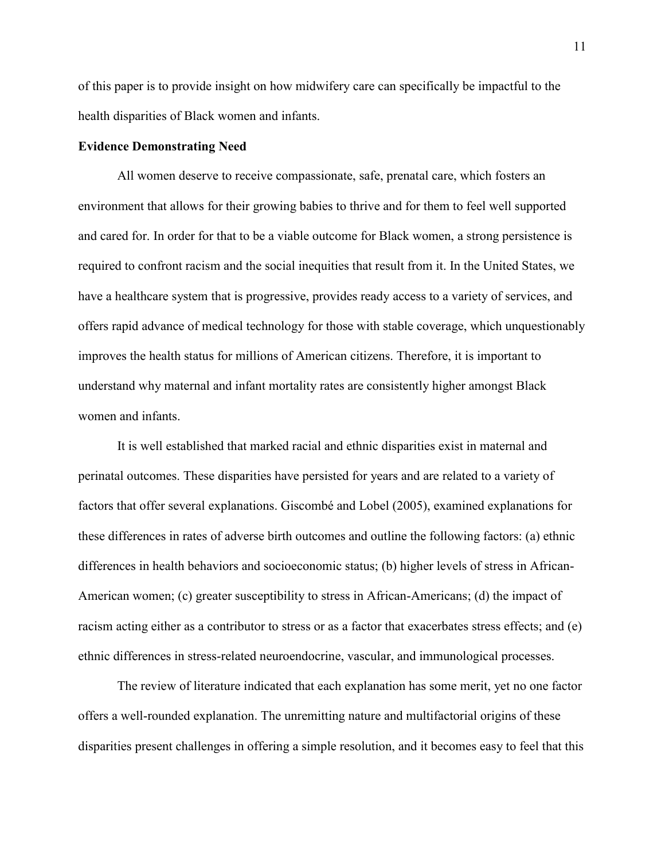of this paper is to provide insight on how midwifery care can specifically be impactful to the health disparities of Black women and infants.

#### **Evidence Demonstrating Need**

All women deserve to receive compassionate, safe, prenatal care, which fosters an environment that allows for their growing babies to thrive and for them to feel well supported and cared for. In order for that to be a viable outcome for Black women, a strong persistence is required to confront racism and the social inequities that result from it. In the United States, we have a healthcare system that is progressive, provides ready access to a variety of services, and offers rapid advance of medical technology for those with stable coverage, which unquestionably improves the health status for millions of American citizens. Therefore, it is important to understand why maternal and infant mortality rates are consistently higher amongst Black women and infants.

It is well established that marked racial and ethnic disparities exist in maternal and perinatal outcomes. These disparities have persisted for years and are related to a variety of factors that offer several explanations. Giscombé and Lobel (2005), examined explanations for these differences in rates of adverse birth outcomes and outline the following factors: (a) ethnic differences in health behaviors and socioeconomic status; (b) higher levels of stress in African-American women; (c) greater susceptibility to stress in African-Americans; (d) the impact of racism acting either as a contributor to stress or as a factor that exacerbates stress effects; and (e) ethnic differences in stress-related neuroendocrine, vascular, and immunological processes.

The review of literature indicated that each explanation has some merit, yet no one factor offers a well-rounded explanation. The unremitting nature and multifactorial origins of these disparities present challenges in offering a simple resolution, and it becomes easy to feel that this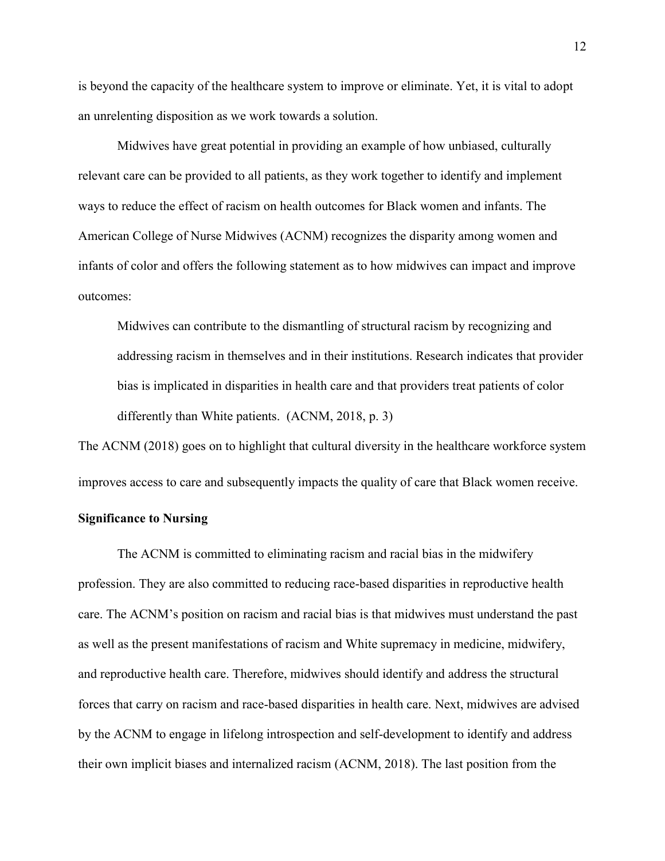is beyond the capacity of the healthcare system to improve or eliminate. Yet, it is vital to adopt an unrelenting disposition as we work towards a solution.

Midwives have great potential in providing an example of how unbiased, culturally relevant care can be provided to all patients, as they work together to identify and implement ways to reduce the effect of racism on health outcomes for Black women and infants. The American College of Nurse Midwives (ACNM) recognizes the disparity among women and infants of color and offers the following statement as to how midwives can impact and improve outcomes:

Midwives can contribute to the dismantling of structural racism by recognizing and addressing racism in themselves and in their institutions. Research indicates that provider bias is implicated in disparities in health care and that providers treat patients of color differently than White patients. (ACNM, 2018, p. 3)

The ACNM (2018) goes on to highlight that cultural diversity in the healthcare workforce system improves access to care and subsequently impacts the quality of care that Black women receive.

#### **Significance to Nursing**

The ACNM is committed to eliminating racism and racial bias in the midwifery profession. They are also committed to reducing race-based disparities in reproductive health care. The ACNM's position on racism and racial bias is that midwives must understand the past as well as the present manifestations of racism and White supremacy in medicine, midwifery, and reproductive health care. Therefore, midwives should identify and address the structural forces that carry on racism and race-based disparities in health care. Next, midwives are advised by the ACNM to engage in lifelong introspection and self-development to identify and address their own implicit biases and internalized racism (ACNM, 2018). The last position from the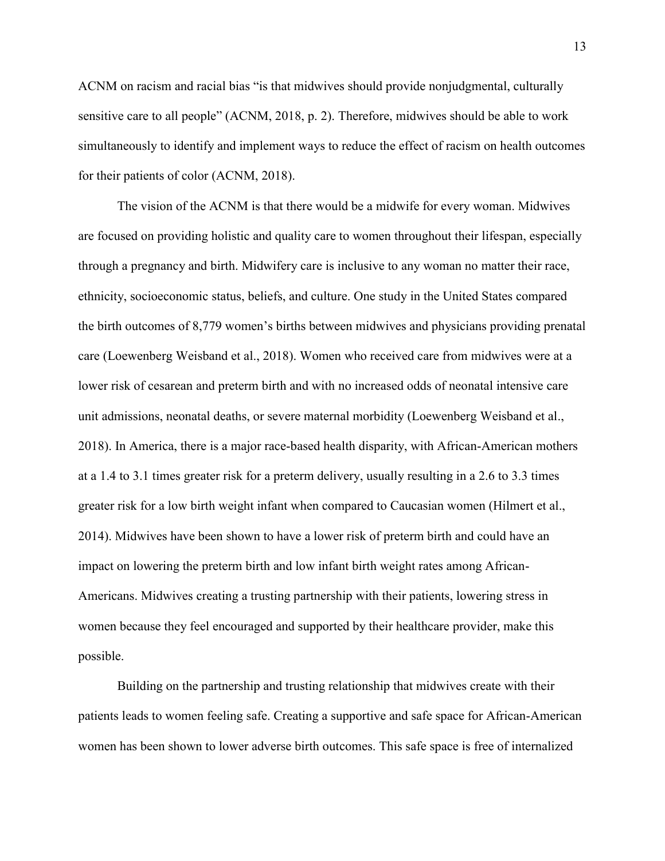ACNM on racism and racial bias "is that midwives should provide nonjudgmental, culturally sensitive care to all people" (ACNM, 2018, p. 2). Therefore, midwives should be able to work simultaneously to identify and implement ways to reduce the effect of racism on health outcomes for their patients of color (ACNM, 2018).

The vision of the ACNM is that there would be a midwife for every woman. Midwives are focused on providing holistic and quality care to women throughout their lifespan, especially through a pregnancy and birth. Midwifery care is inclusive to any woman no matter their race, ethnicity, socioeconomic status, beliefs, and culture. One study in the United States compared the birth outcomes of 8,779 women's births between midwives and physicians providing prenatal care (Loewenberg Weisband et al., 2018). Women who received care from midwives were at a lower risk of cesarean and preterm birth and with no increased odds of neonatal intensive care unit admissions, neonatal deaths, or severe maternal morbidity (Loewenberg Weisband et al., 2018). In America, there is a major race-based health disparity, with African-American mothers at a 1.4 to 3.1 times greater risk for a preterm delivery, usually resulting in a 2.6 to 3.3 times greater risk for a low birth weight infant when compared to Caucasian women (Hilmert et al., 2014). Midwives have been shown to have a lower risk of preterm birth and could have an impact on lowering the preterm birth and low infant birth weight rates among African-Americans. Midwives creating a trusting partnership with their patients, lowering stress in women because they feel encouraged and supported by their healthcare provider, make this possible.

Building on the partnership and trusting relationship that midwives create with their patients leads to women feeling safe. Creating a supportive and safe space for African-American women has been shown to lower adverse birth outcomes. This safe space is free of internalized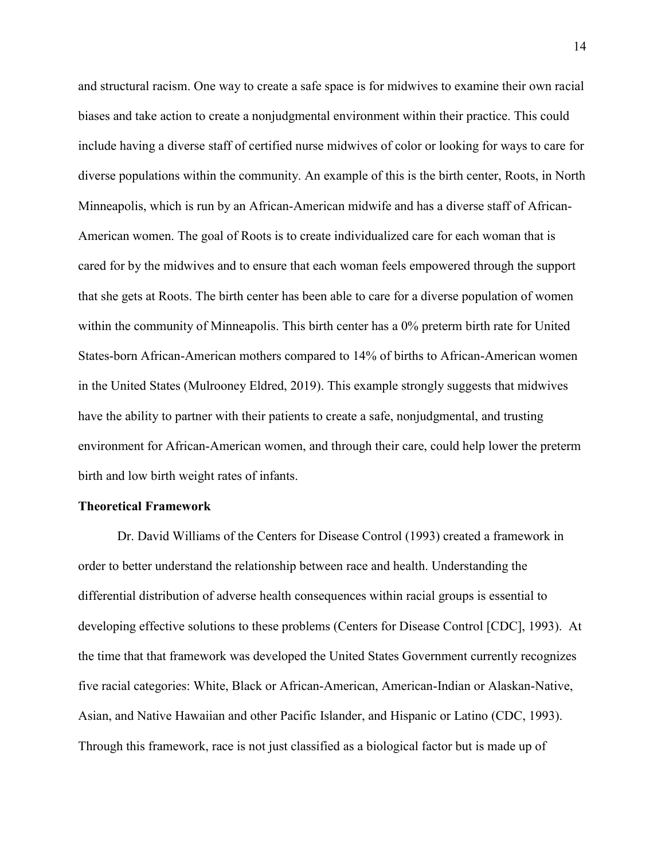and structural racism. One way to create a safe space is for midwives to examine their own racial biases and take action to create a nonjudgmental environment within their practice. This could include having a diverse staff of certified nurse midwives of color or looking for ways to care for diverse populations within the community. An example of this is the birth center, Roots, in North Minneapolis, which is run by an African-American midwife and has a diverse staff of African-American women. The goal of Roots is to create individualized care for each woman that is cared for by the midwives and to ensure that each woman feels empowered through the support that she gets at Roots. The birth center has been able to care for a diverse population of women within the community of Minneapolis. This birth center has a 0% preterm birth rate for United States-born African-American mothers compared to 14% of births to African-American women in the United States (Mulrooney Eldred, 2019). This example strongly suggests that midwives have the ability to partner with their patients to create a safe, nonjudgmental, and trusting environment for African-American women, and through their care, could help lower the preterm birth and low birth weight rates of infants.

#### **Theoretical Framework**

Dr. David Williams of the Centers for Disease Control (1993) created a framework in order to better understand the relationship between race and health. Understanding the differential distribution of adverse health consequences within racial groups is essential to developing effective solutions to these problems (Centers for Disease Control [CDC], 1993). At the time that that framework was developed the United States Government currently recognizes five racial categories: White, Black or African-American, American-Indian or Alaskan-Native, Asian, and Native Hawaiian and other Pacific Islander, and Hispanic or Latino (CDC, 1993). Through this framework, race is not just classified as a biological factor but is made up of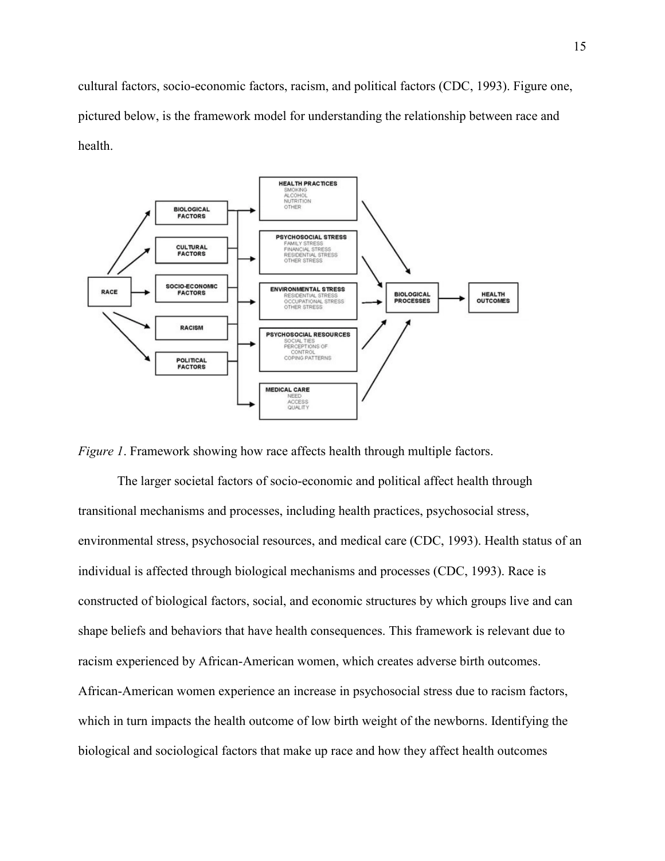cultural factors, socio-economic factors, racism, and political factors (CDC, 1993). Figure one, pictured below, is the framework model for understanding the relationship between race and health.





The larger societal factors of socio-economic and political affect health through transitional mechanisms and processes, including health practices, psychosocial stress, environmental stress, psychosocial resources, and medical care (CDC, 1993). Health status of an individual is affected through biological mechanisms and processes (CDC, 1993). Race is constructed of biological factors, social, and economic structures by which groups live and can shape beliefs and behaviors that have health consequences. This framework is relevant due to racism experienced by African-American women, which creates adverse birth outcomes. African-American women experience an increase in psychosocial stress due to racism factors, which in turn impacts the health outcome of low birth weight of the newborns. Identifying the biological and sociological factors that make up race and how they affect health outcomes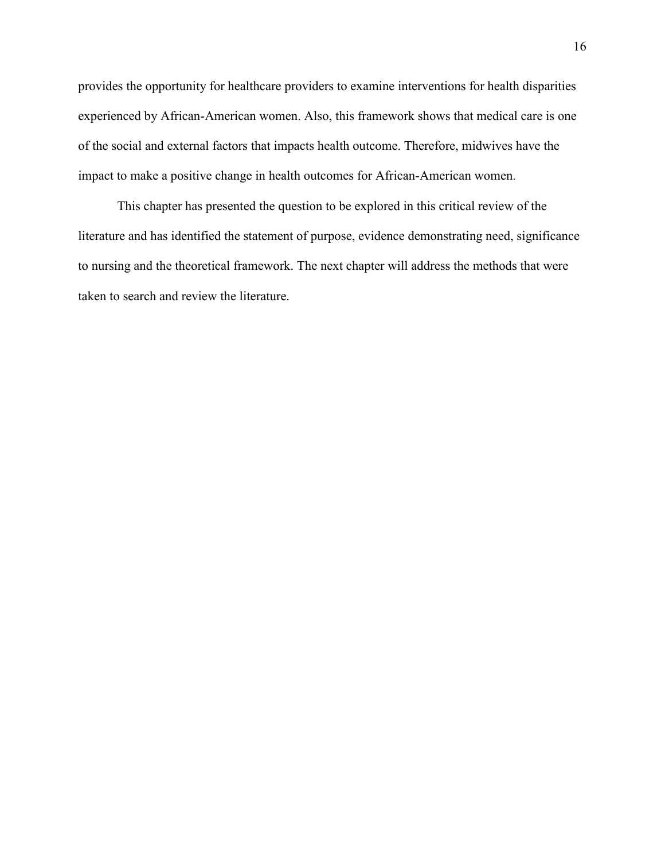provides the opportunity for healthcare providers to examine interventions for health disparities experienced by African-American women. Also, this framework shows that medical care is one of the social and external factors that impacts health outcome. Therefore, midwives have the impact to make a positive change in health outcomes for African-American women.

This chapter has presented the question to be explored in this critical review of the literature and has identified the statement of purpose, evidence demonstrating need, significance to nursing and the theoretical framework. The next chapter will address the methods that were taken to search and review the literature.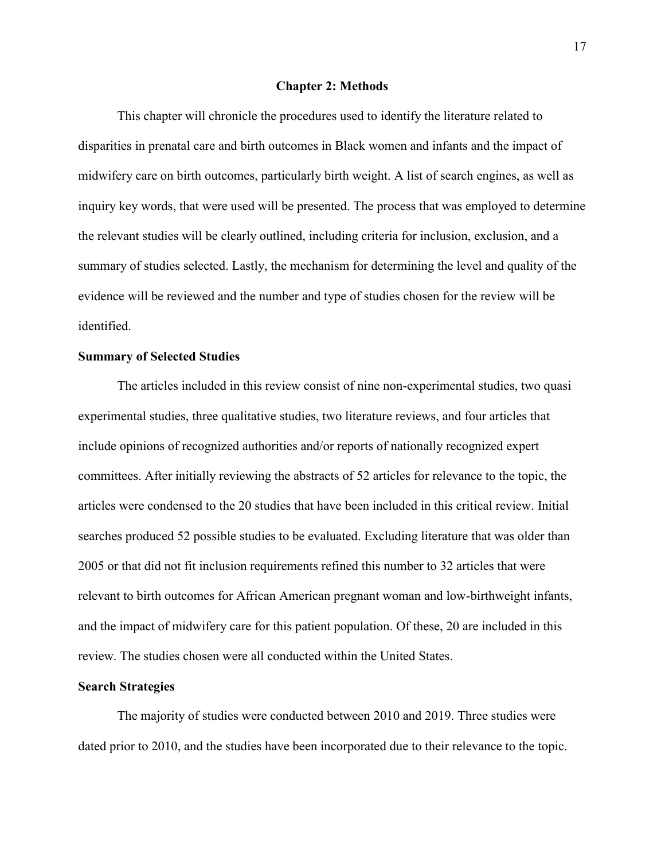#### **Chapter 2: Methods**

This chapter will chronicle the procedures used to identify the literature related to disparities in prenatal care and birth outcomes in Black women and infants and the impact of midwifery care on birth outcomes, particularly birth weight. A list of search engines, as well as inquiry key words, that were used will be presented. The process that was employed to determine the relevant studies will be clearly outlined, including criteria for inclusion, exclusion, and a summary of studies selected. Lastly, the mechanism for determining the level and quality of the evidence will be reviewed and the number and type of studies chosen for the review will be identified.

#### **Summary of Selected Studies**

The articles included in this review consist of nine non-experimental studies, two quasi experimental studies, three qualitative studies, two literature reviews, and four articles that include opinions of recognized authorities and/or reports of nationally recognized expert committees. After initially reviewing the abstracts of 52 articles for relevance to the topic, the articles were condensed to the 20 studies that have been included in this critical review. Initial searches produced 52 possible studies to be evaluated. Excluding literature that was older than 2005 or that did not fit inclusion requirements refined this number to 32 articles that were relevant to birth outcomes for African American pregnant woman and low-birthweight infants, and the impact of midwifery care for this patient population. Of these, 20 are included in this review. The studies chosen were all conducted within the United States.

#### **Search Strategies**

The majority of studies were conducted between 2010 and 2019. Three studies were dated prior to 2010, and the studies have been incorporated due to their relevance to the topic.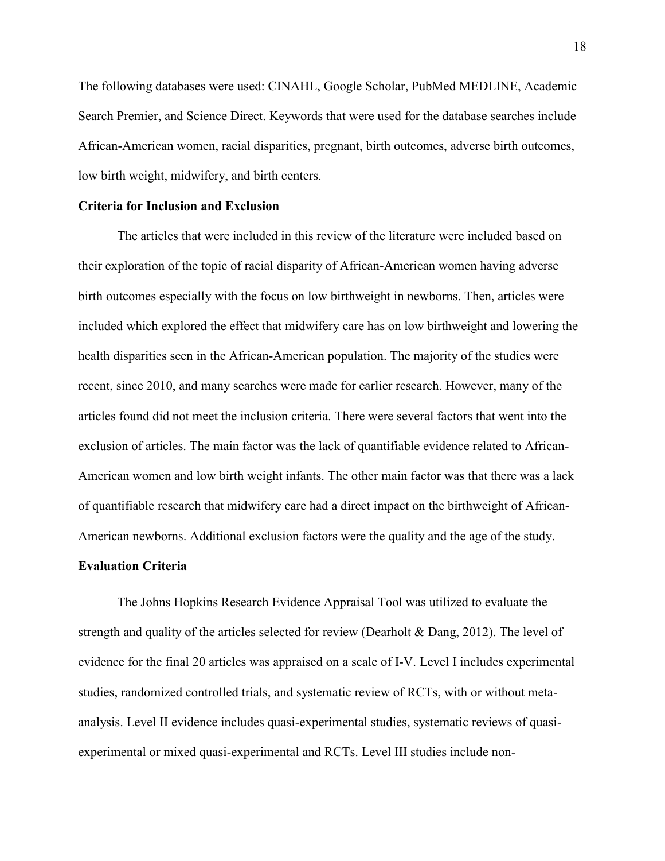The following databases were used: CINAHL, Google Scholar, PubMed MEDLINE, Academic Search Premier, and Science Direct. Keywords that were used for the database searches include African-American women, racial disparities, pregnant, birth outcomes, adverse birth outcomes, low birth weight, midwifery, and birth centers.

#### **Criteria for Inclusion and Exclusion**

The articles that were included in this review of the literature were included based on their exploration of the topic of racial disparity of African-American women having adverse birth outcomes especially with the focus on low birthweight in newborns. Then, articles were included which explored the effect that midwifery care has on low birthweight and lowering the health disparities seen in the African-American population. The majority of the studies were recent, since 2010, and many searches were made for earlier research. However, many of the articles found did not meet the inclusion criteria. There were several factors that went into the exclusion of articles. The main factor was the lack of quantifiable evidence related to African-American women and low birth weight infants. The other main factor was that there was a lack of quantifiable research that midwifery care had a direct impact on the birthweight of African-American newborns. Additional exclusion factors were the quality and the age of the study.

#### **Evaluation Criteria**

The Johns Hopkins Research Evidence Appraisal Tool was utilized to evaluate the strength and quality of the articles selected for review (Dearholt & Dang, 2012). The level of evidence for the final 20 articles was appraised on a scale of I-V. Level I includes experimental studies, randomized controlled trials, and systematic review of RCTs, with or without metaanalysis. Level II evidence includes quasi-experimental studies, systematic reviews of quasiexperimental or mixed quasi-experimental and RCTs. Level III studies include non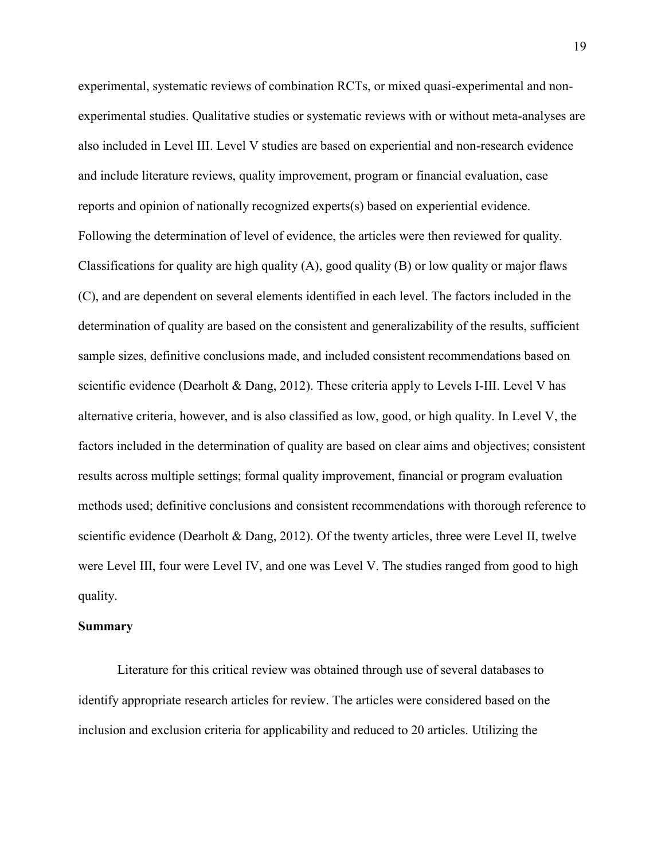experimental, systematic reviews of combination RCTs, or mixed quasi-experimental and nonexperimental studies. Qualitative studies or systematic reviews with or without meta-analyses are also included in Level III. Level V studies are based on experiential and non-research evidence and include literature reviews, quality improvement, program or financial evaluation, case reports and opinion of nationally recognized experts(s) based on experiential evidence. Following the determination of level of evidence, the articles were then reviewed for quality. Classifications for quality are high quality (A), good quality (B) or low quality or major flaws (C), and are dependent on several elements identified in each level. The factors included in the determination of quality are based on the consistent and generalizability of the results, sufficient sample sizes, definitive conclusions made, and included consistent recommendations based on scientific evidence (Dearholt & Dang, 2012). These criteria apply to Levels I-III. Level V has alternative criteria, however, and is also classified as low, good, or high quality. In Level V, the factors included in the determination of quality are based on clear aims and objectives; consistent results across multiple settings; formal quality improvement, financial or program evaluation methods used; definitive conclusions and consistent recommendations with thorough reference to scientific evidence (Dearholt & Dang, 2012). Of the twenty articles, three were Level II, twelve were Level III, four were Level IV, and one was Level V. The studies ranged from good to high quality.

#### **Summary**

Literature for this critical review was obtained through use of several databases to identify appropriate research articles for review. The articles were considered based on the inclusion and exclusion criteria for applicability and reduced to 20 articles. Utilizing the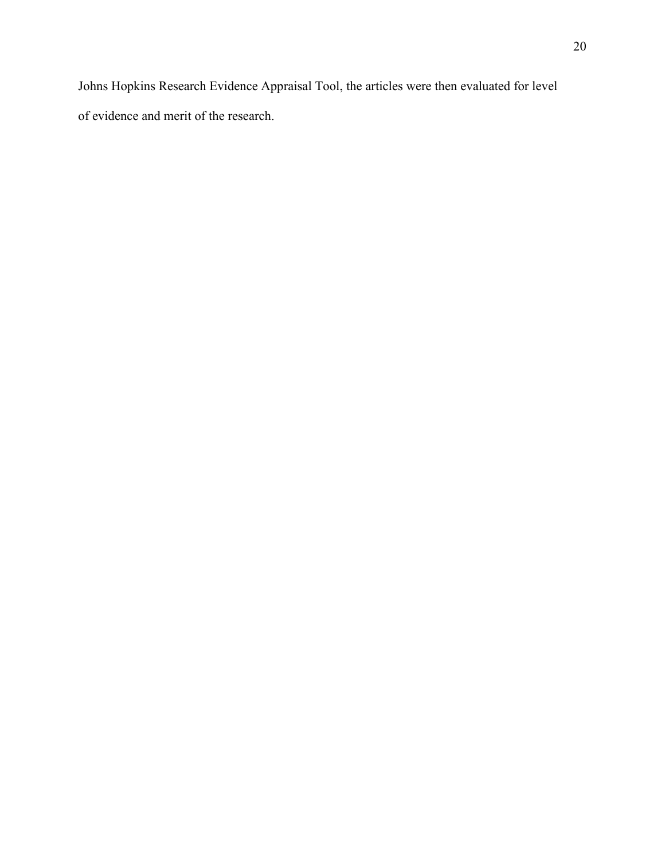Johns Hopkins Research Evidence Appraisal Tool, the articles were then evaluated for level of evidence and merit of the research.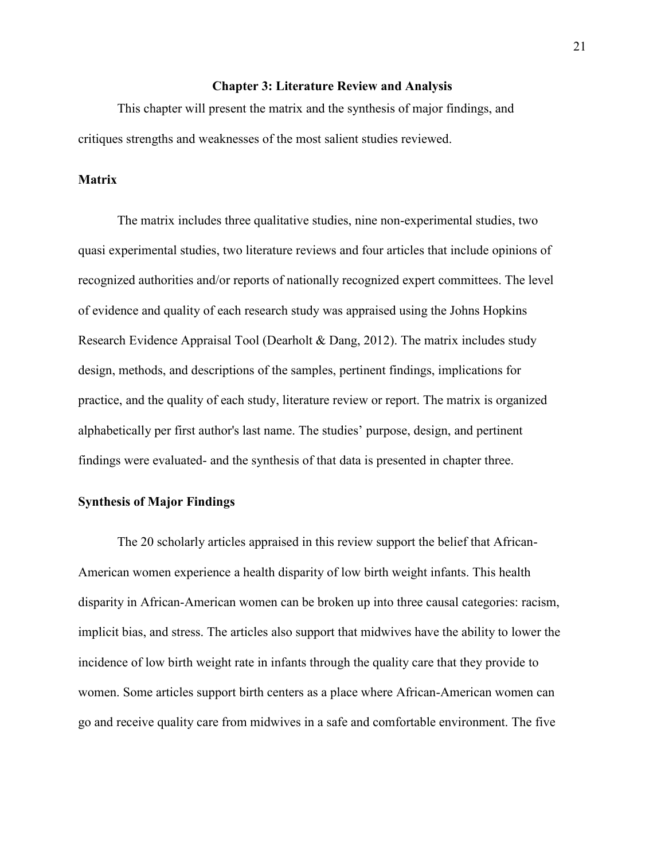#### **Chapter 3: Literature Review and Analysis**

This chapter will present the matrix and the synthesis of major findings, and critiques strengths and weaknesses of the most salient studies reviewed.

#### **Matrix**

The matrix includes three qualitative studies, nine non-experimental studies, two quasi experimental studies, two literature reviews and four articles that include opinions of recognized authorities and/or reports of nationally recognized expert committees. The level of evidence and quality of each research study was appraised using the Johns Hopkins Research Evidence Appraisal Tool (Dearholt & Dang, 2012). The matrix includes study design, methods, and descriptions of the samples, pertinent findings, implications for practice, and the quality of each study, literature review or report. The matrix is organized alphabetically per first author's last name. The studies' purpose, design, and pertinent findings were evaluated- and the synthesis of that data is presented in chapter three.

#### **Synthesis of Major Findings**

The 20 scholarly articles appraised in this review support the belief that African-American women experience a health disparity of low birth weight infants. This health disparity in African-American women can be broken up into three causal categories: racism, implicit bias, and stress. The articles also support that midwives have the ability to lower the incidence of low birth weight rate in infants through the quality care that they provide to women. Some articles support birth centers as a place where African-American women can go and receive quality care from midwives in a safe and comfortable environment. The five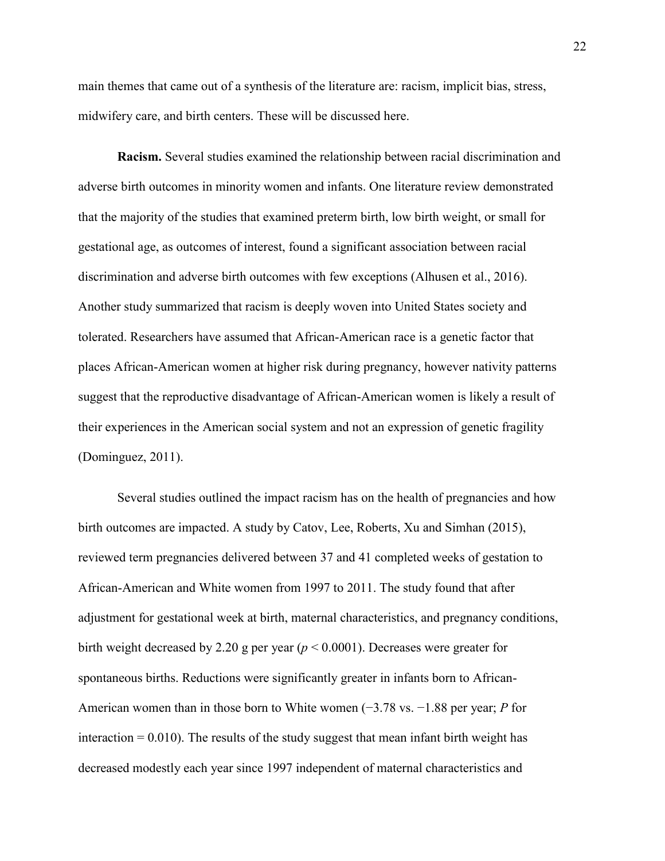main themes that came out of a synthesis of the literature are: racism, implicit bias, stress, midwifery care, and birth centers. These will be discussed here.

**Racism.** Several studies examined the relationship between racial discrimination and adverse birth outcomes in minority women and infants. One literature review demonstrated that the majority of the studies that examined preterm birth, low birth weight, or small for gestational age, as outcomes of interest, found a significant association between racial discrimination and adverse birth outcomes with few exceptions (Alhusen et al., 2016). Another study summarized that racism is deeply woven into United States society and tolerated. Researchers have assumed that African-American race is a genetic factor that places African-American women at higher risk during pregnancy, however nativity patterns suggest that the reproductive disadvantage of African-American women is likely a result of their experiences in the American social system and not an expression of genetic fragility (Dominguez, 2011).

Several studies outlined the impact racism has on the health of pregnancies and how birth outcomes are impacted. A study by Catov, Lee, Roberts, Xu and Simhan (2015), reviewed term pregnancies delivered between 37 and 41 completed weeks of gestation to African-American and White women from 1997 to 2011. The study found that after adjustment for gestational week at birth, maternal characteristics, and pregnancy conditions, birth weight decreased by 2.20 g per year (*p* < 0.0001). Decreases were greater for spontaneous births. Reductions were significantly greater in infants born to African-American women than in those born to White women (−3.78 vs. −1.88 per year; *P* for interaction  $= 0.010$ ). The results of the study suggest that mean infant birth weight has decreased modestly each year since 1997 independent of maternal characteristics and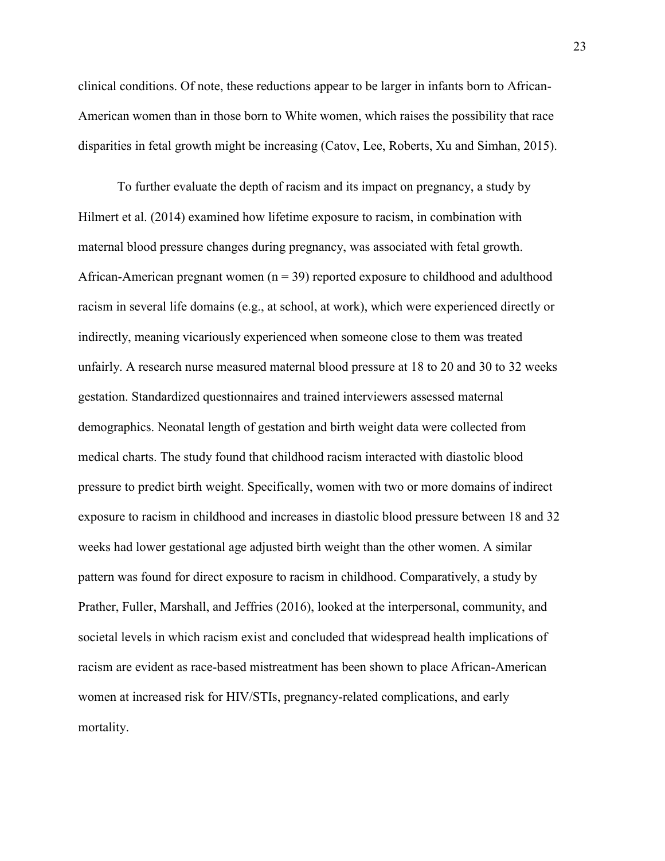clinical conditions. Of note, these reductions appear to be larger in infants born to African-American women than in those born to White women, which raises the possibility that race disparities in fetal growth might be increasing (Catov, Lee, Roberts, Xu and Simhan, 2015).

To further evaluate the depth of racism and its impact on pregnancy, a study by Hilmert et al. (2014) examined how lifetime exposure to racism, in combination with maternal blood pressure changes during pregnancy, was associated with fetal growth. African-American pregnant women  $(n = 39)$  reported exposure to childhood and adulthood racism in several life domains (e.g., at school, at work), which were experienced directly or indirectly, meaning vicariously experienced when someone close to them was treated unfairly. A research nurse measured maternal blood pressure at 18 to 20 and 30 to 32 weeks gestation. Standardized questionnaires and trained interviewers assessed maternal demographics. Neonatal length of gestation and birth weight data were collected from medical charts. The study found that childhood racism interacted with diastolic blood pressure to predict birth weight. Specifically, women with two or more domains of indirect exposure to racism in childhood and increases in diastolic blood pressure between 18 and 32 weeks had lower gestational age adjusted birth weight than the other women. A similar pattern was found for direct exposure to racism in childhood. Comparatively, a study by Prather, Fuller, Marshall, and Jeffries (2016), looked at the interpersonal, community, and societal levels in which racism exist and concluded that widespread health implications of racism are evident as race-based mistreatment has been shown to place African-American women at increased risk for HIV/STIs, pregnancy-related complications, and early mortality.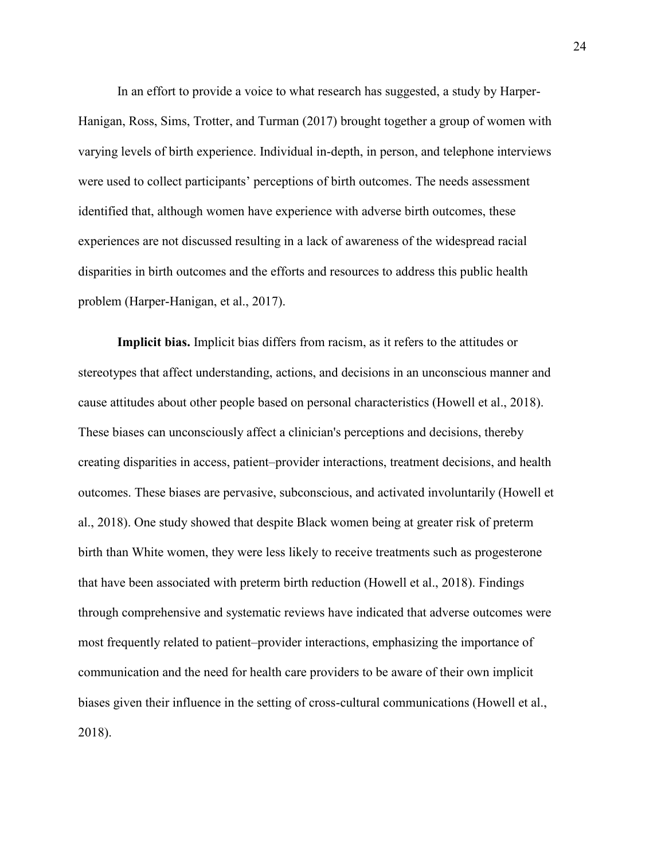In an effort to provide a voice to what research has suggested, a study by Harper-Hanigan, Ross, Sims, Trotter, and Turman (2017) brought together a group of women with varying levels of birth experience. Individual in-depth, in person, and telephone interviews were used to collect participants' perceptions of birth outcomes. The needs assessment identified that, although women have experience with adverse birth outcomes, these experiences are not discussed resulting in a lack of awareness of the widespread racial disparities in birth outcomes and the efforts and resources to address this public health problem (Harper-Hanigan, et al., 2017).

**Implicit bias.** Implicit bias differs from racism, as it refers to the attitudes or stereotypes that affect understanding, actions, and decisions in an unconscious manner and cause attitudes about other people based on personal characteristics (Howell et al., 2018). These biases can unconsciously affect a clinician's perceptions and decisions, thereby creating disparities in access, patient–provider interactions, treatment decisions, and health outcomes. These biases are pervasive, subconscious, and activated involuntarily (Howell et al., 2018). One study showed that despite Black women being at greater risk of preterm birth than White women, they were less likely to receive treatments such as progesterone that have been associated with preterm birth reduction (Howell et al., 2018). Findings through comprehensive and systematic reviews have indicated that adverse outcomes were most frequently related to patient–provider interactions, emphasizing the importance of communication and the need for health care providers to be aware of their own implicit biases given their influence in the setting of cross-cultural communications (Howell et al., 2018).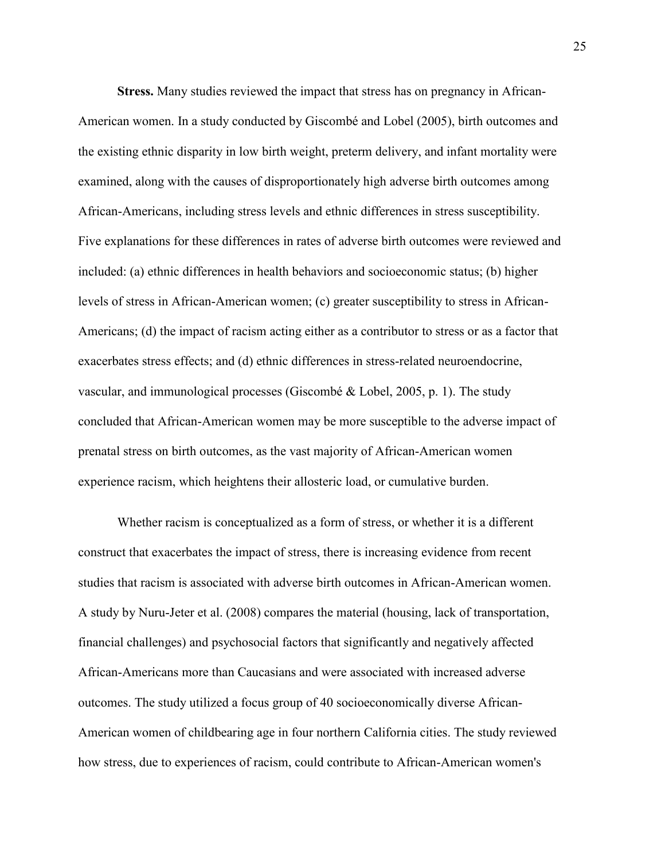**Stress.** Many studies reviewed the impact that stress has on pregnancy in African-American women. In a study conducted by Giscombé and Lobel (2005), birth outcomes and the existing ethnic disparity in low birth weight, preterm delivery, and infant mortality were examined, along with the causes of disproportionately high adverse birth outcomes among African-Americans, including stress levels and ethnic differences in stress susceptibility. Five explanations for these differences in rates of adverse birth outcomes were reviewed and included: (a) ethnic differences in health behaviors and socioeconomic status; (b) higher levels of stress in African-American women; (c) greater susceptibility to stress in African-Americans; (d) the impact of racism acting either as a contributor to stress or as a factor that exacerbates stress effects; and (d) ethnic differences in stress-related neuroendocrine, vascular, and immunological processes (Giscombé & Lobel, 2005, p. 1). The study concluded that African-American women may be more susceptible to the adverse impact of prenatal stress on birth outcomes, as the vast majority of African-American women experience racism, which heightens their allosteric load, or cumulative burden.

Whether racism is conceptualized as a form of stress, or whether it is a different construct that exacerbates the impact of stress, there is increasing evidence from recent studies that racism is associated with adverse birth outcomes in African-American women. A study by Nuru-Jeter et al. (2008) compares the material (housing, lack of transportation, financial challenges) and psychosocial factors that significantly and negatively affected African-Americans more than Caucasians and were associated with increased adverse outcomes. The study utilized a focus group of 40 socioeconomically diverse African-American women of childbearing age in four northern California cities. The study reviewed how stress, due to experiences of racism, could contribute to African-American women's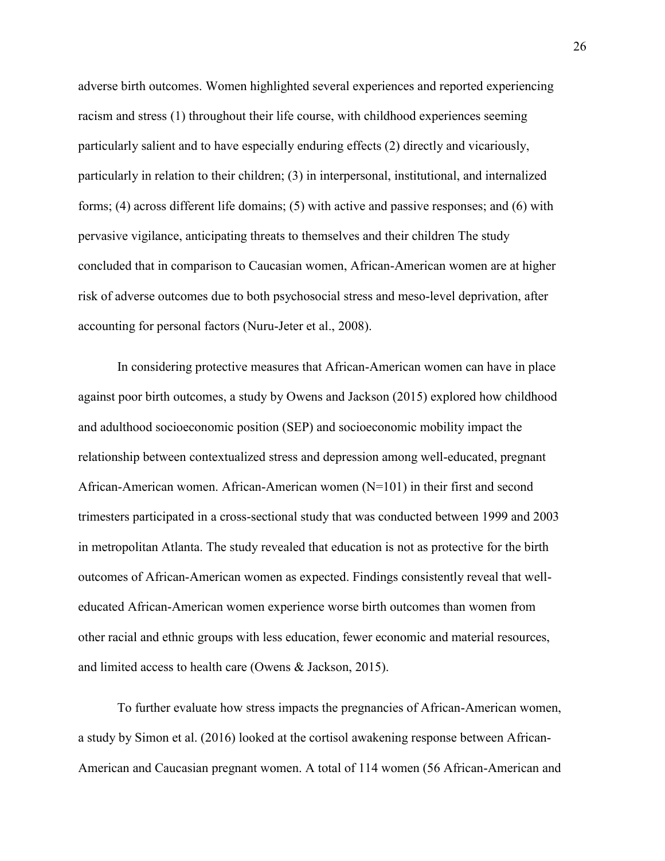adverse birth outcomes. Women highlighted several experiences and reported experiencing racism and stress (1) throughout their life course, with childhood experiences seeming particularly salient and to have especially enduring effects (2) directly and vicariously, particularly in relation to their children; (3) in interpersonal, institutional, and internalized forms; (4) across different life domains; (5) with active and passive responses; and (6) with pervasive vigilance, anticipating threats to themselves and their children The study concluded that in comparison to Caucasian women, African-American women are at higher risk of adverse outcomes due to both psychosocial stress and meso-level deprivation, after accounting for personal factors (Nuru-Jeter et al., 2008).

In considering protective measures that African-American women can have in place against poor birth outcomes, a study by Owens and Jackson (2015) explored how childhood and adulthood socioeconomic position (SEP) and socioeconomic mobility impact the relationship between contextualized stress and depression among well-educated, pregnant African-American women. African-American women (N=101) in their first and second trimesters participated in a cross-sectional study that was conducted between 1999 and 2003 in metropolitan Atlanta. The study revealed that education is not as protective for the birth outcomes of African-American women as expected. Findings consistently reveal that welleducated African-American women experience worse birth outcomes than women from other racial and ethnic groups with less education, fewer economic and material resources, and limited access to health care (Owens & Jackson, 2015).

To further evaluate how stress impacts the pregnancies of African-American women, a study by Simon et al. (2016) looked at the cortisol awakening response between African-American and Caucasian pregnant women. A total of 114 women (56 African-American and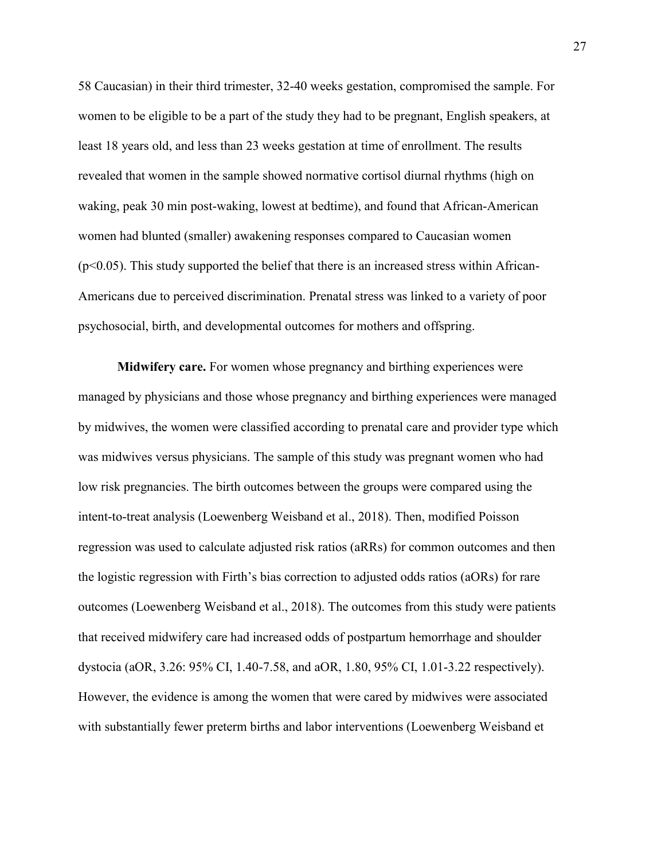58 Caucasian) in their third trimester, 32-40 weeks gestation, compromised the sample. For women to be eligible to be a part of the study they had to be pregnant, English speakers, at least 18 years old, and less than 23 weeks gestation at time of enrollment. The results revealed that women in the sample showed normative cortisol diurnal rhythms (high on waking, peak 30 min post-waking, lowest at bedtime), and found that African-American women had blunted (smaller) awakening responses compared to Caucasian women  $(p<0.05)$ . This study supported the belief that there is an increased stress within African-Americans due to perceived discrimination. Prenatal stress was linked to a variety of poor psychosocial, birth, and developmental outcomes for mothers and offspring.

**Midwifery care.** For women whose pregnancy and birthing experiences were managed by physicians and those whose pregnancy and birthing experiences were managed by midwives, the women were classified according to prenatal care and provider type which was midwives versus physicians. The sample of this study was pregnant women who had low risk pregnancies. The birth outcomes between the groups were compared using the intent-to-treat analysis (Loewenberg Weisband et al., 2018). Then, modified Poisson regression was used to calculate adjusted risk ratios (aRRs) for common outcomes and then the logistic regression with Firth's bias correction to adjusted odds ratios (aORs) for rare outcomes (Loewenberg Weisband et al., 2018). The outcomes from this study were patients that received midwifery care had increased odds of postpartum hemorrhage and shoulder dystocia (aOR, 3.26: 95% CI, 1.40-7.58, and aOR, 1.80, 95% CI, 1.01-3.22 respectively). However, the evidence is among the women that were cared by midwives were associated with substantially fewer preterm births and labor interventions (Loewenberg Weisband et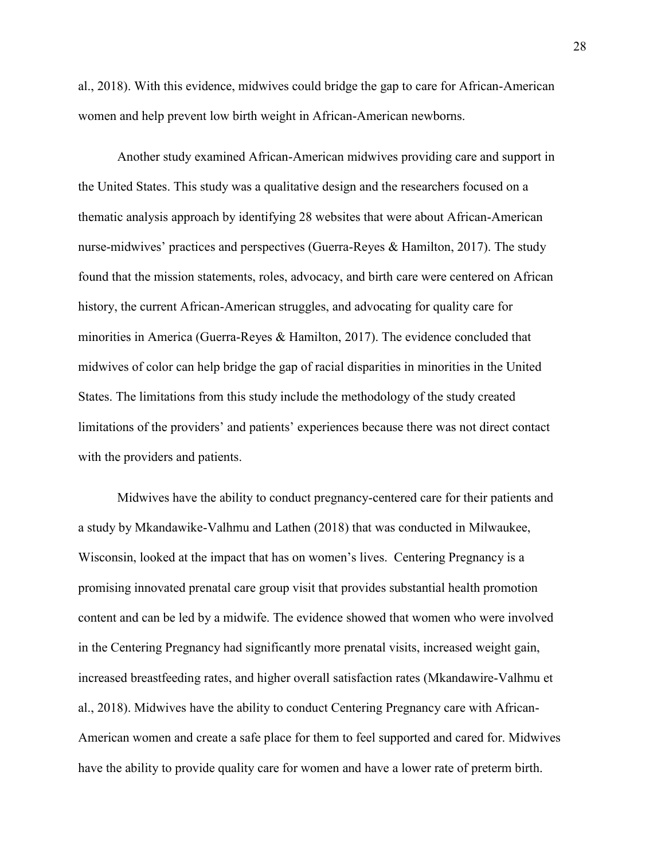al., 2018). With this evidence, midwives could bridge the gap to care for African-American women and help prevent low birth weight in African-American newborns.

Another study examined African-American midwives providing care and support in the United States. This study was a qualitative design and the researchers focused on a thematic analysis approach by identifying 28 websites that were about African-American nurse-midwives' practices and perspectives (Guerra-Reyes & Hamilton, 2017). The study found that the mission statements, roles, advocacy, and birth care were centered on African history, the current African-American struggles, and advocating for quality care for minorities in America (Guerra-Reyes & Hamilton, 2017). The evidence concluded that midwives of color can help bridge the gap of racial disparities in minorities in the United States. The limitations from this study include the methodology of the study created limitations of the providers' and patients' experiences because there was not direct contact with the providers and patients.

Midwives have the ability to conduct pregnancy-centered care for their patients and a study by Mkandawike-Valhmu and Lathen (2018) that was conducted in Milwaukee, Wisconsin, looked at the impact that has on women's lives. Centering Pregnancy is a promising innovated prenatal care group visit that provides substantial health promotion content and can be led by a midwife. The evidence showed that women who were involved in the Centering Pregnancy had significantly more prenatal visits, increased weight gain, increased breastfeeding rates, and higher overall satisfaction rates (Mkandawire-Valhmu et al., 2018). Midwives have the ability to conduct Centering Pregnancy care with African-American women and create a safe place for them to feel supported and cared for. Midwives have the ability to provide quality care for women and have a lower rate of preterm birth.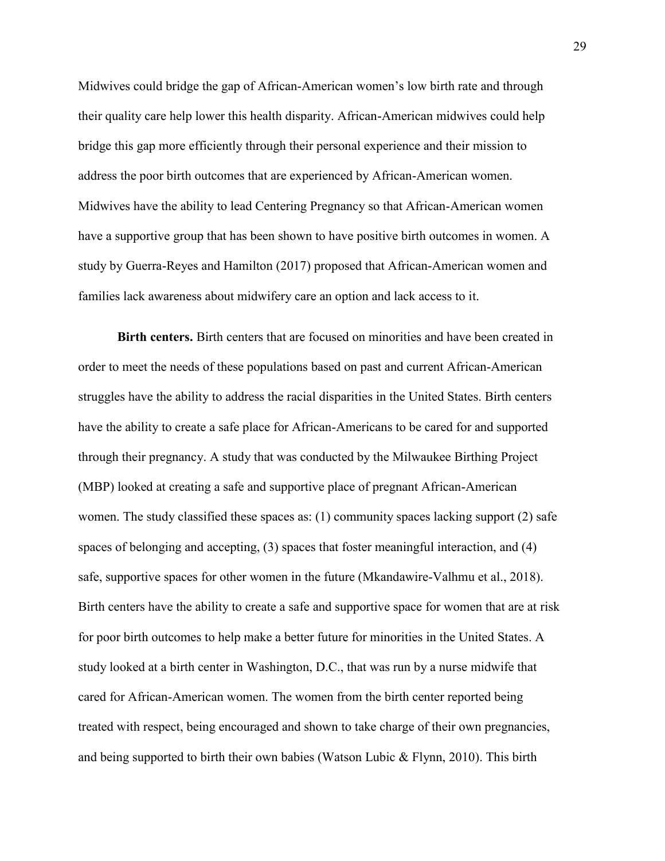Midwives could bridge the gap of African-American women's low birth rate and through their quality care help lower this health disparity. African-American midwives could help bridge this gap more efficiently through their personal experience and their mission to address the poor birth outcomes that are experienced by African-American women. Midwives have the ability to lead Centering Pregnancy so that African-American women have a supportive group that has been shown to have positive birth outcomes in women. A study by Guerra-Reyes and Hamilton (2017) proposed that African-American women and families lack awareness about midwifery care an option and lack access to it.

**Birth centers.** Birth centers that are focused on minorities and have been created in order to meet the needs of these populations based on past and current African-American struggles have the ability to address the racial disparities in the United States. Birth centers have the ability to create a safe place for African-Americans to be cared for and supported through their pregnancy. A study that was conducted by the Milwaukee Birthing Project (MBP) looked at creating a safe and supportive place of pregnant African-American women. The study classified these spaces as: (1) community spaces lacking support (2) safe spaces of belonging and accepting, (3) spaces that foster meaningful interaction, and (4) safe, supportive spaces for other women in the future (Mkandawire-Valhmu et al., 2018). Birth centers have the ability to create a safe and supportive space for women that are at risk for poor birth outcomes to help make a better future for minorities in the United States. A study looked at a birth center in Washington, D.C., that was run by a nurse midwife that cared for African-American women. The women from the birth center reported being treated with respect, being encouraged and shown to take charge of their own pregnancies, and being supported to birth their own babies (Watson Lubic  $\&$  Flynn, 2010). This birth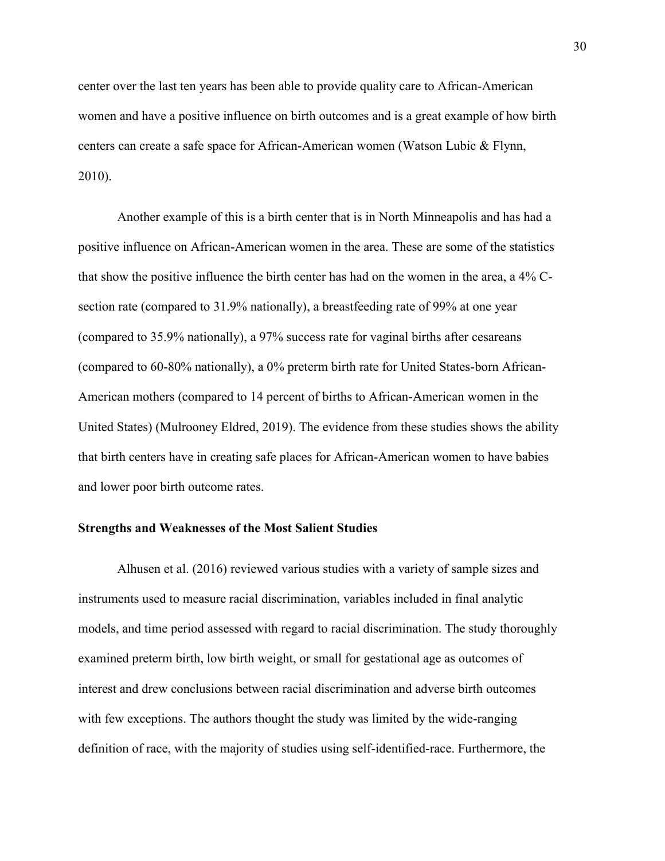center over the last ten years has been able to provide quality care to African-American women and have a positive influence on birth outcomes and is a great example of how birth centers can create a safe space for African-American women (Watson Lubic & Flynn, 2010).

Another example of this is a birth center that is in North Minneapolis and has had a positive influence on African-American women in the area. These are some of the statistics that show the positive influence the birth center has had on the women in the area, a 4% Csection rate (compared to 31.9% nationally), a breastfeeding rate of 99% at one year (compared to 35.9% nationally), a 97% success rate for vaginal births after cesareans (compared to 60-80% nationally), a 0% preterm birth rate for United States-born African-American mothers (compared to 14 percent of births to African-American women in the United States) (Mulrooney Eldred, 2019). The evidence from these studies shows the ability that birth centers have in creating safe places for African-American women to have babies and lower poor birth outcome rates.

#### **Strengths and Weaknesses of the Most Salient Studies**

Alhusen et al. (2016) reviewed various studies with a variety of sample sizes and instruments used to measure racial discrimination, variables included in final analytic models, and time period assessed with regard to racial discrimination. The study thoroughly examined preterm birth, low birth weight, or small for gestational age as outcomes of interest and drew conclusions between racial discrimination and adverse birth outcomes with few exceptions. The authors thought the study was limited by the wide-ranging definition of race, with the majority of studies using self-identified-race. Furthermore, the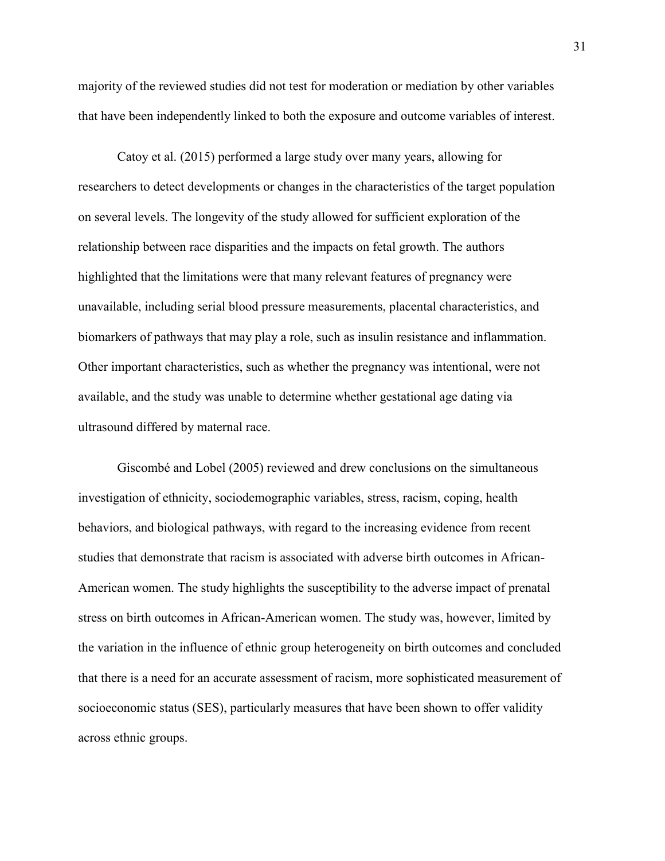majority of the reviewed studies did not test for moderation or mediation by other variables that have been independently linked to both the exposure and outcome variables of interest.

Catoy et al. (2015) performed a large study over many years, allowing for researchers to detect developments or changes in the characteristics of the target population on several levels. The longevity of the study allowed for sufficient exploration of the relationship between race disparities and the impacts on fetal growth. The authors highlighted that the limitations were that many relevant features of pregnancy were unavailable, including serial blood pressure measurements, placental characteristics, and biomarkers of pathways that may play a role, such as insulin resistance and inflammation. Other important characteristics, such as whether the pregnancy was intentional, were not available, and the study was unable to determine whether gestational age dating via ultrasound differed by maternal race.

Giscombé and Lobel (2005) reviewed and drew conclusions on the simultaneous investigation of ethnicity, sociodemographic variables, stress, racism, coping, health behaviors, and biological pathways, with regard to the increasing evidence from recent studies that demonstrate that racism is associated with adverse birth outcomes in African-American women. The study highlights the susceptibility to the adverse impact of prenatal stress on birth outcomes in African-American women. The study was, however, limited by the variation in the influence of ethnic group heterogeneity on birth outcomes and concluded that there is a need for an accurate assessment of racism, more sophisticated measurement of socioeconomic status (SES), particularly measures that have been shown to offer validity across ethnic groups.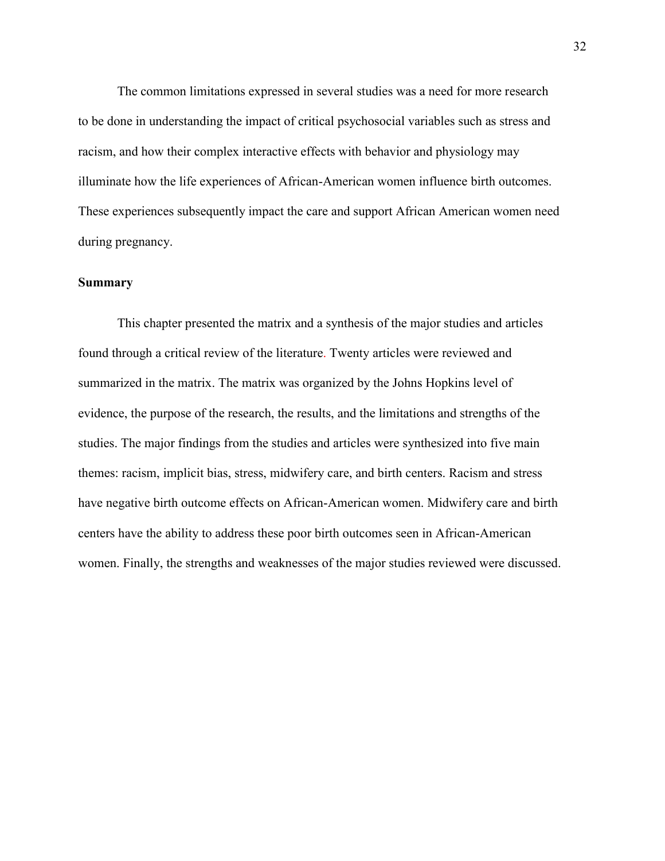The common limitations expressed in several studies was a need for more research to be done in understanding the impact of critical psychosocial variables such as stress and racism, and how their complex interactive effects with behavior and physiology may illuminate how the life experiences of African-American women influence birth outcomes. These experiences subsequently impact the care and support African American women need during pregnancy.

#### **Summary**

This chapter presented the matrix and a synthesis of the major studies and articles found through a critical review of the literature. Twenty articles were reviewed and summarized in the matrix. The matrix was organized by the Johns Hopkins level of evidence, the purpose of the research, the results, and the limitations and strengths of the studies. The major findings from the studies and articles were synthesized into five main themes: racism, implicit bias, stress, midwifery care, and birth centers. Racism and stress have negative birth outcome effects on African-American women. Midwifery care and birth centers have the ability to address these poor birth outcomes seen in African-American women. Finally, the strengths and weaknesses of the major studies reviewed were discussed.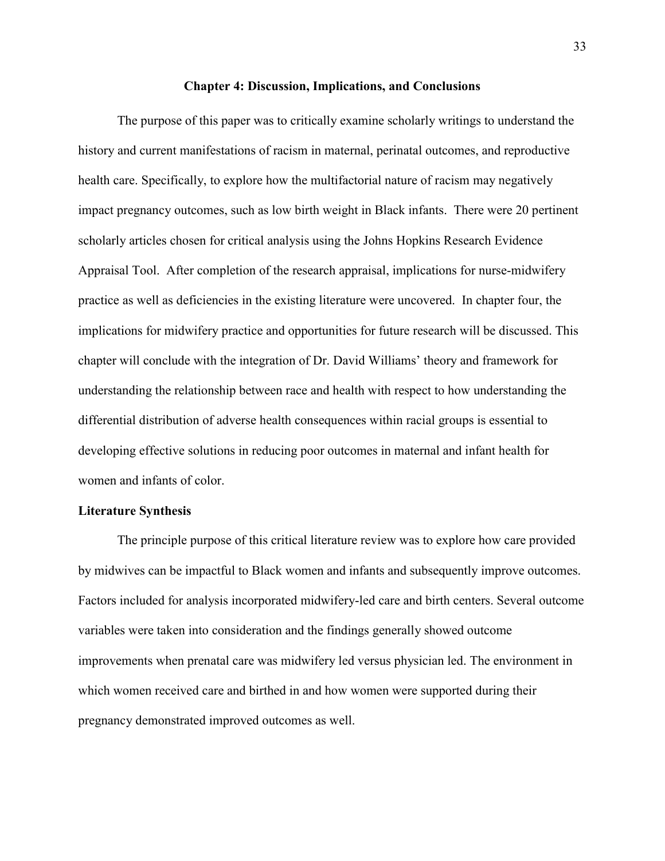#### **Chapter 4: Discussion, Implications, and Conclusions**

The purpose of this paper was to critically examine scholarly writings to understand the history and current manifestations of racism in maternal, perinatal outcomes, and reproductive health care. Specifically, to explore how the multifactorial nature of racism may negatively impact pregnancy outcomes, such as low birth weight in Black infants. There were 20 pertinent scholarly articles chosen for critical analysis using the Johns Hopkins Research Evidence Appraisal Tool. After completion of the research appraisal, implications for nurse-midwifery practice as well as deficiencies in the existing literature were uncovered. In chapter four, the implications for midwifery practice and opportunities for future research will be discussed. This chapter will conclude with the integration of Dr. David Williams' theory and framework for understanding the relationship between race and health with respect to how understanding the differential distribution of adverse health consequences within racial groups is essential to developing effective solutions in reducing poor outcomes in maternal and infant health for women and infants of color.

#### **Literature Synthesis**

The principle purpose of this critical literature review was to explore how care provided by midwives can be impactful to Black women and infants and subsequently improve outcomes. Factors included for analysis incorporated midwifery-led care and birth centers. Several outcome variables were taken into consideration and the findings generally showed outcome improvements when prenatal care was midwifery led versus physician led. The environment in which women received care and birthed in and how women were supported during their pregnancy demonstrated improved outcomes as well.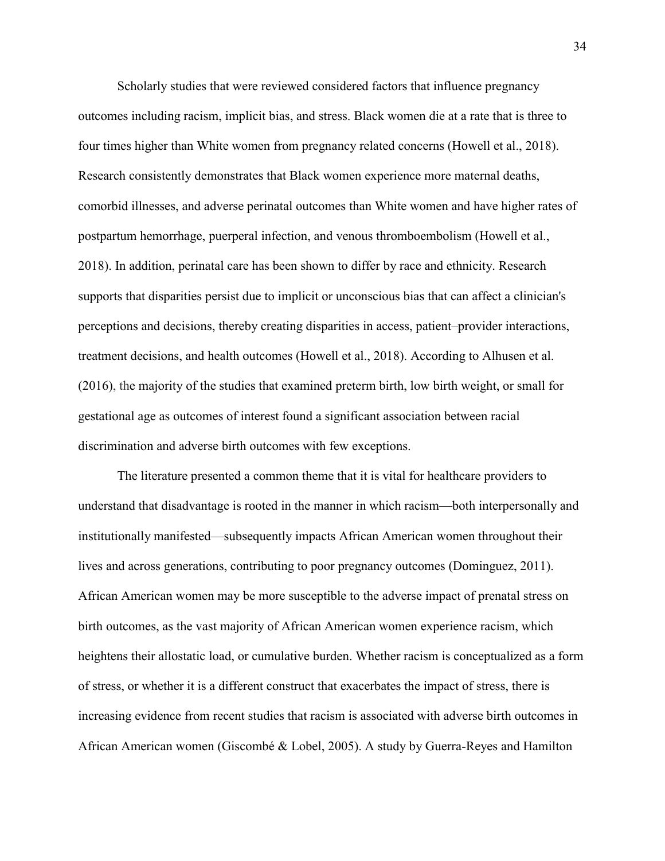Scholarly studies that were reviewed considered factors that influence pregnancy outcomes including racism, implicit bias, and stress. Black women die at a rate that is three to four times higher than White women from pregnancy related concerns (Howell et al., 2018). Research consistently demonstrates that Black women experience more maternal deaths, comorbid illnesses, and adverse perinatal outcomes than White women and have higher rates of postpartum hemorrhage, puerperal infection, and venous thromboembolism (Howell et al., 2018). In addition, perinatal care has been shown to differ by race and ethnicity. Research supports that disparities persist due to implicit or unconscious bias that can affect a clinician's perceptions and decisions, thereby creating disparities in access, patient–provider interactions, treatment decisions, and health outcomes (Howell et al., 2018). According to Alhusen et al. (2016), the majority of the studies that examined preterm birth, low birth weight, or small for gestational age as outcomes of interest found a significant association between racial discrimination and adverse birth outcomes with few exceptions.

The literature presented a common theme that it is vital for healthcare providers to understand that disadvantage is rooted in the manner in which racism—both interpersonally and institutionally manifested—subsequently impacts African American women throughout their lives and across generations, contributing to poor pregnancy outcomes (Dominguez, 2011). African American women may be more susceptible to the adverse impact of prenatal stress on birth outcomes, as the vast majority of African American women experience racism, which heightens their allostatic load, or cumulative burden. Whether racism is conceptualized as a form of stress, or whether it is a different construct that exacerbates the impact of stress, there is increasing evidence from recent studies that racism is associated with adverse birth outcomes in African American women (Giscombé & Lobel, 2005). A study by Guerra-Reyes and Hamilton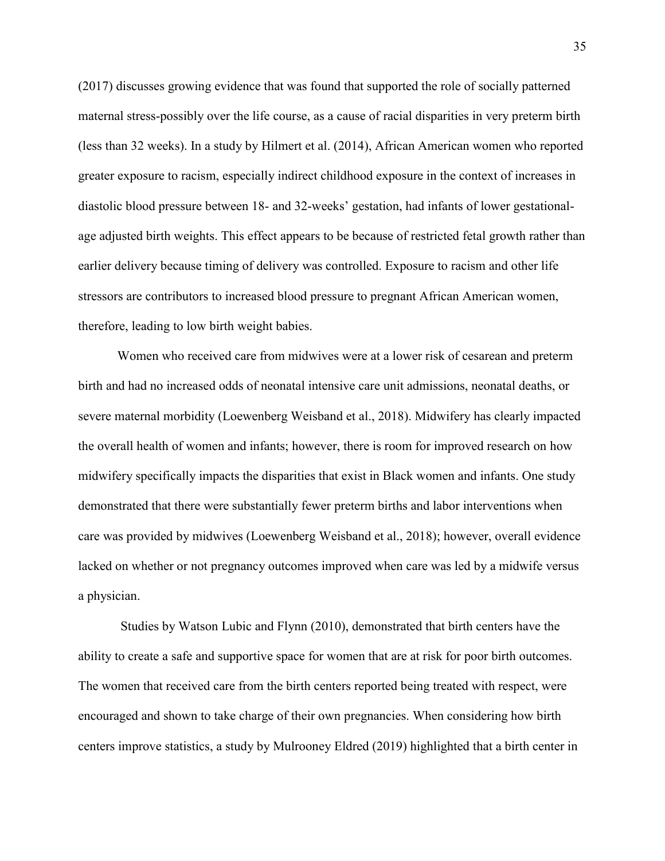(2017) discusses growing evidence that was found that supported the role of socially patterned maternal stress-possibly over the life course, as a cause of racial disparities in very preterm birth (less than 32 weeks). In a study by Hilmert et al. (2014), African American women who reported greater exposure to racism, especially indirect childhood exposure in the context of increases in diastolic blood pressure between 18- and 32-weeks' gestation, had infants of lower gestationalage adjusted birth weights. This effect appears to be because of restricted fetal growth rather than earlier delivery because timing of delivery was controlled. Exposure to racism and other life stressors are contributors to increased blood pressure to pregnant African American women, therefore, leading to low birth weight babies.

Women who received care from midwives were at a lower risk of cesarean and preterm birth and had no increased odds of neonatal intensive care unit admissions, neonatal deaths, or severe maternal morbidity (Loewenberg Weisband et al., 2018). Midwifery has clearly impacted the overall health of women and infants; however, there is room for improved research on how midwifery specifically impacts the disparities that exist in Black women and infants. One study demonstrated that there were substantially fewer preterm births and labor interventions when care was provided by midwives (Loewenberg Weisband et al., 2018); however, overall evidence lacked on whether or not pregnancy outcomes improved when care was led by a midwife versus a physician.

Studies by Watson Lubic and Flynn (2010), demonstrated that birth centers have the ability to create a safe and supportive space for women that are at risk for poor birth outcomes. The women that received care from the birth centers reported being treated with respect, were encouraged and shown to take charge of their own pregnancies. When considering how birth centers improve statistics, a study by Mulrooney Eldred (2019) highlighted that a birth center in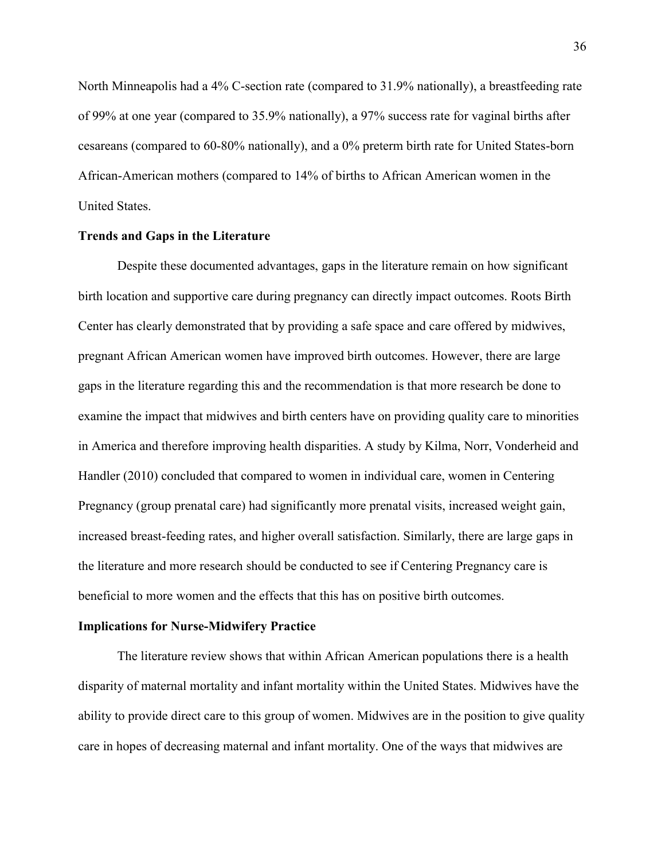North Minneapolis had a 4% C-section rate (compared to 31.9% nationally), a breastfeeding rate of 99% at one year (compared to 35.9% nationally), a 97% success rate for vaginal births after cesareans (compared to 60-80% nationally), and a 0% preterm birth rate for United States-born African-American mothers (compared to 14% of births to African American women in the United States.

#### **Trends and Gaps in the Literature**

Despite these documented advantages, gaps in the literature remain on how significant birth location and supportive care during pregnancy can directly impact outcomes. Roots Birth Center has clearly demonstrated that by providing a safe space and care offered by midwives, pregnant African American women have improved birth outcomes. However, there are large gaps in the literature regarding this and the recommendation is that more research be done to examine the impact that midwives and birth centers have on providing quality care to minorities in America and therefore improving health disparities. A study by Kilma, Norr, Vonderheid and Handler (2010) concluded that compared to women in individual care, women in Centering Pregnancy (group prenatal care) had significantly more prenatal visits, increased weight gain, increased breast-feeding rates, and higher overall satisfaction. Similarly, there are large gaps in the literature and more research should be conducted to see if Centering Pregnancy care is beneficial to more women and the effects that this has on positive birth outcomes.

#### **Implications for Nurse-Midwifery Practice**

The literature review shows that within African American populations there is a health disparity of maternal mortality and infant mortality within the United States. Midwives have the ability to provide direct care to this group of women. Midwives are in the position to give quality care in hopes of decreasing maternal and infant mortality. One of the ways that midwives are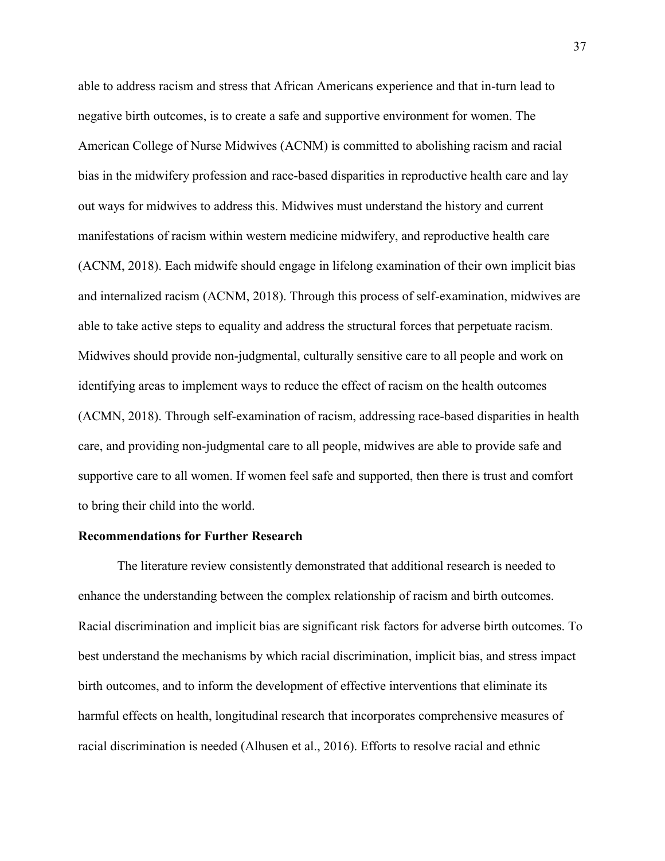able to address racism and stress that African Americans experience and that in-turn lead to negative birth outcomes, is to create a safe and supportive environment for women. The American College of Nurse Midwives (ACNM) is committed to abolishing racism and racial bias in the midwifery profession and race-based disparities in reproductive health care and lay out ways for midwives to address this. Midwives must understand the history and current manifestations of racism within western medicine midwifery, and reproductive health care (ACNM, 2018). Each midwife should engage in lifelong examination of their own implicit bias and internalized racism (ACNM, 2018). Through this process of self-examination, midwives are able to take active steps to equality and address the structural forces that perpetuate racism. Midwives should provide non-judgmental, culturally sensitive care to all people and work on identifying areas to implement ways to reduce the effect of racism on the health outcomes (ACMN, 2018). Through self-examination of racism, addressing race-based disparities in health care, and providing non-judgmental care to all people, midwives are able to provide safe and supportive care to all women. If women feel safe and supported, then there is trust and comfort to bring their child into the world.

#### **Recommendations for Further Research**

The literature review consistently demonstrated that additional research is needed to enhance the understanding between the complex relationship of racism and birth outcomes. Racial discrimination and implicit bias are significant risk factors for adverse birth outcomes. To best understand the mechanisms by which racial discrimination, implicit bias, and stress impact birth outcomes, and to inform the development of effective interventions that eliminate its harmful effects on health, longitudinal research that incorporates comprehensive measures of racial discrimination is needed (Alhusen et al., 2016). Efforts to resolve racial and ethnic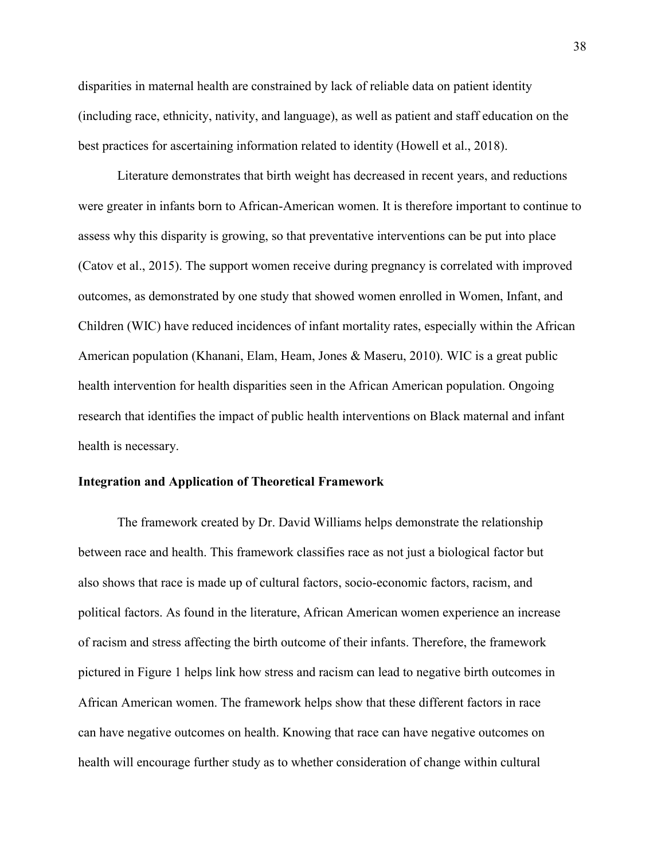disparities in maternal health are constrained by lack of reliable data on patient identity (including race, ethnicity, nativity, and language), as well as patient and staff education on the best practices for ascertaining information related to identity (Howell et al., 2018).

Literature demonstrates that birth weight has decreased in recent years, and reductions were greater in infants born to African-American women. It is therefore important to continue to assess why this disparity is growing, so that preventative interventions can be put into place (Catov et al., 2015). The support women receive during pregnancy is correlated with improved outcomes, as demonstrated by one study that showed women enrolled in Women, Infant, and Children (WIC) have reduced incidences of infant mortality rates, especially within the African American population (Khanani, Elam, Heam, Jones & Maseru, 2010). WIC is a great public health intervention for health disparities seen in the African American population. Ongoing research that identifies the impact of public health interventions on Black maternal and infant health is necessary.

#### **Integration and Application of Theoretical Framework**

The framework created by Dr. David Williams helps demonstrate the relationship between race and health. This framework classifies race as not just a biological factor but also shows that race is made up of cultural factors, socio-economic factors, racism, and political factors. As found in the literature, African American women experience an increase of racism and stress affecting the birth outcome of their infants. Therefore, the framework pictured in Figure 1 helps link how stress and racism can lead to negative birth outcomes in African American women. The framework helps show that these different factors in race can have negative outcomes on health. Knowing that race can have negative outcomes on health will encourage further study as to whether consideration of change within cultural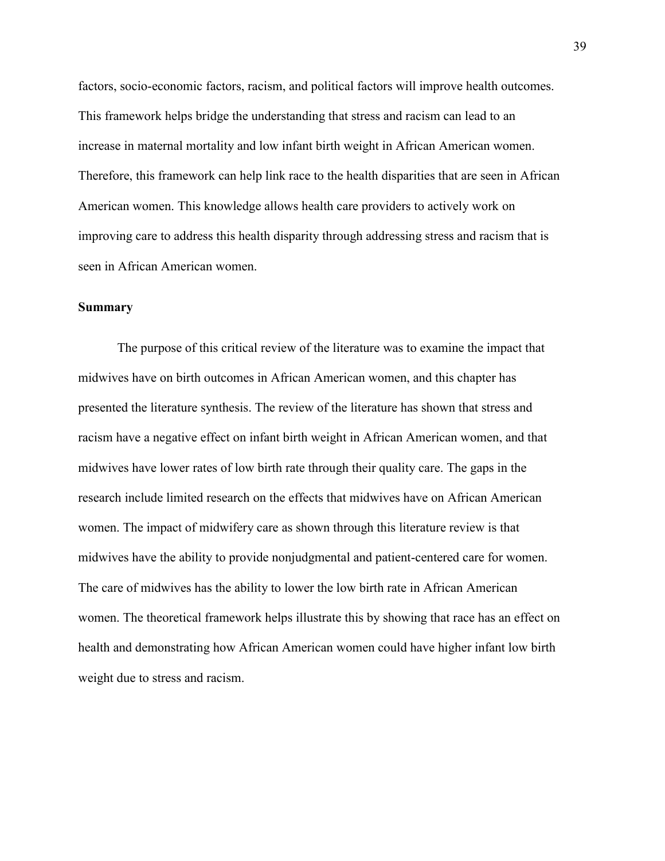factors, socio-economic factors, racism, and political factors will improve health outcomes. This framework helps bridge the understanding that stress and racism can lead to an increase in maternal mortality and low infant birth weight in African American women. Therefore, this framework can help link race to the health disparities that are seen in African American women. This knowledge allows health care providers to actively work on improving care to address this health disparity through addressing stress and racism that is seen in African American women.

#### **Summary**

The purpose of this critical review of the literature was to examine the impact that midwives have on birth outcomes in African American women, and this chapter has presented the literature synthesis. The review of the literature has shown that stress and racism have a negative effect on infant birth weight in African American women, and that midwives have lower rates of low birth rate through their quality care. The gaps in the research include limited research on the effects that midwives have on African American women. The impact of midwifery care as shown through this literature review is that midwives have the ability to provide nonjudgmental and patient-centered care for women. The care of midwives has the ability to lower the low birth rate in African American women. The theoretical framework helps illustrate this by showing that race has an effect on health and demonstrating how African American women could have higher infant low birth weight due to stress and racism.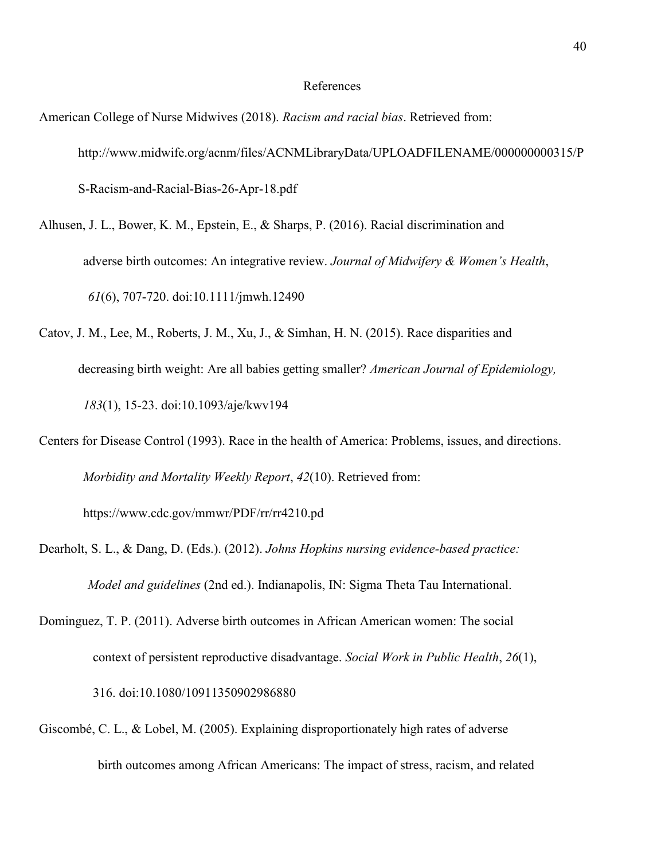#### References

- American College of Nurse Midwives (2018). *Racism and racial bias*. Retrieved from: http://www.midwife.org/acnm/files/ACNMLibraryData/UPLOADFILENAME/000000000315/P S-Racism-and-Racial-Bias-26-Apr-18.pdf
- Alhusen, J. L., Bower, K. M., Epstein, E., & Sharps, P. (2016). Racial discrimination and adverse birth outcomes: An integrative review. *Journal of Midwifery & Women's Health*, *61*(6), 707-720. doi:10.1111/jmwh.12490
- Catov, J. M., Lee, M., Roberts, J. M., Xu, J., & Simhan, H. N. (2015). Race disparities and decreasing birth weight: Are all babies getting smaller? *American Journal of Epidemiology, 183*(1), 15-23. doi:10.1093/aje/kwv194
- Centers for Disease Control (1993). Race in the health of America: Problems, issues, and directions. *Morbidity and Mortality Weekly Report*, *42*(10). Retrieved from: https://www.cdc.gov/mmwr/PDF/rr/rr4210.pd
- Dearholt, S. L., & Dang, D. (Eds.). (2012). *Johns Hopkins nursing evidence-based practice: Model and guidelines* (2nd ed.). Indianapolis, IN: Sigma Theta Tau International.
- Dominguez, T. P. (2011). Adverse birth outcomes in African American women: The social context of persistent reproductive disadvantage. *Social Work in Public Health*, *26*(1), 316. doi:10.1080/10911350902986880
- Giscombé, C. L., & Lobel, M. (2005). Explaining disproportionately high rates of adverse birth outcomes among African Americans: The impact of stress, racism, and related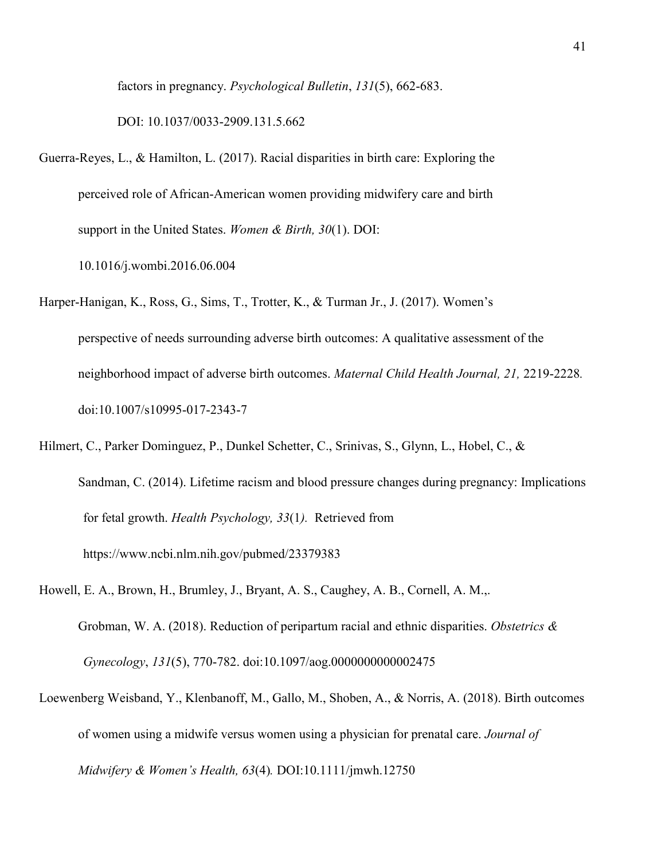factors in pregnancy. *Psychological Bulletin*, *131*(5), 662-683.

DOI: [10.1037/0033-2909.131.5.662](https://doi.org/10.1037/0033-2909.131.5.662)

Guerra-Reyes, L., & Hamilton, L. (2017). Racial disparities in birth care: Exploring the perceived role of African-American women providing midwifery care and birth support in the United States. *Women & Birth, 30*(1). DOI:

10.1016/j.wombi.2016.06.004

- Harper-Hanigan, K., Ross, G., Sims, T., Trotter, K., & Turman Jr., J. (2017). Women's perspective of needs surrounding adverse birth outcomes: A qualitative assessment of the neighborhood impact of adverse birth outcomes. *Maternal Child Health Journal, 21,* 2219-2228*.* doi:10.1007/s10995-017-2343-7
- Hilmert, C., Parker Dominguez, P., Dunkel Schetter, C., Srinivas, S., Glynn, L., Hobel, C., & Sandman, C. (2014). Lifetime racism and blood pressure changes during pregnancy: Implications for fetal growth. *Health Psychology, 33*(1*).* Retrieved from https://www.ncbi.nlm.nih.gov/pubmed/23379383
- Howell, E. A., Brown, H., Brumley, J., Bryant, A. S., Caughey, A. B., Cornell, A. M.,. Grobman, W. A. (2018). Reduction of peripartum racial and ethnic disparities. *Obstetrics & Gynecology*, *131*(5), 770-782. doi:10.1097/aog.0000000000002475
- Loewenberg Weisband, Y., Klenbanoff, M., Gallo, M., Shoben, A., & Norris, A. (2018). Birth outcomes of women using a midwife versus women using a physician for prenatal care. *Journal of Midwifery & Women's Health, 63*(4)*.* DOI[:10.1111/jmwh.12750](https://doi-org.ezproxy.bethel.edu/10.1111/jmwh.12750)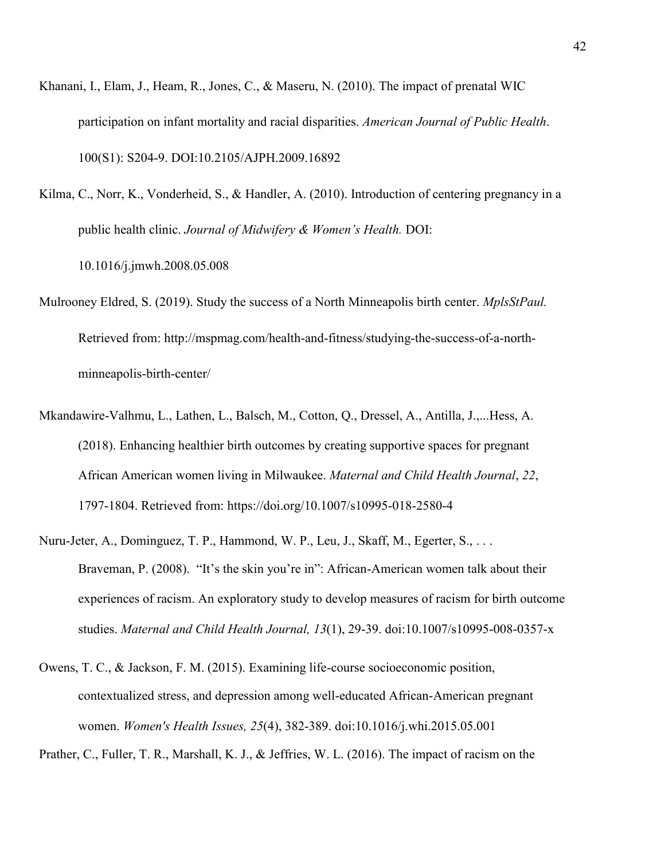Khanani, I., Elam, J., Heam, R., Jones, C., & Maseru, N. (2010). The impact of prenatal WIC participation on infant mortality and racial disparities. *American Journal of Public Health*. 100(S1): S204-9. DOI[:10.2105/AJPH.2009.16892](https://doi.org/10.2105/AJPH.2009.168922)

Kilma, C., Norr, K., Vonderheid, S., & Handler, A. (2010). Introduction of centering pregnancy in a public health clinic. *Journal of Midwifery & Women's Health.* DOI: 10.1016/j.jmwh.2008.05.008

- Mulrooney Eldred, S. (2019). Study the success of a North Minneapolis birth center. *MplsStPaul.*  Retrieved from: http://mspmag.com/health-and-fitness/studying-the-success-of-a-northminneapolis-birth-center/
- Mkandawire-Valhmu, L., Lathen, L., Balsch, M., Cotton, Q., Dressel, A., Antilla, J.,...Hess, A. (2018). Enhancing healthier birth outcomes by creating supportive spaces for pregnant African American women living in Milwaukee. *Maternal and Child Health Journal*, *22*, 1797-1804. Retrieved from: https://doi.org/10.1007/s10995-018-2580-4
- Nuru-Jeter, A., Dominguez, T. P., Hammond, W. P., Leu, J., Skaff, M., Egerter, S., . . . Braveman, P. (2008). "It's the skin you're in": African-American women talk about their experiences of racism. An exploratory study to develop measures of racism for birth outcome studies. *Maternal and Child Health Journal, 13*(1), 29-39. doi:10.1007/s10995-008-0357-x
- Owens, T. C., & Jackson, F. M. (2015). Examining life-course socioeconomic position, contextualized stress, and depression among well-educated African-American pregnant women. *Women's Health Issues, 25*(4), 382-389. doi:10.1016/j.whi.2015.05.001

Prather, C., Fuller, T. R., Marshall, K. J., & Jeffries, W. L. (2016). The impact of racism on the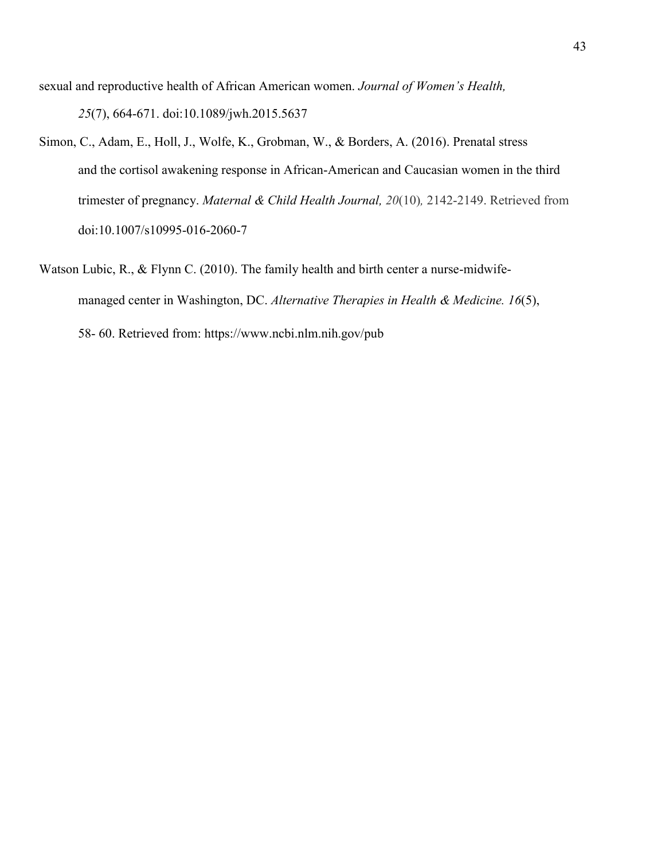sexual and reproductive health of African American women. *Journal of Women's Health, 25*(7), 664-671. doi:10.1089/jwh.2015.5637

- Simon, C., Adam, E., Holl, J., Wolfe, K., Grobman, W., & Borders, A. (2016). Prenatal stress and the cortisol awakening response in African-American and Caucasian women in the third trimester of pregnancy. *Maternal & Child Health Journal, 20*(10)*,* 2142-2149. Retrieved from doi[:10.1007/s10995-016-2060-7](https://doi.org/10.1007/s10995-016-2060-7)
- Watson Lubic, R., & Flynn C. (2010). The family health and birth center a nurse-midwifemanaged center in Washington, DC. *Alternative Therapies in Health & Medicine. 16*(5), 58- 60. Retrieved from: https://www.ncbi.nlm.nih.gov/pub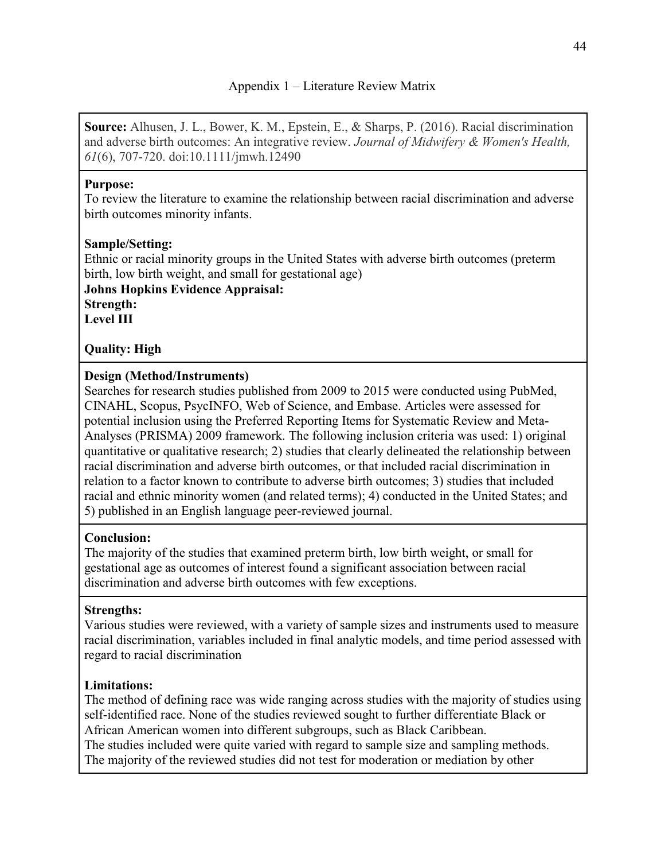**Source:** Alhusen, J. L., Bower, K. M., Epstein, E., & Sharps, P. (2016). Racial discrimination and adverse birth outcomes: An integrative review. *Journal of Midwifery & Women's Health, 61*(6), 707-720. doi:10.1111/jmwh.12490

# **Purpose:**

To review the literature to examine the relationship between racial discrimination and adverse birth outcomes minority infants.

# **Sample/Setting:**

Ethnic or racial minority groups in the United States with adverse birth outcomes (preterm birth, low birth weight, and small for gestational age)

**Johns Hopkins Evidence Appraisal: Strength: Level III**

# **Quality: High**

# **Design (Method/Instruments)**

Searches for research studies published from 2009 to 2015 were conducted using PubMed, CINAHL, Scopus, PsycINFO, Web of Science, and Embase. Articles were assessed for potential inclusion using the Preferred Reporting Items for Systematic Review and Meta‐ Analyses (PRISMA) 2009 framework. The following inclusion criteria was used: 1) original quantitative or qualitative research; 2) studies that clearly delineated the relationship between racial discrimination and adverse birth outcomes, or that included racial discrimination in relation to a factor known to contribute to adverse birth outcomes; 3) studies that included racial and ethnic minority women (and related terms); 4) conducted in the United States; and 5) published in an English language peer-reviewed journal.

# **Conclusion:**

The majority of the studies that examined preterm birth, low birth weight, or small for gestational age as outcomes of interest found a significant association between racial discrimination and adverse birth outcomes with few exceptions.

# **Strengths:**

Various studies were reviewed, with a variety of sample sizes and instruments used to measure racial discrimination, variables included in final analytic models, and time period assessed with regard to racial discrimination

# **Limitations:**

The method of defining race was wide ranging across studies with the majority of studies using self‐identified race. None of the studies reviewed sought to further differentiate Black or African American women into different subgroups, such as Black Caribbean.

The studies included were quite varied with regard to sample size and sampling methods. The majority of the reviewed studies did not test for moderation or mediation by other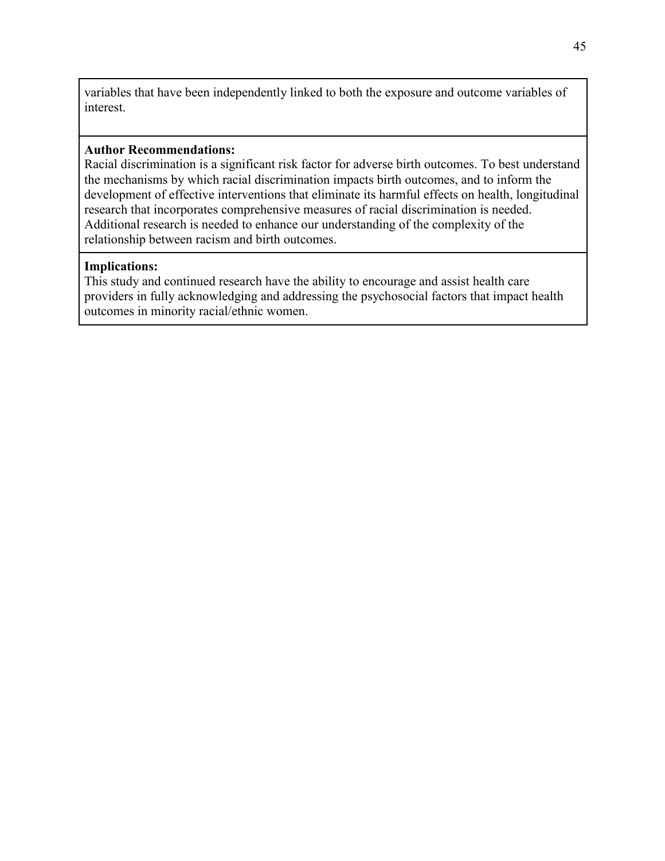variables that have been independently linked to both the exposure and outcome variables of interest.

### **Author Recommendations:**

Racial discrimination is a significant risk factor for adverse birth outcomes. To best understand the mechanisms by which racial discrimination impacts birth outcomes, and to inform the development of effective interventions that eliminate its harmful effects on health, longitudinal research that incorporates comprehensive measures of racial discrimination is needed. Additional research is needed to enhance our understanding of the complexity of the relationship between racism and birth outcomes.

### **Implications:**

This study and continued research have the ability to encourage and assist health care providers in fully acknowledging and addressing the psychosocial factors that impact health outcomes in minority racial/ethnic women.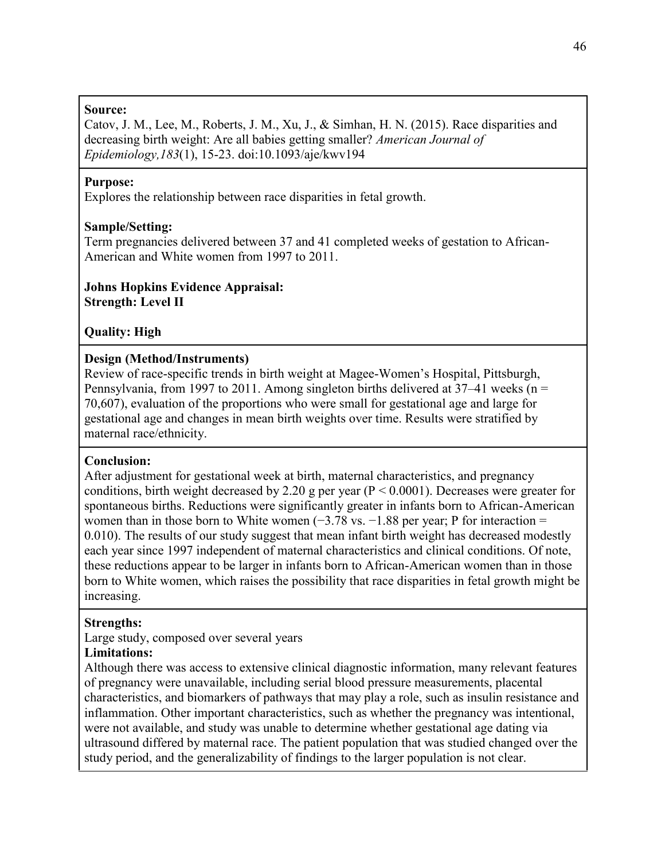#### **Source:**

Catov, J. M., Lee, M., Roberts, J. M., Xu, J., & Simhan, H. N. (2015). Race disparities and decreasing birth weight: Are all babies getting smaller? *American Journal of Epidemiology,183*(1), 15-23. doi:10.1093/aje/kwv194

### **Purpose:**

Explores the relationship between race disparities in fetal growth.

### **Sample/Setting:**

Term pregnancies delivered between 37 and 41 completed weeks of gestation to African-American and White women from 1997 to 2011.

# **Johns Hopkins Evidence Appraisal:**

**Strength: Level II**

# **Quality: High**

#### **Design (Method/Instruments)**

Review of race-specific trends in birth weight at Magee-Women's Hospital, Pittsburgh, Pennsylvania, from 1997 to 2011. Among singleton births delivered at  $37-41$  weeks (n = 70,607), evaluation of the proportions who were small for gestational age and large for gestational age and changes in mean birth weights over time. Results were stratified by maternal race/ethnicity.

# **Conclusion:**

After adjustment for gestational week at birth, maternal characteristics, and pregnancy conditions, birth weight decreased by 2.20 g per year ( $P < 0.0001$ ). Decreases were greater for spontaneous births. Reductions were significantly greater in infants born to African-American women than in those born to White women  $(-3.78 \text{ vs. } -1.88 \text{ per year}; P$  for interaction = 0.010). The results of our study suggest that mean infant birth weight has decreased modestly each year since 1997 independent of maternal characteristics and clinical conditions. Of note, these reductions appear to be larger in infants born to African-American women than in those born to White women, which raises the possibility that race disparities in fetal growth might be increasing.

#### **Strengths:**

Large study, composed over several years

# **Limitations:**

Although there was access to extensive clinical diagnostic information, many relevant features of pregnancy were unavailable, including serial blood pressure measurements, placental characteristics, and biomarkers of pathways that may play a role, such as insulin resistance and inflammation. Other important characteristics, such as whether the pregnancy was intentional, were not available, and study was unable to determine whether gestational age dating via ultrasound differed by maternal race. The patient population that was studied changed over the study period, and the generalizability of findings to the larger population is not clear.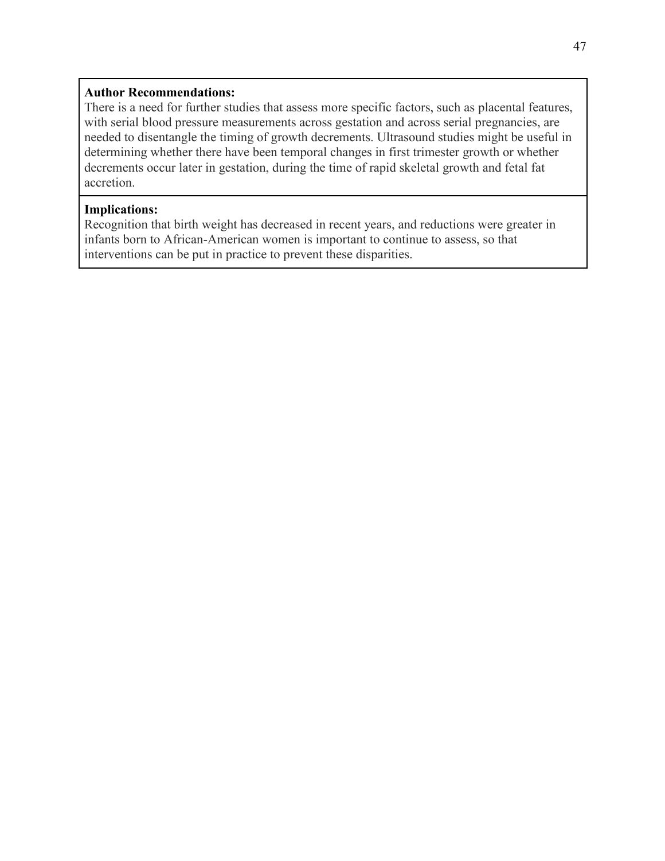# **Author Recommendations:**

There is a need for further studies that assess more specific factors, such as placental features, with serial blood pressure measurements across gestation and across serial pregnancies, are needed to disentangle the timing of growth decrements. Ultrasound studies might be useful in determining whether there have been temporal changes in first trimester growth or whether decrements occur later in gestation, during the time of rapid skeletal growth and fetal fat accretion.

### **Implications:**

Recognition that birth weight has decreased in recent years, and reductions were greater in infants born to African-American women is important to continue to assess, so that interventions can be put in practice to prevent these disparities.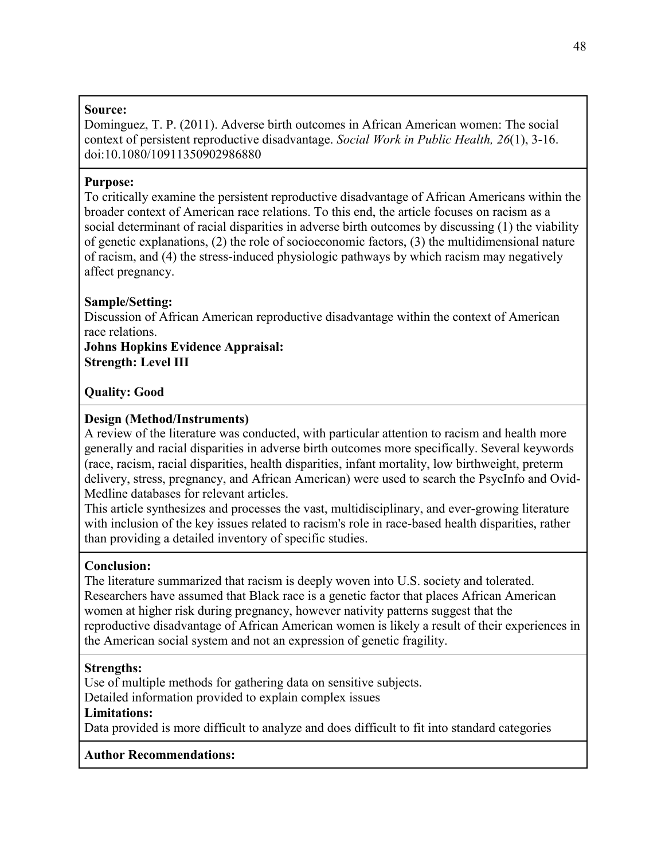# **Source:**

Dominguez, T. P. (2011). Adverse birth outcomes in African American women: The social context of persistent reproductive disadvantage. *Social Work in Public Health, 26*(1), 3-16. doi:10.1080/10911350902986880

# **Purpose:**

To critically examine the persistent reproductive disadvantage of African Americans within the broader context of American race relations. To this end, the article focuses on racism as a social determinant of racial disparities in adverse birth outcomes by discussing (1) the viability of genetic explanations, (2) the role of socioeconomic factors, (3) the multidimensional nature of racism, and (4) the stress-induced physiologic pathways by which racism may negatively affect pregnancy.

# **Sample/Setting:**

Discussion of African American reproductive disadvantage within the context of American race relations.

### **Johns Hopkins Evidence Appraisal: Strength: Level III**

# **Quality: Good**

# **Design (Method/Instruments)**

A review of the literature was conducted, with particular attention to racism and health more generally and racial disparities in adverse birth outcomes more specifically. Several keywords (race, racism, racial disparities, health disparities, infant mortality, low birthweight, preterm delivery, stress, pregnancy, and African American) were used to search the PsycInfo and Ovid-Medline databases for relevant articles.

This article synthesizes and processes the vast, multidisciplinary, and ever-growing literature with inclusion of the key issues related to racism's role in race-based health disparities, rather than providing a detailed inventory of specific studies.

# **Conclusion:**

The literature summarized that racism is deeply woven into U.S. society and tolerated. Researchers have assumed that Black race is a genetic factor that places African American women at higher risk during pregnancy, however nativity patterns suggest that the reproductive disadvantage of African American women is likely a result of their experiences in the American social system and not an expression of genetic fragility.

# **Strengths:**

Use of multiple methods for gathering data on sensitive subjects.

Detailed information provided to explain complex issues

# **Limitations:**

Data provided is more difficult to analyze and does difficult to fit into standard categories

# **Author Recommendations:**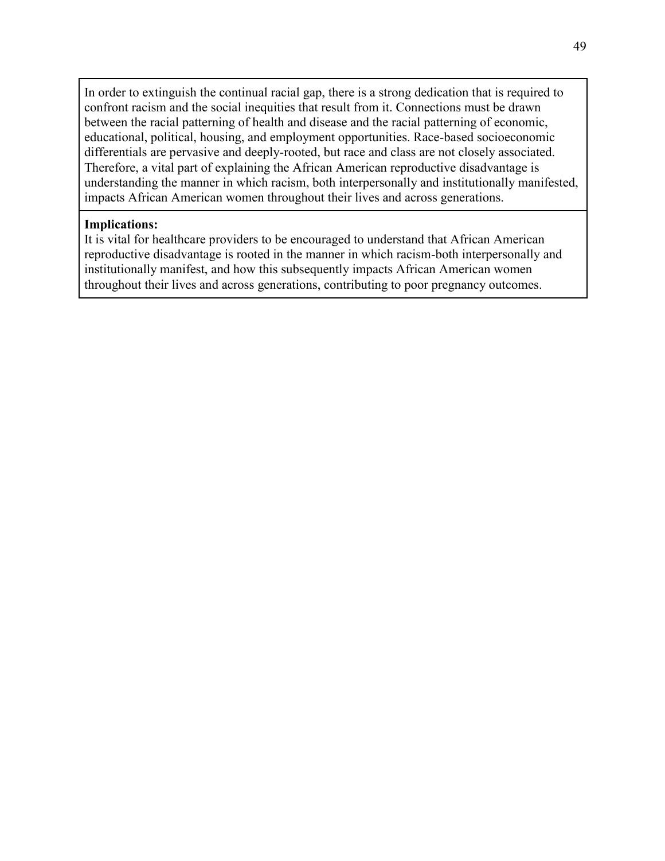In order to extinguish the continual racial gap, there is a strong dedication that is required to confront racism and the social inequities that result from it. Connections must be drawn between the racial patterning of health and disease and the racial patterning of economic, educational, political, housing, and employment opportunities. Race-based socioeconomic differentials are pervasive and deeply-rooted, but race and class are not closely associated. Therefore, a vital part of explaining the African American reproductive disadvantage is understanding the manner in which racism, both interpersonally and institutionally manifested, impacts African American women throughout their lives and across generations.

#### **Implications:**

It is vital for healthcare providers to be encouraged to understand that African American reproductive disadvantage is rooted in the manner in which racism-both interpersonally and institutionally manifest, and how this subsequently impacts African American women throughout their lives and across generations, contributing to poor pregnancy outcomes.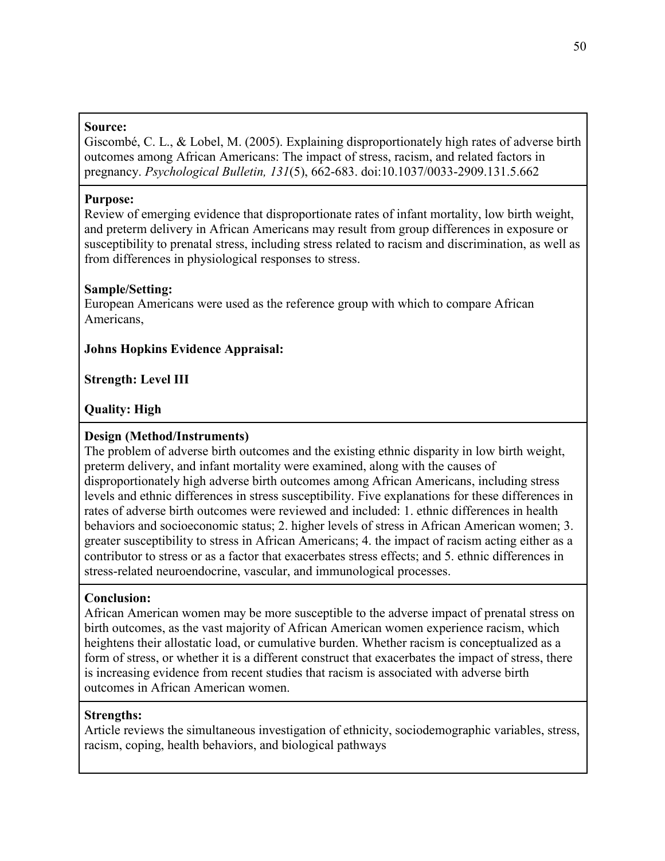#### **Source:**

Giscombé, C. L., & Lobel, M. (2005). Explaining disproportionately high rates of adverse birth outcomes among African Americans: The impact of stress, racism, and related factors in pregnancy. *Psychological Bulletin, 131*(5), 662-683. doi:10.1037/0033-2909.131.5.662

#### **Purpose:**

Review of emerging evidence that disproportionate rates of infant mortality, low birth weight, and preterm delivery in African Americans may result from group differences in exposure or susceptibility to prenatal stress, including stress related to racism and discrimination, as well as from differences in physiological responses to stress.

#### **Sample/Setting:**

European Americans were used as the reference group with which to compare African Americans,

#### **Johns Hopkins Evidence Appraisal:**

**Strength: Level III**

### **Quality: High**

#### **Design (Method/Instruments)**

The problem of adverse birth outcomes and the existing ethnic disparity in low birth weight, preterm delivery, and infant mortality were examined, along with the causes of disproportionately high adverse birth outcomes among African Americans, including stress levels and ethnic differences in stress susceptibility. Five explanations for these differences in rates of adverse birth outcomes were reviewed and included: 1. ethnic differences in health behaviors and socioeconomic status; 2. higher levels of stress in African American women; 3. greater susceptibility to stress in African Americans; 4. the impact of racism acting either as a contributor to stress or as a factor that exacerbates stress effects; and 5. ethnic differences in stress-related neuroendocrine, vascular, and immunological processes.

### **Conclusion:**

African American women may be more susceptible to the adverse impact of prenatal stress on birth outcomes, as the vast majority of African American women experience racism, which heightens their allostatic load, or cumulative burden. Whether racism is conceptualized as a form of stress, or whether it is a different construct that exacerbates the impact of stress, there is increasing evidence from recent studies that racism is associated with adverse birth outcomes in African American women.

#### **Strengths:**

Article reviews the simultaneous investigation of ethnicity, sociodemographic variables, stress, racism, coping, health behaviors, and biological pathways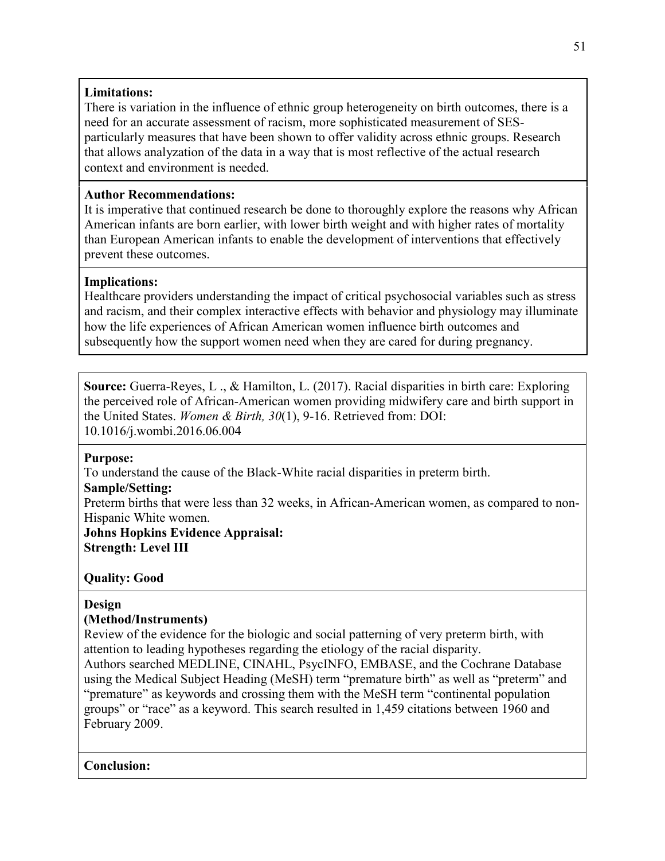# **Limitations:**

There is variation in the influence of ethnic group heterogeneity on birth outcomes, there is a need for an accurate assessment of racism, more sophisticated measurement of SESparticularly measures that have been shown to offer validity across ethnic groups. Research that allows analyzation of the data in a way that is most reflective of the actual research context and environment is needed.

### **Author Recommendations:**

It is imperative that continued research be done to thoroughly explore the reasons why African American infants are born earlier, with lower birth weight and with higher rates of mortality than European American infants to enable the development of interventions that effectively prevent these outcomes.

### **Implications:**

Healthcare providers understanding the impact of critical psychosocial variables such as stress and racism, and their complex interactive effects with behavior and physiology may illuminate how the life experiences of African American women influence birth outcomes and subsequently how the support women need when they are cared for during pregnancy.

**Source:** Guerra-Reyes, L ., & Hamilton, L. (2017). Racial disparities in birth care: Exploring the perceived role of African-American women providing midwifery care and birth support in the United States. *Women & Birth, 30*(1), 9-16. Retrieved from: DOI: 10.1016/j.wombi.2016.06.004

#### **Purpose:**

To understand the cause of the Black-White racial disparities in preterm birth.

# **Sample/Setting:**

Preterm births that were less than 32 weeks, in African-American women, as compared to non-Hispanic White women.

# **Johns Hopkins Evidence Appraisal: Strength: Level III**

# **Quality: Good**

# **Design**

# **(Method/Instruments)**

Review of the evidence for the biologic and social patterning of very preterm birth, with attention to leading hypotheses regarding the etiology of the racial disparity.

Authors searched MEDLINE, CINAHL, PsycINFO, EMBASE, and the Cochrane Database using the Medical Subject Heading (MeSH) term "premature birth" as well as "preterm" and "premature" as keywords and crossing them with the MeSH term "continental population groups" or "race" as a keyword. This search resulted in 1,459 citations between 1960 and February 2009.

# **Conclusion:**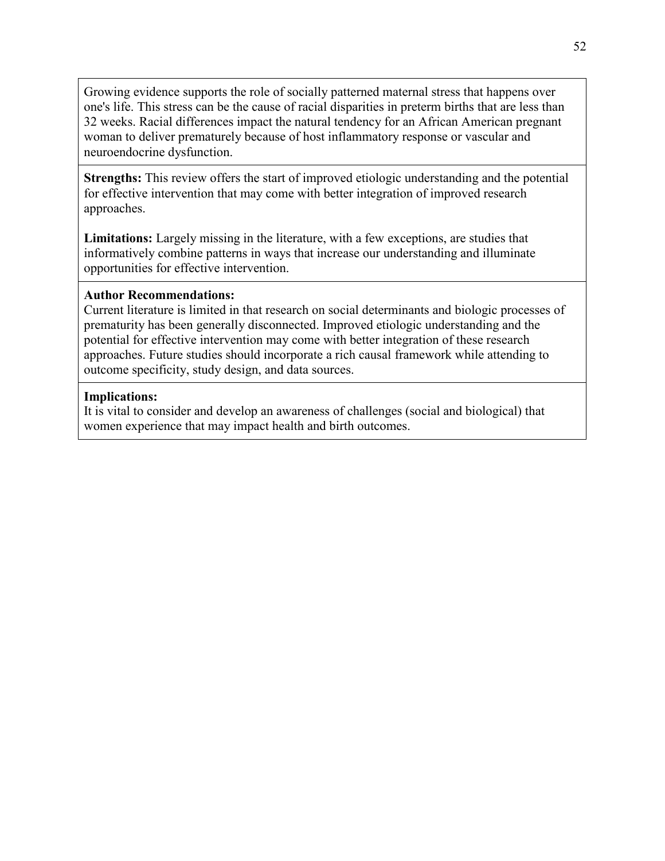Growing evidence supports the role of socially patterned maternal stress that happens over one's life. This stress can be the cause of racial disparities in preterm births that are less than 32 weeks. Racial differences impact the natural tendency for an African American pregnant woman to deliver prematurely because of host inflammatory response or vascular and neuroendocrine dysfunction.

**Strengths:** This review offers the start of improved etiologic understanding and the potential for effective intervention that may come with better integration of improved research approaches.

**Limitations:** Largely missing in the literature, with a few exceptions, are studies that informatively combine patterns in ways that increase our understanding and illuminate opportunities for effective intervention.

#### **Author Recommendations:**

Current literature is limited in that research on social determinants and biologic processes of prematurity has been generally disconnected. Improved etiologic understanding and the potential for effective intervention may come with better integration of these research approaches. Future studies should incorporate a rich causal framework while attending to outcome specificity, study design, and data sources.

#### **Implications:**

It is vital to consider and develop an awareness of challenges (social and biological) that women experience that may impact health and birth outcomes.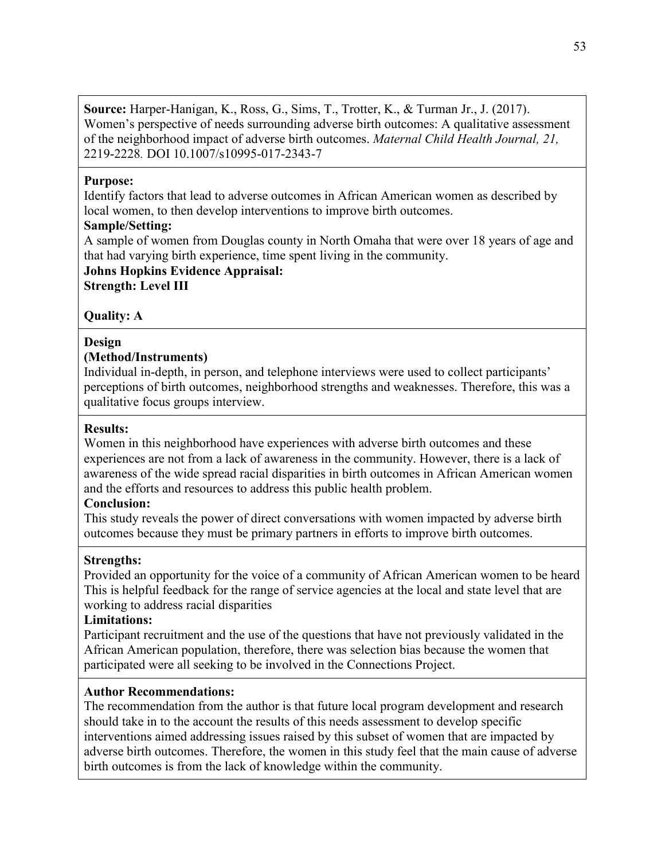**Source:** Harper-Hanigan, K., Ross, G., Sims, T., Trotter, K., & Turman Jr., J. (2017). Women's perspective of needs surrounding adverse birth outcomes: A qualitative assessment of the neighborhood impact of adverse birth outcomes. *Maternal Child Health Journal, 21,*  2219-2228*.* DOI 10.1007/s10995-017-2343-7

#### **Purpose:**

Identify factors that lead to adverse outcomes in African American women as described by local women, to then develop interventions to improve birth outcomes.

# **Sample/Setting:**

A sample of women from Douglas county in North Omaha that were over 18 years of age and that had varying birth experience, time spent living in the community.

# **Johns Hopkins Evidence Appraisal: Strength: Level III**

# **Quality: A**

### **Design**

### **(Method/Instruments)**

Individual in-depth, in person, and telephone interviews were used to collect participants' perceptions of birth outcomes, neighborhood strengths and weaknesses. Therefore, this was a qualitative focus groups interview.

### **Results:**

Women in this neighborhood have experiences with adverse birth outcomes and these experiences are not from a lack of awareness in the community. However, there is a lack of awareness of the wide spread racial disparities in birth outcomes in African American women and the efforts and resources to address this public health problem.

#### **Conclusion:**

This study reveals the power of direct conversations with women impacted by adverse birth outcomes because they must be primary partners in efforts to improve birth outcomes.

# **Strengths:**

Provided an opportunity for the voice of a community of African American women to be heard This is helpful feedback for the range of service agencies at the local and state level that are working to address racial disparities

#### **Limitations:**

Participant recruitment and the use of the questions that have not previously validated in the African American population, therefore, there was selection bias because the women that participated were all seeking to be involved in the Connections Project.

#### **Author Recommendations:**

The recommendation from the author is that future local program development and research should take in to the account the results of this needs assessment to develop specific interventions aimed addressing issues raised by this subset of women that are impacted by adverse birth outcomes. Therefore, the women in this study feel that the main cause of adverse birth outcomes is from the lack of knowledge within the community.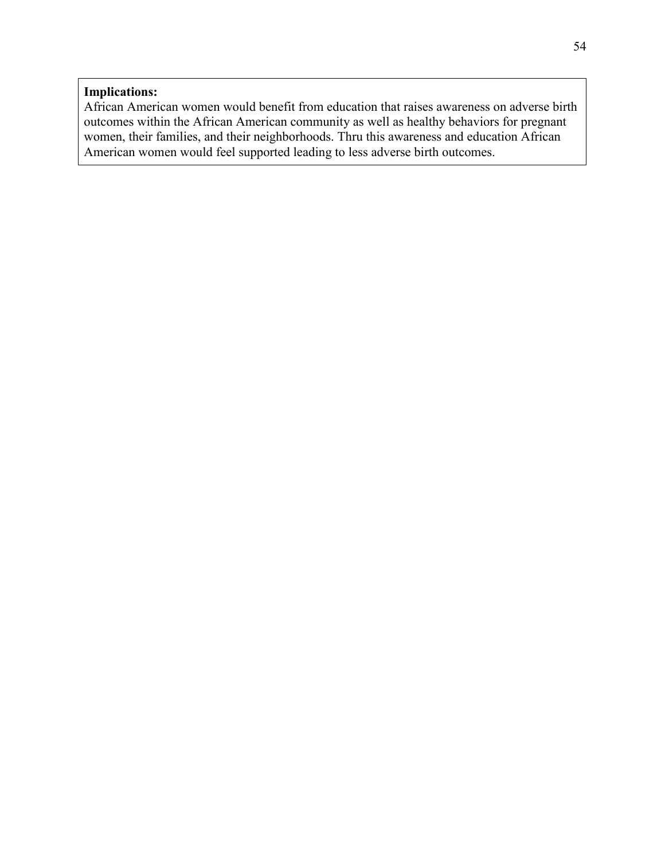# **Implications:**

African American women would benefit from education that raises awareness on adverse birth outcomes within the African American community as well as healthy behaviors for pregnant women, their families, and their neighborhoods. Thru this awareness and education African American women would feel supported leading to less adverse birth outcomes.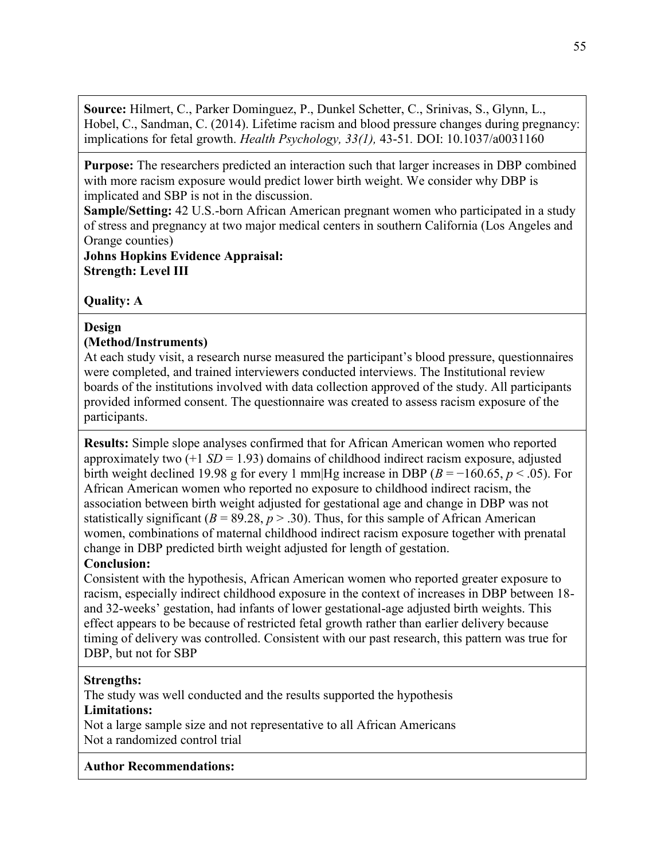**Source:** Hilmert, C., Parker Dominguez, P., Dunkel Schetter, C., Srinivas, S., Glynn, L., Hobel, C., Sandman, C. (2014). Lifetime racism and blood pressure changes during pregnancy: implications for fetal growth. *Health Psychology, 33(1),* 43-51*.* DOI: 10.1037/a0031160

**Purpose:** The researchers predicted an interaction such that larger increases in DBP combined with more racism exposure would predict lower birth weight. We consider why DBP is implicated and SBP is not in the discussion.

**Sample/Setting:** 42 U.S.-born African American pregnant women who participated in a study of stress and pregnancy at two major medical centers in southern California (Los Angeles and Orange counties)

**Johns Hopkins Evidence Appraisal: Strength: Level III**

# **Quality: A**

# **Design**

# **(Method/Instruments)**

At each study visit, a research nurse measured the participant's blood pressure, questionnaires were completed, and trained interviewers conducted interviews. The Institutional review boards of the institutions involved with data collection approved of the study. All participants provided informed consent. The questionnaire was created to assess racism exposure of the participants.

**Results:** Simple slope analyses confirmed that for African American women who reported approximately two  $(+1 S_D = 1.93)$  domains of childhood indirect racism exposure, adjusted birth weight declined 19.98 g for every 1 mm|Hg increase in DBP  $(B = -160.65, p < .05)$ . For African American women who reported no exposure to childhood indirect racism, the association between birth weight adjusted for gestational age and change in DBP was not statistically significant ( $B = 89.28$ ,  $p > .30$ ). Thus, for this sample of African American women, combinations of maternal childhood indirect racism exposure together with prenatal change in DBP predicted birth weight adjusted for length of gestation.

# **Conclusion:**

Consistent with the hypothesis, African American women who reported greater exposure to racism, especially indirect childhood exposure in the context of increases in DBP between 18 and 32-weeks' gestation, had infants of lower gestational-age adjusted birth weights. This effect appears to be because of restricted fetal growth rather than earlier delivery because timing of delivery was controlled. Consistent with our past research, this pattern was true for DBP, but not for SBP

# **Strengths:**

The study was well conducted and the results supported the hypothesis **Limitations:**

Not a large sample size and not representative to all African Americans Not a randomized control trial

# **Author Recommendations:**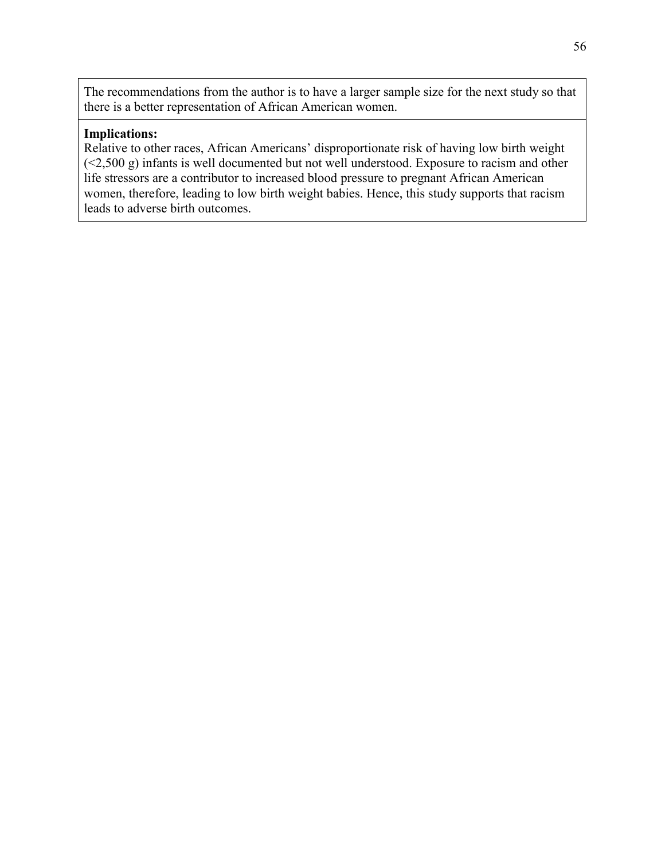The recommendations from the author is to have a larger sample size for the next study so that there is a better representation of African American women.

# **Implications:**

Relative to other races, African Americans' disproportionate risk of having low birth weight  $(\leq 2,500 \text{ g})$  infants is well documented but not well understood. Exposure to racism and other life stressors are a contributor to increased blood pressure to pregnant African American women, therefore, leading to low birth weight babies. Hence, this study supports that racism leads to adverse birth outcomes.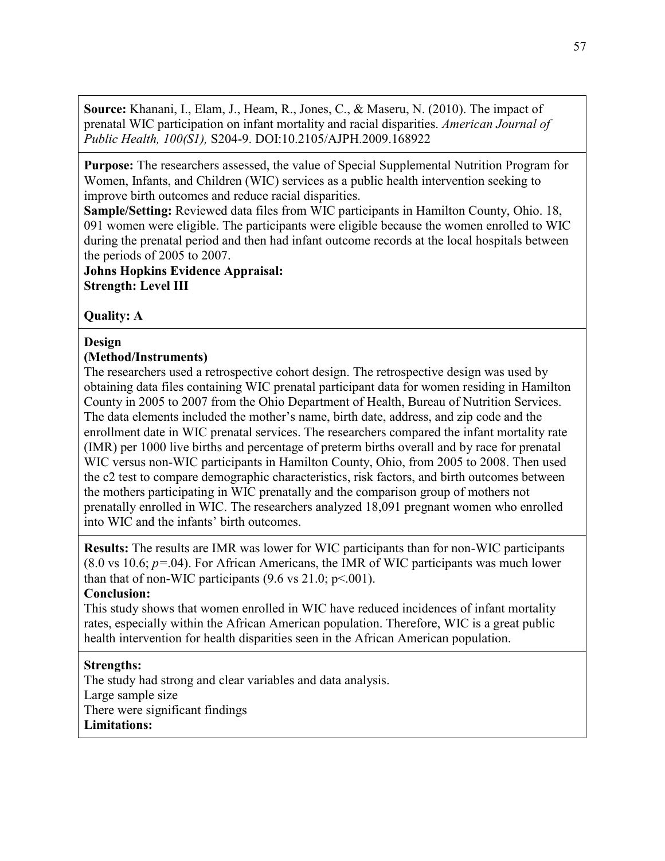**Source:** Khanani, I., Elam, J., Heam, R., Jones, C., & Maseru, N. (2010). The impact of prenatal WIC participation on infant mortality and racial disparities. *American Journal of Public Health, 100(S1),* S204-9. DOI:10.2105/AJPH.2009.168922

**Purpose:** The researchers assessed, the value of Special Supplemental Nutrition Program for Women, Infants, and Children (WIC) services as a public health intervention seeking to improve birth outcomes and reduce racial disparities.

**Sample/Setting:** Reviewed data files from WIC participants in Hamilton County, Ohio. 18, 091 women were eligible. The participants were eligible because the women enrolled to WIC during the prenatal period and then had infant outcome records at the local hospitals between the periods of 2005 to 2007.

**Johns Hopkins Evidence Appraisal: Strength: Level III**

# **Quality: A**

### **Design**

#### **(Method/Instruments)**

The researchers used a retrospective cohort design. The retrospective design was used by obtaining data files containing WIC prenatal participant data for women residing in Hamilton County in 2005 to 2007 from the Ohio Department of Health, Bureau of Nutrition Services. The data elements included the mother's name, birth date, address, and zip code and the enrollment date in WIC prenatal services. The researchers compared the infant mortality rate (IMR) per 1000 live births and percentage of preterm births overall and by race for prenatal WIC versus non-WIC participants in Hamilton County, Ohio, from 2005 to 2008. Then used the c2 test to compare demographic characteristics, risk factors, and birth outcomes between the mothers participating in WIC prenatally and the comparison group of mothers not prenatally enrolled in WIC. The researchers analyzed 18,091 pregnant women who enrolled into WIC and the infants' birth outcomes.

**Results:** The results are IMR was lower for WIC participants than for non-WIC participants (8.0 vs 10.6; *p=*.04). For African Americans, the IMR of WIC participants was much lower than that of non-WIC participants  $(9.6 \text{ vs } 21.0; \text{ p} \le 0.001)$ .

#### **Conclusion:**

This study shows that women enrolled in WIC have reduced incidences of infant mortality rates, especially within the African American population. Therefore, WIC is a great public health intervention for health disparities seen in the African American population.

#### **Strengths:**

The study had strong and clear variables and data analysis. Large sample size There were significant findings **Limitations:**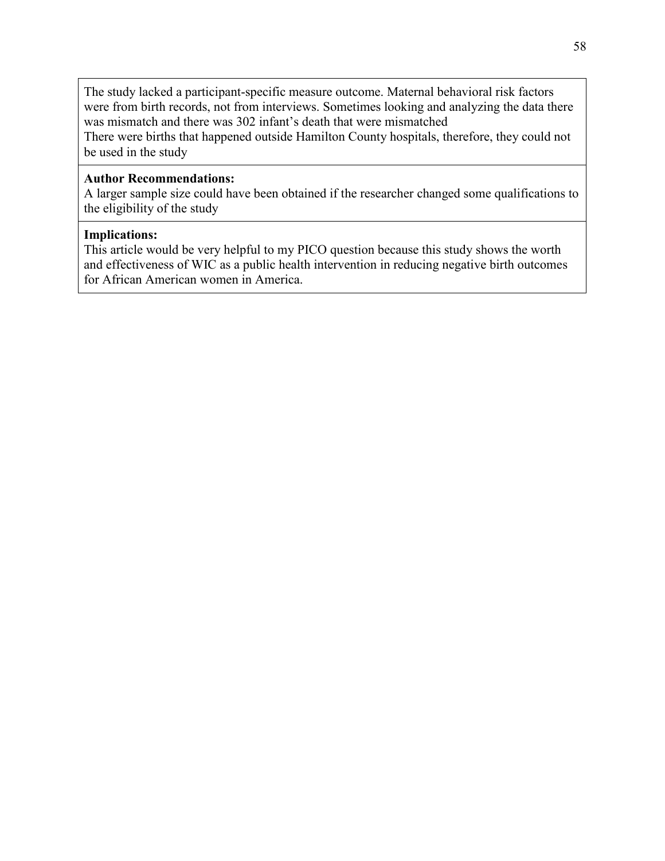The study lacked a participant-specific measure outcome. Maternal behavioral risk factors were from birth records, not from interviews. Sometimes looking and analyzing the data there was mismatch and there was 302 infant's death that were mismatched There were births that happened outside Hamilton County hospitals, therefore, they could not be used in the study

#### **Author Recommendations:**

A larger sample size could have been obtained if the researcher changed some qualifications to the eligibility of the study

#### **Implications:**

This article would be very helpful to my PICO question because this study shows the worth and effectiveness of WIC as a public health intervention in reducing negative birth outcomes for African American women in America.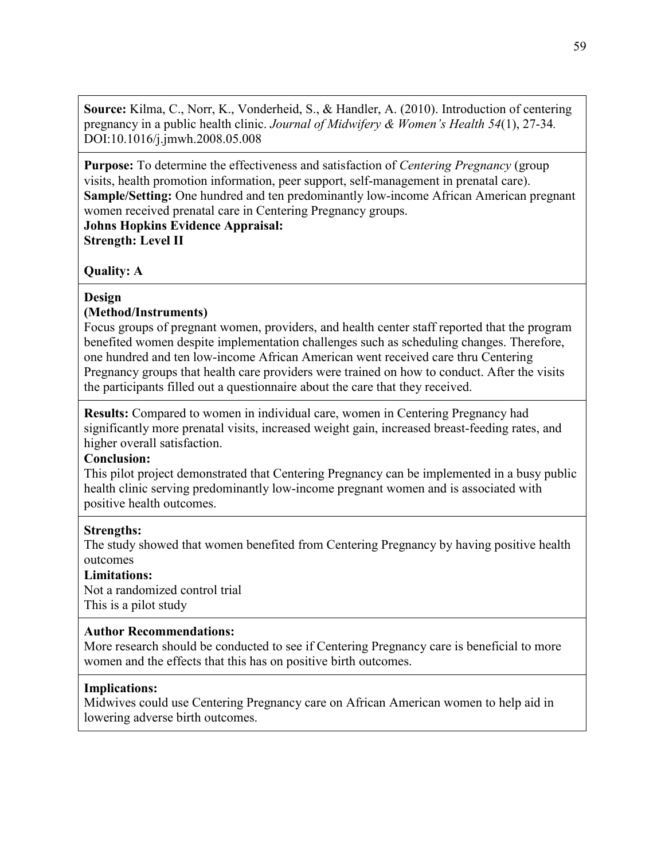**Source:** Kilma, C., Norr, K., Vonderheid, S., & Handler, A. (2010). Introduction of centering pregnancy in a public health clinic. *Journal of Midwifery & Women's Health 54*(1), 27-34*.*  DOI[:10.1016/j.jmwh.2008.05.008](https://doi.org/10.1016/j.jmwh.2008.05.008)

**Purpose:** To determine the effectiveness and satisfaction of *Centering Pregnancy* (group visits, health promotion information, peer support, self-management in prenatal care). Sample/Setting: One hundred and ten predominantly low-income African American pregnant women received prenatal care in Centering Pregnancy groups. **Johns Hopkins Evidence Appraisal:**

**Strength: Level II**

# **Quality: A**

### **Design**

# **(Method/Instruments)**

Focus groups of pregnant women, providers, and health center staff reported that the program benefited women despite implementation challenges such as scheduling changes. Therefore, one hundred and ten low-income African American went received care thru Centering Pregnancy groups that health care providers were trained on how to conduct. After the visits the participants filled out a questionnaire about the care that they received.

**Results:** Compared to women in individual care, women in Centering Pregnancy had significantly more prenatal visits, increased weight gain, increased breast-feeding rates, and higher overall satisfaction.

### **Conclusion:**

This pilot project demonstrated that Centering Pregnancy can be implemented in a busy public health clinic serving predominantly low‐income pregnant women and is associated with positive health outcomes.

#### **Strengths:**

The study showed that women benefited from Centering Pregnancy by having positive health outcomes

#### **Limitations:**

Not a randomized control trial This is a pilot study

# **Author Recommendations:**

More research should be conducted to see if Centering Pregnancy care is beneficial to more women and the effects that this has on positive birth outcomes.

#### **Implications:**

Midwives could use Centering Pregnancy care on African American women to help aid in lowering adverse birth outcomes.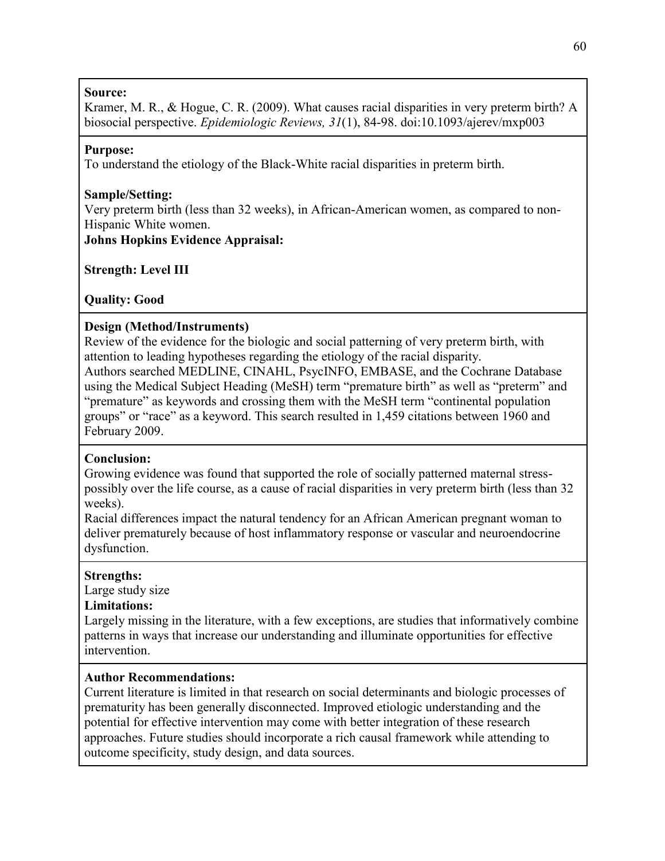### **Source:**

Kramer, M. R., & Hogue, C. R. (2009). What causes racial disparities in very preterm birth? A biosocial perspective. *Epidemiologic Reviews, 31*(1), 84-98. doi:10.1093/ajerev/mxp003

# **Purpose:**

To understand the etiology of the Black-White racial disparities in preterm birth.

# **Sample/Setting:**

Very preterm birth (less than 32 weeks), in African-American women, as compared to non-Hispanic White women.

**Johns Hopkins Evidence Appraisal:**

**Strength: Level III**

**Quality: Good** 

# **Design (Method/Instruments)**

Review of the evidence for the biologic and social patterning of very preterm birth, with attention to leading hypotheses regarding the etiology of the racial disparity. Authors searched MEDLINE, CINAHL, PsycINFO, EMBASE, and the Cochrane Database using the Medical Subject Heading (MeSH) term "premature birth" as well as "preterm" and "premature" as keywords and crossing them with the MeSH term "continental population groups" or "race" as a keyword. This search resulted in 1,459 citations between 1960 and February 2009.

# **Conclusion:**

Growing evidence was found that supported the role of socially patterned maternal stresspossibly over the life course, as a cause of racial disparities in very preterm birth (less than 32 weeks).

Racial differences impact the natural tendency for an African American pregnant woman to deliver prematurely because of host inflammatory response or vascular and neuroendocrine dysfunction.

#### **Strengths:**

Large study size

#### **Limitations:**

Largely missing in the literature, with a few exceptions, are studies that informatively combine patterns in ways that increase our understanding and illuminate opportunities for effective intervention.

# **Author Recommendations:**

Current literature is limited in that research on social determinants and biologic processes of prematurity has been generally disconnected. Improved etiologic understanding and the potential for effective intervention may come with better integration of these research approaches. Future studies should incorporate a rich causal framework while attending to outcome specificity, study design, and data sources.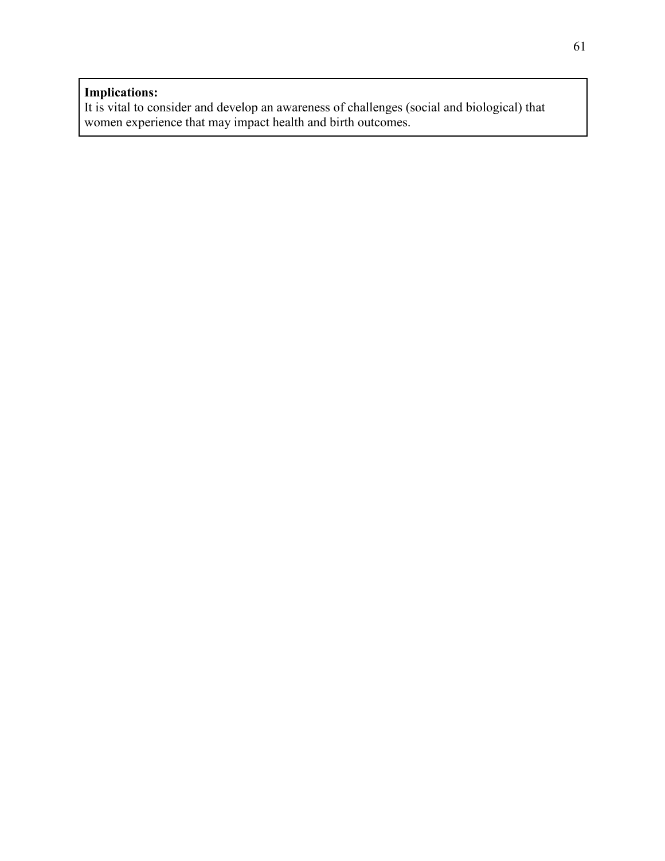#### **Implications:**

It is vital to consider and develop an awareness of challenges (social and biological) that women experience that may impact health and birth outcomes.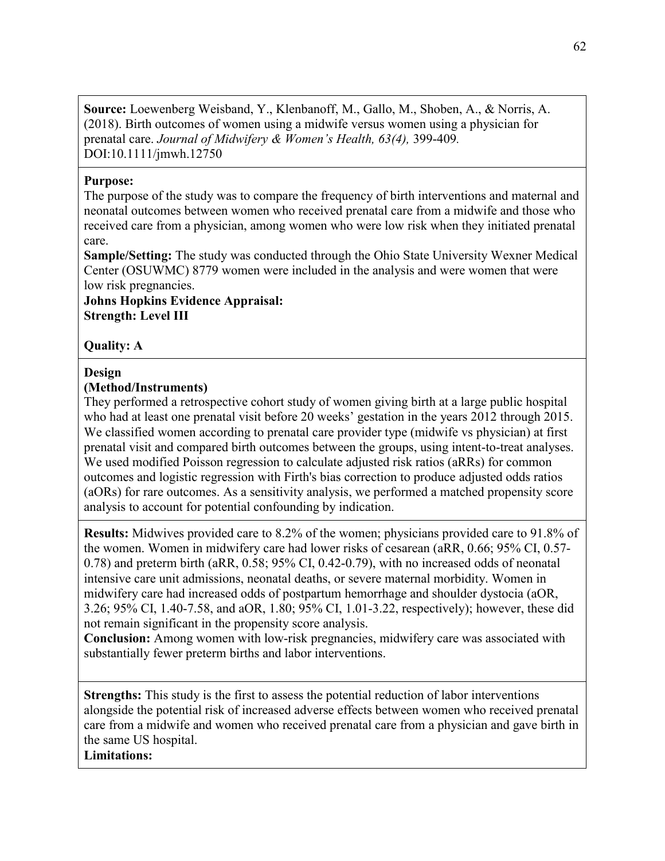**Source:** Loewenberg Weisband, Y., Klenbanoff, M., Gallo, M., Shoben, A., & Norris, A. (2018). Birth outcomes of women using a midwife versus women using a physician for prenatal care. *Journal of Midwifery & Women's Health, 63(4),* 399-409*.*  DOI:10.1111/jmwh.12750

### **Purpose:**

The purpose of the study was to compare the frequency of birth interventions and maternal and neonatal outcomes between women who received prenatal care from a midwife and those who received care from a physician, among women who were low risk when they initiated prenatal care.

**Sample/Setting:** The study was conducted through the Ohio State University Wexner Medical Center (OSUWMC) 8779 women were included in the analysis and were women that were low risk pregnancies.

**Johns Hopkins Evidence Appraisal: Strength: Level III**

# **Quality: A**

# **Design**

### **(Method/Instruments)**

They performed a retrospective cohort study of women giving birth at a large public hospital who had at least one prenatal visit before 20 weeks' gestation in the years 2012 through 2015. We classified women according to prenatal care provider type (midwife vs physician) at first prenatal visit and compared birth outcomes between the groups, using intent‐to‐treat analyses. We used modified Poisson regression to calculate adjusted risk ratios (aRRs) for common outcomes and logistic regression with Firth's bias correction to produce adjusted odds ratios (aORs) for rare outcomes. As a sensitivity analysis, we performed a matched propensity score analysis to account for potential confounding by indication.

**Results:** Midwives provided care to 8.2% of the women; physicians provided care to 91.8% of the women. Women in midwifery care had lower risks of cesarean (aRR, 0.66; 95% CI, 0.57‐ 0.78) and preterm birth (aRR, 0.58; 95% CI, 0.42‐0.79), with no increased odds of neonatal intensive care unit admissions, neonatal deaths, or severe maternal morbidity. Women in midwifery care had increased odds of postpartum hemorrhage and shoulder dystocia (aOR, 3.26; 95% CI, 1.40‐7.58, and aOR, 1.80; 95% CI, 1.01‐3.22, respectively); however, these did not remain significant in the propensity score analysis.

**Conclusion:** Among women with low‐risk pregnancies, midwifery care was associated with substantially fewer preterm births and labor interventions.

**Strengths:** This study is the first to assess the potential reduction of labor interventions alongside the potential risk of increased adverse effects between women who received prenatal care from a midwife and women who received prenatal care from a physician and gave birth in the same US hospital.

#### **Limitations:**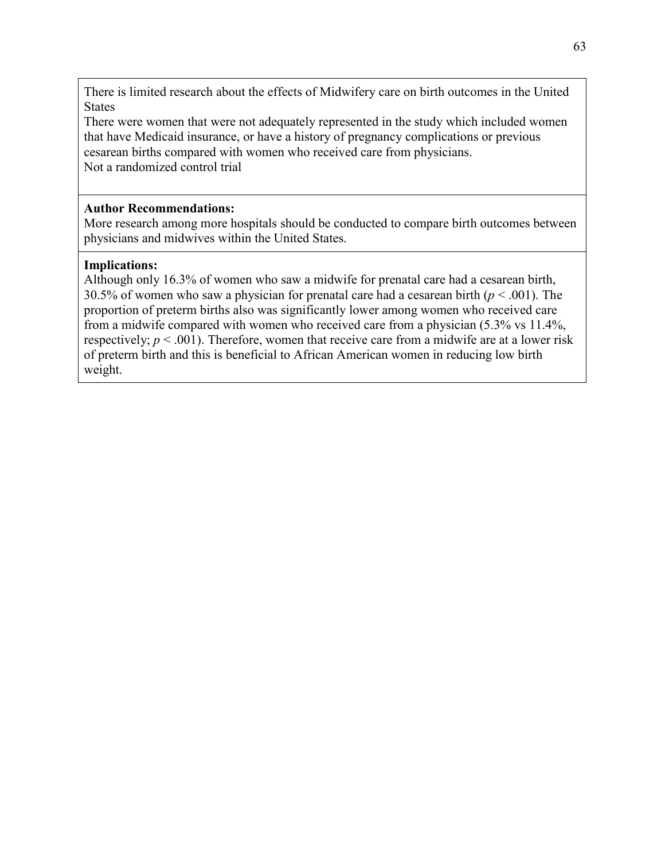There is limited research about the effects of Midwifery care on birth outcomes in the United **States** 

There were women that were not adequately represented in the study which included women that have Medicaid insurance, or have a history of pregnancy complications or previous cesarean births compared with women who received care from physicians. Not a randomized control trial

#### **Author Recommendations:**

More research among more hospitals should be conducted to compare birth outcomes between physicians and midwives within the United States.

#### **Implications:**

Although only 16.3% of women who saw a midwife for prenatal care had a cesarean birth, 30.5% of women who saw a physician for prenatal care had a cesarean birth  $(p < .001)$ . The proportion of preterm births also was significantly lower among women who received care from a midwife compared with women who received care from a physician (5.3% vs 11.4%, respectively;  $p < .001$ ). Therefore, women that receive care from a midwife are at a lower risk of preterm birth and this is beneficial to African American women in reducing low birth weight.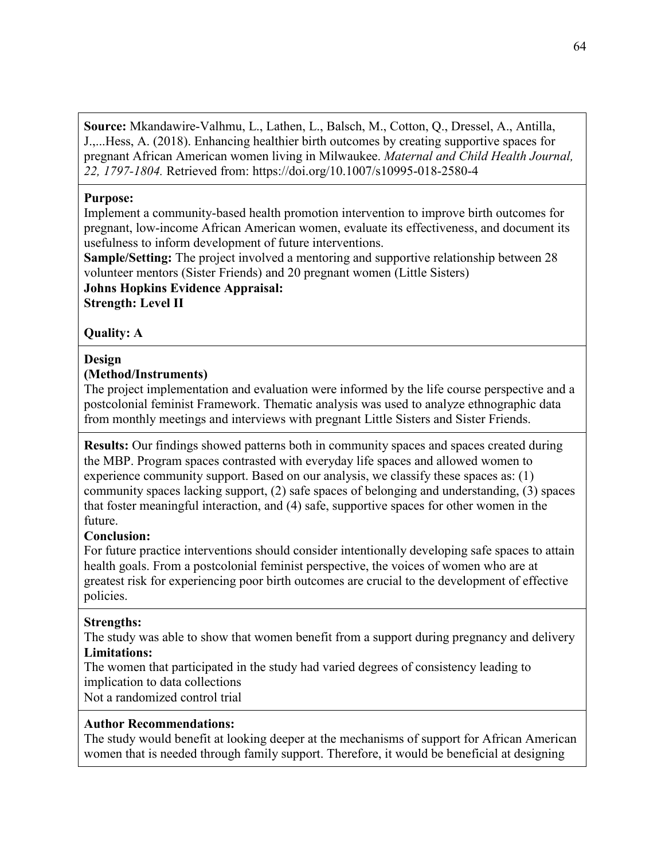**Source:** Mkandawire-Valhmu, L., Lathen, L., Balsch, M., Cotton, Q., Dressel, A., Antilla, J.,...Hess, A. (2018). Enhancing healthier birth outcomes by creating supportive spaces for pregnant African American women living in Milwaukee. *Maternal and Child Health Journal, 22, 1797-1804.* Retrieved from: https://doi.org/10.1007/s10995-018-2580-4

#### **Purpose:**

Implement a community-based health promotion intervention to improve birth outcomes for pregnant, low-income African American women, evaluate its effectiveness, and document its usefulness to inform development of future interventions.

**Sample/Setting:** The project involved a mentoring and supportive relationship between 28 volunteer mentors (Sister Friends) and 20 pregnant women (Little Sisters)

**Johns Hopkins Evidence Appraisal: Strength: Level II**

#### **Quality: A**

#### **Design**

#### **(Method/Instruments)**

The project implementation and evaluation were informed by the life course perspective and a postcolonial feminist Framework. Thematic analysis was used to analyze ethnographic data from monthly meetings and interviews with pregnant Little Sisters and Sister Friends.

**Results:** Our findings showed patterns both in community spaces and spaces created during the MBP. Program spaces contrasted with everyday life spaces and allowed women to experience community support. Based on our analysis, we classify these spaces as: (1) community spaces lacking support, (2) safe spaces of belonging and understanding, (3) spaces that foster meaningful interaction, and (4) safe, supportive spaces for other women in the future.

#### **Conclusion:**

For future practice interventions should consider intentionally developing safe spaces to attain health goals. From a postcolonial feminist perspective, the voices of women who are at greatest risk for experiencing poor birth outcomes are crucial to the development of effective policies.

#### **Strengths:**

The study was able to show that women benefit from a support during pregnancy and delivery **Limitations:**

The women that participated in the study had varied degrees of consistency leading to implication to data collections

Not a randomized control trial

# **Author Recommendations:**

The study would benefit at looking deeper at the mechanisms of support for African American women that is needed through family support. Therefore, it would be beneficial at designing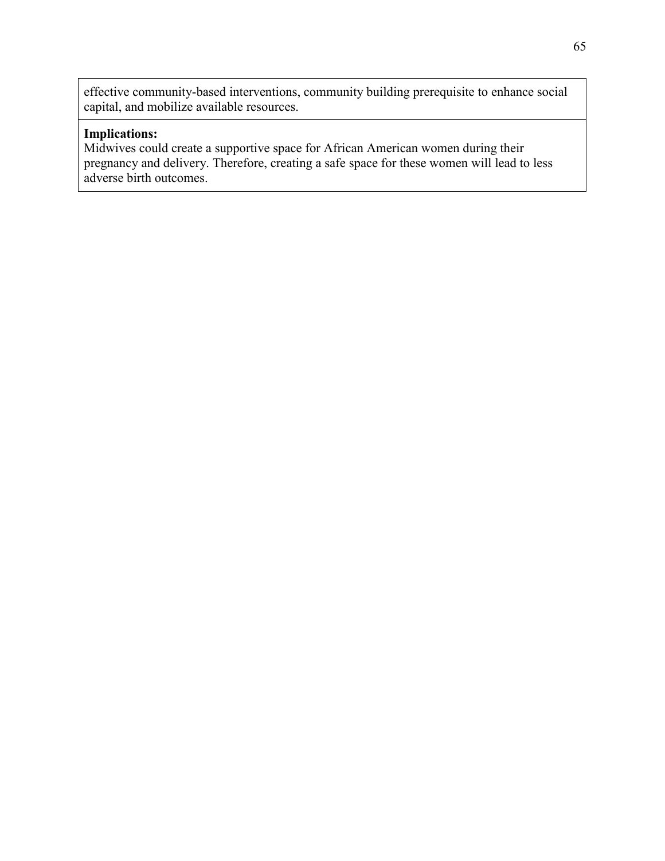effective community-based interventions, community building prerequisite to enhance social capital, and mobilize available resources.

### **Implications:**

Midwives could create a supportive space for African American women during their pregnancy and delivery. Therefore, creating a safe space for these women will lead to less adverse birth outcomes.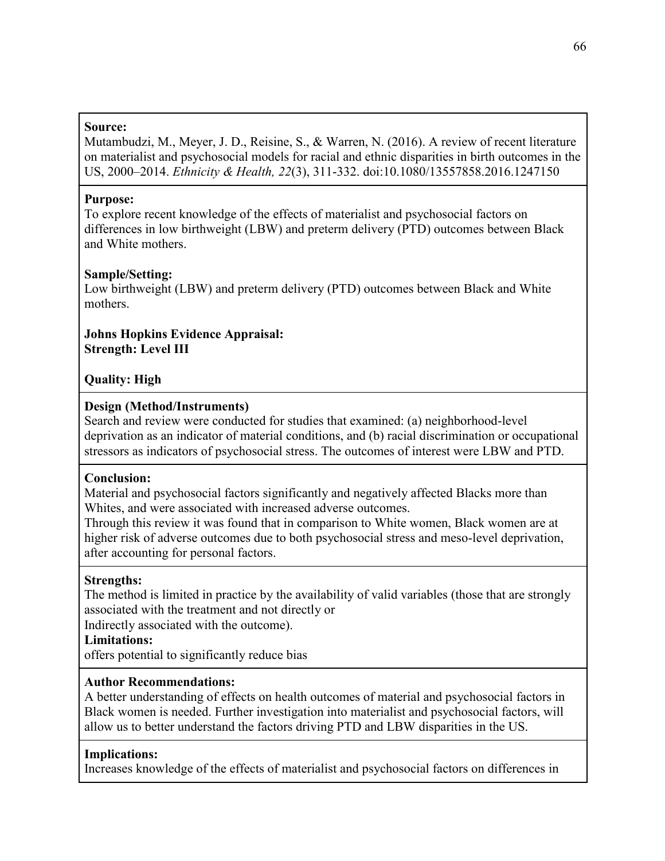#### **Source:**

Mutambudzi, M., Meyer, J. D., Reisine, S., & Warren, N. (2016). A review of recent literature on materialist and psychosocial models for racial and ethnic disparities in birth outcomes in the US, 2000–2014. *Ethnicity & Health, 22*(3), 311-332. doi:10.1080/13557858.2016.1247150

#### **Purpose:**

To explore recent knowledge of the effects of materialist and psychosocial factors on differences in low birthweight (LBW) and preterm delivery (PTD) outcomes between Black and White mothers.

#### **Sample/Setting:**

Low birthweight (LBW) and preterm delivery (PTD) outcomes between Black and White mothers.

**Johns Hopkins Evidence Appraisal: Strength: Level III**

### **Quality: High**

#### **Design (Method/Instruments)**

Search and review were conducted for studies that examined: (a) neighborhood-level deprivation as an indicator of material conditions, and (b) racial discrimination or occupational stressors as indicators of psychosocial stress. The outcomes of interest were LBW and PTD.

#### **Conclusion:**

Material and psychosocial factors significantly and negatively affected Blacks more than Whites, and were associated with increased adverse outcomes.

Through this review it was found that in comparison to White women, Black women are at higher risk of adverse outcomes due to both psychosocial stress and meso-level deprivation, after accounting for personal factors.

#### **Strengths:**

The method is limited in practice by the availability of valid variables (those that are strongly associated with the treatment and not directly or

Indirectly associated with the outcome).

**Limitations:**

offers potential to significantly reduce bias

#### **Author Recommendations:**

A better understanding of effects on health outcomes of material and psychosocial factors in Black women is needed. Further investigation into materialist and psychosocial factors, will allow us to better understand the factors driving PTD and LBW disparities in the US.

#### **Implications:**

Increases knowledge of the effects of materialist and psychosocial factors on differences in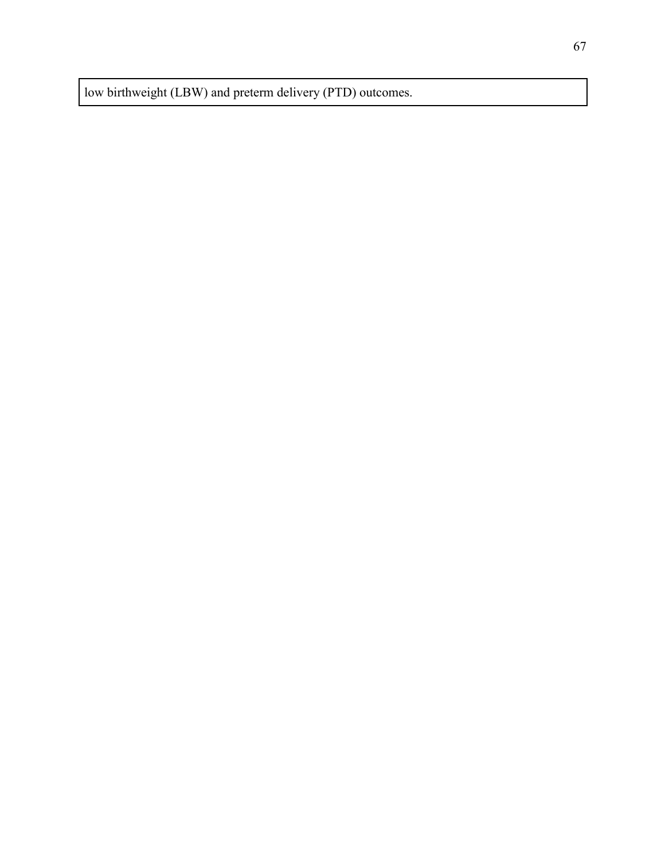low birthweight (LBW) and preterm delivery (PTD) outcomes.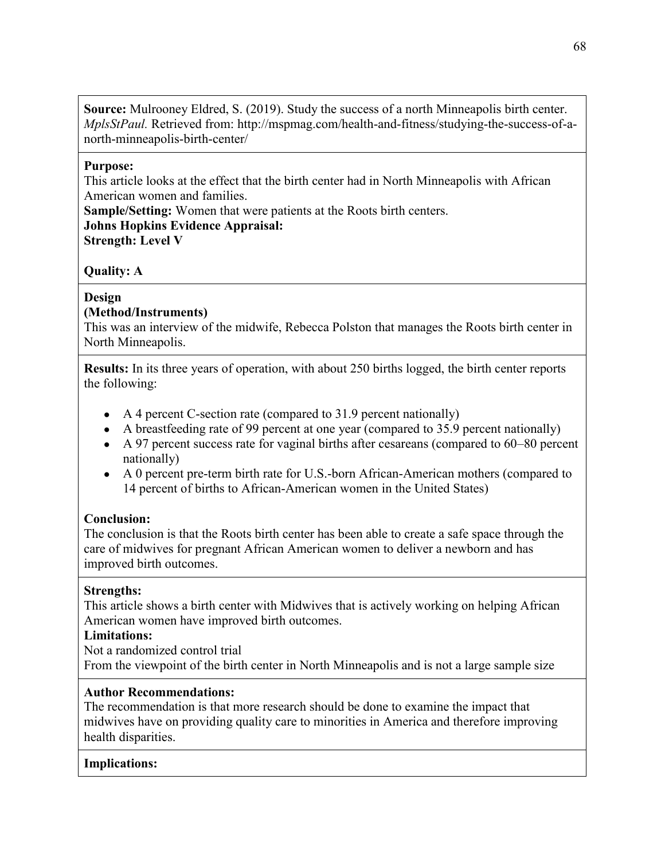**Source:** Mulrooney Eldred, S. (2019). Study the success of a north Minneapolis birth center. *MplsStPaul.* Retrieved from: http://mspmag.com/health-and-fitness/studying-the-success-of-anorth-minneapolis-birth-center/

### **Purpose:**

This article looks at the effect that the birth center had in North Minneapolis with African American women and families.

**Sample/Setting:** Women that were patients at the Roots birth centers.

# **Johns Hopkins Evidence Appraisal:**

**Strength: Level V**

# **Quality: A**

# **Design**

# **(Method/Instruments)**

This was an interview of the midwife, Rebecca Polston that manages the Roots birth center in North Minneapolis.

**Results:** In its three years of operation, with about 250 births logged, the birth center reports the following:

- $\bullet$  A 4 percent C-section rate (compared to 31.9 percent nationally)
- $\bullet$  A breastfeeding rate of 99 percent at one year (compared to 35.9 percent nationally)
- A 97 percent success rate for vaginal births after cesareans (compared to 60–80 percent nationally)
- A 0 percent pre-term birth rate for U.S.-born African-American mothers (compared to 14 percent of births to African-American women in the United States)

# **Conclusion:**

The conclusion is that the Roots birth center has been able to create a safe space through the care of midwives for pregnant African American women to deliver a newborn and has improved birth outcomes.

# **Strengths:**

This article shows a birth center with Midwives that is actively working on helping African American women have improved birth outcomes.

# **Limitations:**

Not a randomized control trial From the viewpoint of the birth center in North Minneapolis and is not a large sample size

# **Author Recommendations:**

The recommendation is that more research should be done to examine the impact that midwives have on providing quality care to minorities in America and therefore improving health disparities.

# **Implications:**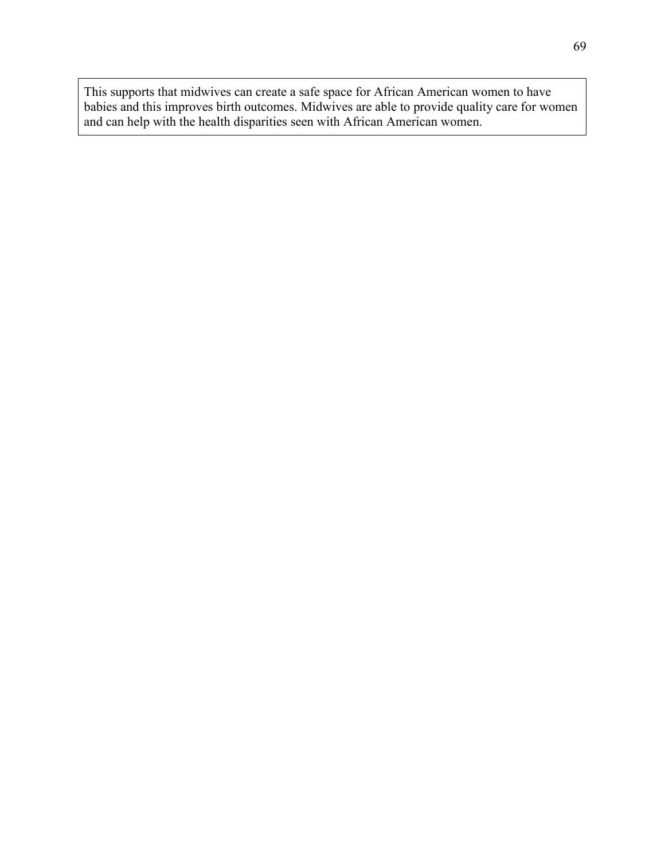This supports that midwives can create a safe space for African American women to have babies and this improves birth outcomes. Midwives are able to provide quality care for women and can help with the health disparities seen with African American women.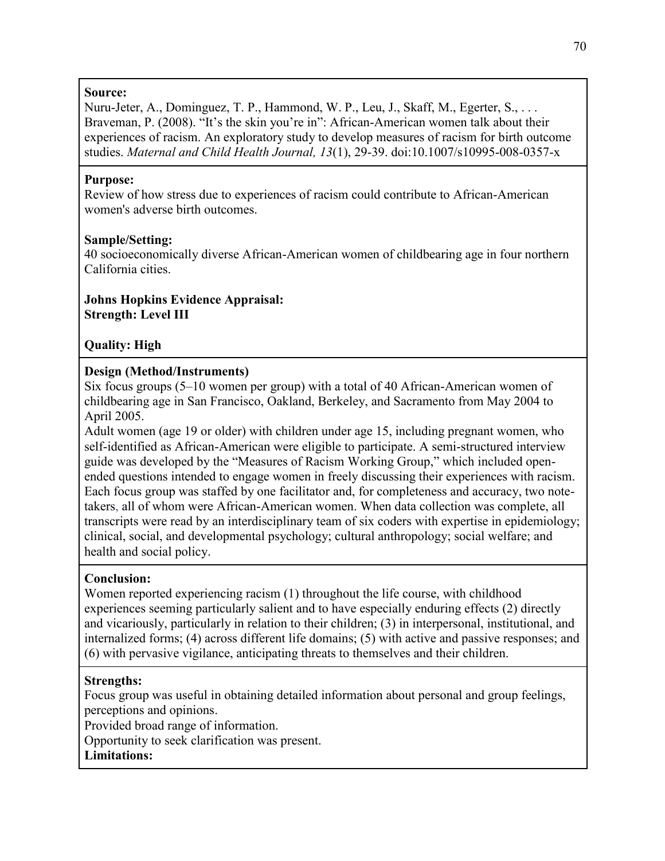### **Source:**

Nuru-Jeter, A., Dominguez, T. P., Hammond, W. P., Leu, J., Skaff, M., Egerter, S., . . . Braveman, P. (2008). "It's the skin you're in": African-American women talk about their experiences of racism. An exploratory study to develop measures of racism for birth outcome studies. *Maternal and Child Health Journal, 13*(1), 29-39. doi:10.1007/s10995-008-0357-x

# **Purpose:**

Review of how stress due to experiences of racism could contribute to African-American women's adverse birth outcomes.

# **Sample/Setting:**

40 socioeconomically diverse African-American women of childbearing age in four northern California cities.

# **Johns Hopkins Evidence Appraisal: Strength: Level III**

# **Quality: High**

# **Design (Method/Instruments)**

Six focus groups (5–10 women per group) with a total of 40 African-American women of childbearing age in San Francisco, Oakland, Berkeley, and Sacramento from May 2004 to April 2005.

Adult women (age 19 or older) with children under age 15, including pregnant women, who self-identified as African-American were eligible to participate. A semi-structured interview guide was developed by the "Measures of Racism Working Group," which included openended questions intended to engage women in freely discussing their experiences with racism. Each focus group was staffed by one facilitator and, for completeness and accuracy, two notetakers, all of whom were African-American women. When data collection was complete, all transcripts were read by an interdisciplinary team of six coders with expertise in epidemiology; clinical, social, and developmental psychology; cultural anthropology; social welfare; and health and social policy.

# **Conclusion:**

Women reported experiencing racism (1) throughout the life course, with childhood experiences seeming particularly salient and to have especially enduring effects (2) directly and vicariously, particularly in relation to their children; (3) in interpersonal, institutional, and internalized forms; (4) across different life domains; (5) with active and passive responses; and (6) with pervasive vigilance, anticipating threats to themselves and their children.

# **Strengths:**

Focus group was useful in obtaining detailed information about personal and group feelings, perceptions and opinions.

Provided broad range of information.

Opportunity to seek clarification was present.

**Limitations:**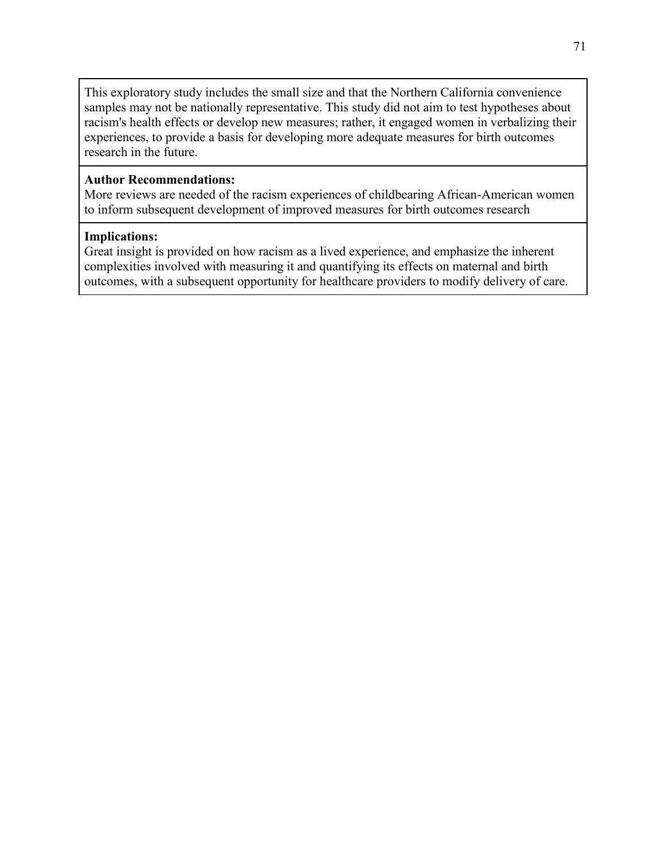This exploratory study includes the small size and that the Northern California convenience samples may not be nationally representative. This study did not aim to test hypotheses about racism's health effects or develop new measures; rather, it engaged women in verbalizing their experiences, to provide a basis for developing more adequate measures for birth outcomes research in the future.

### **Author Recommendations:**

More reviews are needed of the racism experiences of childbearing African-American women to inform subsequent development of improved measures for birth outcomes research

#### **Implications:**

Great insight is provided on how racism as a lived experience, and emphasize the inherent complexities involved with measuring it and quantifying its effects on maternal and birth outcomes, with a subsequent opportunity for healthcare providers to modify delivery of care.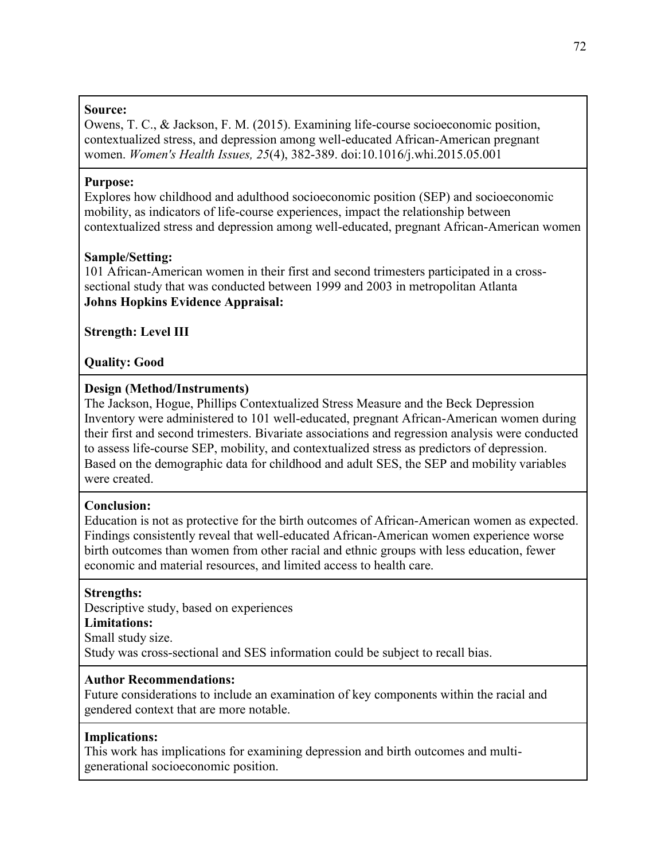#### **Source:**

Owens, T. C., & Jackson, F. M. (2015). Examining life-course socioeconomic position, contextualized stress, and depression among well-educated African-American pregnant women. *Women's Health Issues, 25*(4), 382-389. doi:10.1016/j.whi.2015.05.001

# **Purpose:**

Explores how childhood and adulthood socioeconomic position (SEP) and socioeconomic mobility, as indicators of life-course experiences, impact the relationship between contextualized stress and depression among well-educated, pregnant African-American women

# **Sample/Setting:**

101 African-American women in their first and second trimesters participated in a crosssectional study that was conducted between 1999 and 2003 in metropolitan Atlanta **Johns Hopkins Evidence Appraisal:**

# **Strength: Level III**

# **Quality: Good**

# **Design (Method/Instruments)**

The Jackson, Hogue, Phillips Contextualized Stress Measure and the Beck Depression Inventory were administered to 101 well-educated, pregnant African-American women during their first and second trimesters. Bivariate associations and regression analysis were conducted to assess life-course SEP, mobility, and contextualized stress as predictors of depression. Based on the demographic data for childhood and adult SES, the SEP and mobility variables were created.

# **Conclusion:**

Education is not as protective for the birth outcomes of African-American women as expected. Findings consistently reveal that well-educated African-American women experience worse birth outcomes than women from other racial and ethnic groups with less education, fewer economic and material resources, and limited access to health care.

# **Strengths:**

Descriptive study, based on experiences

# **Limitations:**

Small study size.

Study was cross-sectional and SES information could be subject to recall bias.

# **Author Recommendations:**

Future considerations to include an examination of key components within the racial and gendered context that are more notable.

# **Implications:**

This work has implications for examining depression and birth outcomes and multigenerational socioeconomic position.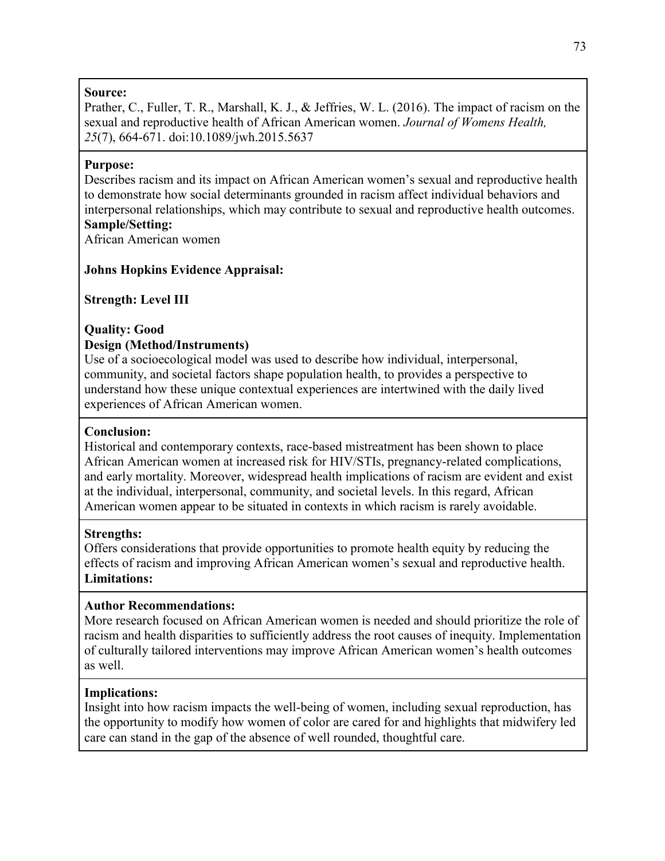#### **Source:**

Prather, C., Fuller, T. R., Marshall, K. J., & Jeffries, W. L. (2016). The impact of racism on the sexual and reproductive health of African American women. *Journal of Womens Health, 25*(7), 664-671. doi:10.1089/jwh.2015.5637

# **Purpose:**

Describes racism and its impact on African American women's sexual and reproductive health to demonstrate how social determinants grounded in racism affect individual behaviors and interpersonal relationships, which may contribute to sexual and reproductive health outcomes.

# **Sample/Setting:**

African American women

# **Johns Hopkins Evidence Appraisal:**

**Strength: Level III**

#### **Quality: Good Design (Method/Instruments)**

Use of a socioecological model was used to describe how individual, interpersonal, community, and societal factors shape population health, to provides a perspective to understand how these unique contextual experiences are intertwined with the daily lived experiences of African American women.

# **Conclusion:**

Historical and contemporary contexts, race-based mistreatment has been shown to place African American women at increased risk for HIV/STIs, pregnancy-related complications, and early mortality. Moreover, widespread health implications of racism are evident and exist at the individual, interpersonal, community, and societal levels. In this regard, African American women appear to be situated in contexts in which racism is rarely avoidable.

# **Strengths:**

Offers considerations that provide opportunities to promote health equity by reducing the effects of racism and improving African American women's sexual and reproductive health. **Limitations:**

# **Author Recommendations:**

More research focused on African American women is needed and should prioritize the role of racism and health disparities to sufficiently address the root causes of inequity. Implementation of culturally tailored interventions may improve African American women's health outcomes as well.

# **Implications:**

Insight into how racism impacts the well-being of women, including sexual reproduction, has the opportunity to modify how women of color are cared for and highlights that midwifery led care can stand in the gap of the absence of well rounded, thoughtful care.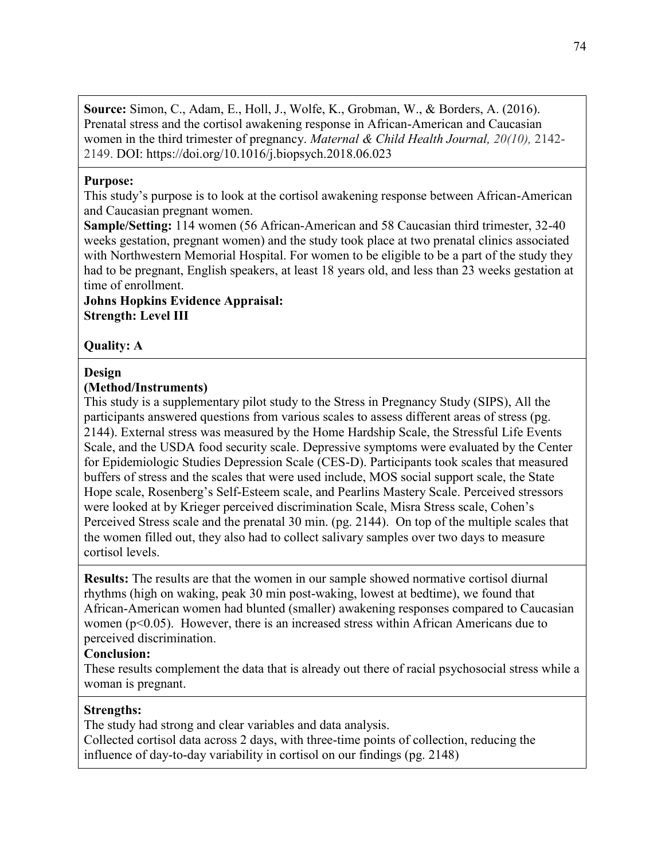**Source:** Simon, C., Adam, E., Holl, J., Wolfe, K., Grobman, W., & Borders, A. (2016). Prenatal stress and the cortisol awakening response in African-American and Caucasian women in the third trimester of pregnancy. *Maternal & Child Health Journal, 20(10),* 2142- 2149. DOI:<https://doi.org/10.1016/j.biopsych.2018.06.023>

#### **Purpose:**

This study's purpose is to look at the cortisol awakening response between African-American and Caucasian pregnant women.

**Sample/Setting:** 114 women (56 African-American and 58 Caucasian third trimester, 32-40 weeks gestation, pregnant women) and the study took place at two prenatal clinics associated with Northwestern Memorial Hospital. For women to be eligible to be a part of the study they had to be pregnant, English speakers, at least 18 years old, and less than 23 weeks gestation at time of enrollment.

**Johns Hopkins Evidence Appraisal: Strength: Level III**

**Quality: A**

#### **Design**

#### **(Method/Instruments)**

This study is a supplementary pilot study to the Stress in Pregnancy Study (SIPS), All the participants answered questions from various scales to assess different areas of stress (pg. 2144). External stress was measured by the Home Hardship Scale, the Stressful Life Events Scale, and the USDA food security scale. Depressive symptoms were evaluated by the Center for Epidemiologic Studies Depression Scale (CES-D). Participants took scales that measured buffers of stress and the scales that were used include, MOS social support scale, the State Hope scale, Rosenberg's Self-Esteem scale, and Pearlins Mastery Scale. Perceived stressors were looked at by Krieger perceived discrimination Scale, Misra Stress scale, Cohen's Perceived Stress scale and the prenatal 30 min. (pg. 2144). On top of the multiple scales that the women filled out, they also had to collect salivary samples over two days to measure cortisol levels.

**Results:** The results are that the women in our sample showed normative cortisol diurnal rhythms (high on waking, peak 30 min post-waking, lowest at bedtime), we found that African-American women had blunted (smaller) awakening responses compared to Caucasian women (p<0.05). However, there is an increased stress within African Americans due to perceived discrimination.

# **Conclusion:**

These results complement the data that is already out there of racial psychosocial stress while a woman is pregnant.

#### **Strengths:**

The study had strong and clear variables and data analysis.

Collected cortisol data across 2 days, with three-time points of collection, reducing the influence of day-to-day variability in cortisol on our findings (pg. 2148)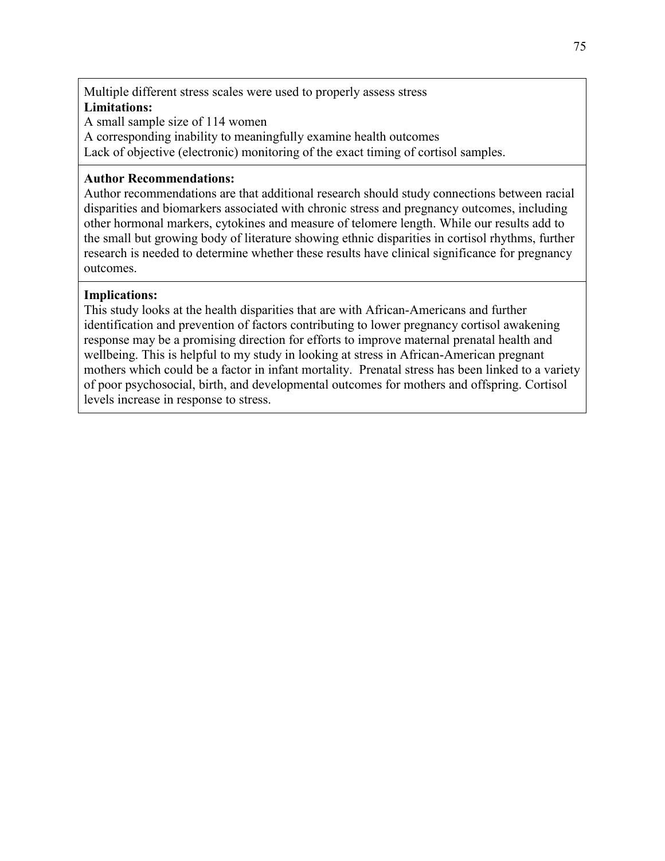Multiple different stress scales were used to properly assess stress **Limitations:**

A small sample size of 114 women

A corresponding inability to meaningfully examine health outcomes

Lack of objective (electronic) monitoring of the exact timing of cortisol samples.

### **Author Recommendations:**

Author recommendations are that additional research should study connections between racial disparities and biomarkers associated with chronic stress and pregnancy outcomes, including other hormonal markers, cytokines and measure of telomere length. While our results add to the small but growing body of literature showing ethnic disparities in cortisol rhythms, further research is needed to determine whether these results have clinical significance for pregnancy outcomes.

#### **Implications:**

This study looks at the health disparities that are with African-Americans and further identification and prevention of factors contributing to lower pregnancy cortisol awakening response may be a promising direction for efforts to improve maternal prenatal health and wellbeing. This is helpful to my study in looking at stress in African-American pregnant mothers which could be a factor in infant mortality. Prenatal stress has been linked to a variety of poor psychosocial, birth, and developmental outcomes for mothers and offspring. Cortisol levels increase in response to stress.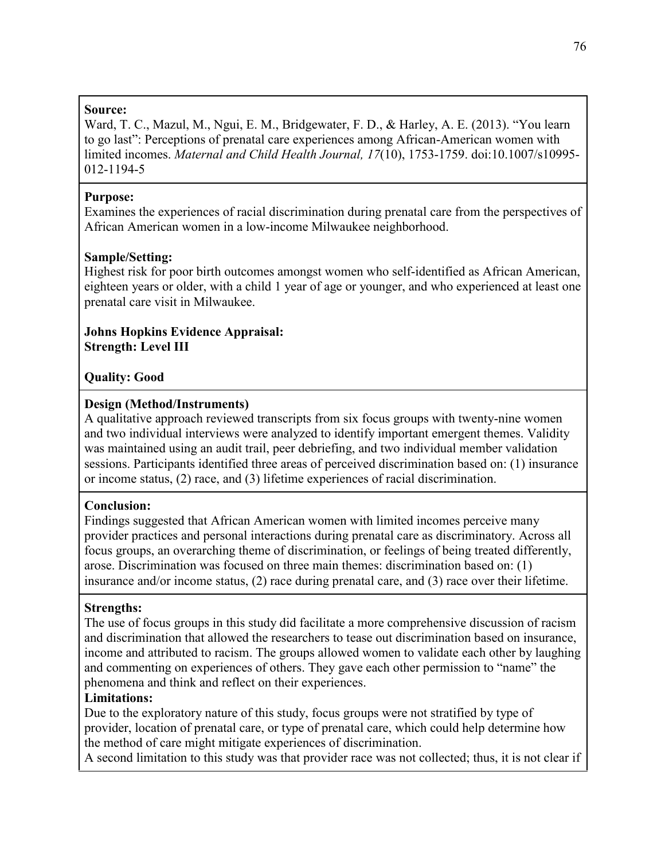#### **Source:**

Ward, T. C., Mazul, M., Ngui, E. M., Bridgewater, F. D., & Harley, A. E. (2013). "You learn to go last": Perceptions of prenatal care experiences among African-American women with limited incomes. *Maternal and Child Health Journal, 17*(10), 1753-1759. doi:10.1007/s10995- 012-1194-5

# **Purpose:**

Examines the experiences of racial discrimination during prenatal care from the perspectives of African American women in a low-income Milwaukee neighborhood.

# **Sample/Setting:**

Highest risk for poor birth outcomes amongst women who self-identified as African American, eighteen years or older, with a child 1 year of age or younger, and who experienced at least one prenatal care visit in Milwaukee.

# **Johns Hopkins Evidence Appraisal: Strength: Level III**

# **Quality: Good**

# **Design (Method/Instruments)**

A qualitative approach reviewed transcripts from six focus groups with twenty-nine women and two individual interviews were analyzed to identify important emergent themes. Validity was maintained using an audit trail, peer debriefing, and two individual member validation sessions. Participants identified three areas of perceived discrimination based on: (1) insurance or income status, (2) race, and (3) lifetime experiences of racial discrimination.

# **Conclusion:**

Findings suggested that African American women with limited incomes perceive many provider practices and personal interactions during prenatal care as discriminatory. Across all focus groups, an overarching theme of discrimination, or feelings of being treated differently, arose. Discrimination was focused on three main themes: discrimination based on: (1) insurance and/or income status, (2) race during prenatal care, and (3) race over their lifetime.

# **Strengths:**

The use of focus groups in this study did facilitate a more comprehensive discussion of racism and discrimination that allowed the researchers to tease out discrimination based on insurance, income and attributed to racism. The groups allowed women to validate each other by laughing and commenting on experiences of others. They gave each other permission to "name" the phenomena and think and reflect on their experiences.

# **Limitations:**

Due to the exploratory nature of this study, focus groups were not stratified by type of provider, location of prenatal care, or type of prenatal care, which could help determine how the method of care might mitigate experiences of discrimination.

A second limitation to this study was that provider race was not collected; thus, it is not clear if